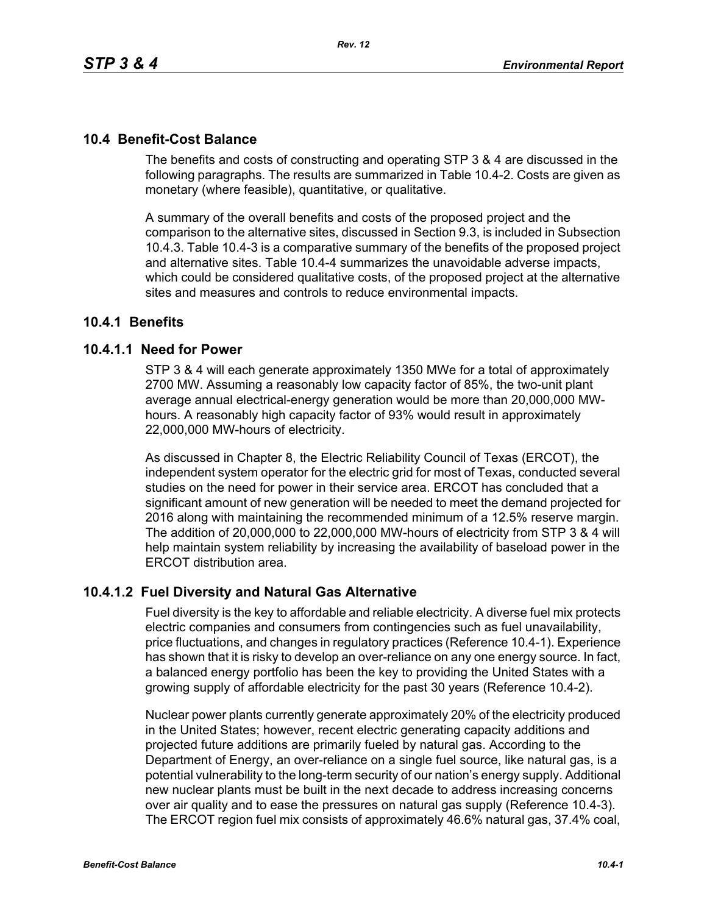# **10.4 Benefit-Cost Balance**

The benefits and costs of constructing and operating STP 3 & 4 are discussed in the following paragraphs. The results are summarized in Table 10.4-2. Costs are given as monetary (where feasible), quantitative, or qualitative.

A summary of the overall benefits and costs of the proposed project and the comparison to the alternative sites, discussed in Section 9.3, is included in Subsection 10.4.3. Table 10.4-3 is a comparative summary of the benefits of the proposed project and alternative sites. Table 10.4-4 summarizes the unavoidable adverse impacts, which could be considered qualitative costs, of the proposed project at the alternative sites and measures and controls to reduce environmental impacts.

# **10.4.1 Benefits**

# **10.4.1.1 Need for Power**

STP 3 & 4 will each generate approximately 1350 MWe for a total of approximately 2700 MW. Assuming a reasonably low capacity factor of 85%, the two-unit plant average annual electrical-energy generation would be more than 20,000,000 MWhours. A reasonably high capacity factor of 93% would result in approximately 22,000,000 MW-hours of electricity.

As discussed in Chapter 8, the Electric Reliability Council of Texas (ERCOT), the independent system operator for the electric grid for most of Texas, conducted several studies on the need for power in their service area. ERCOT has concluded that a significant amount of new generation will be needed to meet the demand projected for 2016 along with maintaining the recommended minimum of a 12.5% reserve margin. The addition of 20,000,000 to 22,000,000 MW-hours of electricity from STP 3 & 4 will help maintain system reliability by increasing the availability of baseload power in the ERCOT distribution area.

# **10.4.1.2 Fuel Diversity and Natural Gas Alternative**

Fuel diversity is the key to affordable and reliable electricity. A diverse fuel mix protects electric companies and consumers from contingencies such as fuel unavailability, price fluctuations, and changes in regulatory practices (Reference 10.4-1). Experience has shown that it is risky to develop an over-reliance on any one energy source. In fact, a balanced energy portfolio has been the key to providing the United States with a growing supply of affordable electricity for the past 30 years (Reference 10.4-2).

Nuclear power plants currently generate approximately 20% of the electricity produced in the United States; however, recent electric generating capacity additions and projected future additions are primarily fueled by natural gas. According to the Department of Energy, an over-reliance on a single fuel source, like natural gas, is a potential vulnerability to the long-term security of our nation's energy supply. Additional new nuclear plants must be built in the next decade to address increasing concerns over air quality and to ease the pressures on natural gas supply (Reference 10.4-3). The ERCOT region fuel mix consists of approximately 46.6% natural gas, 37.4% coal,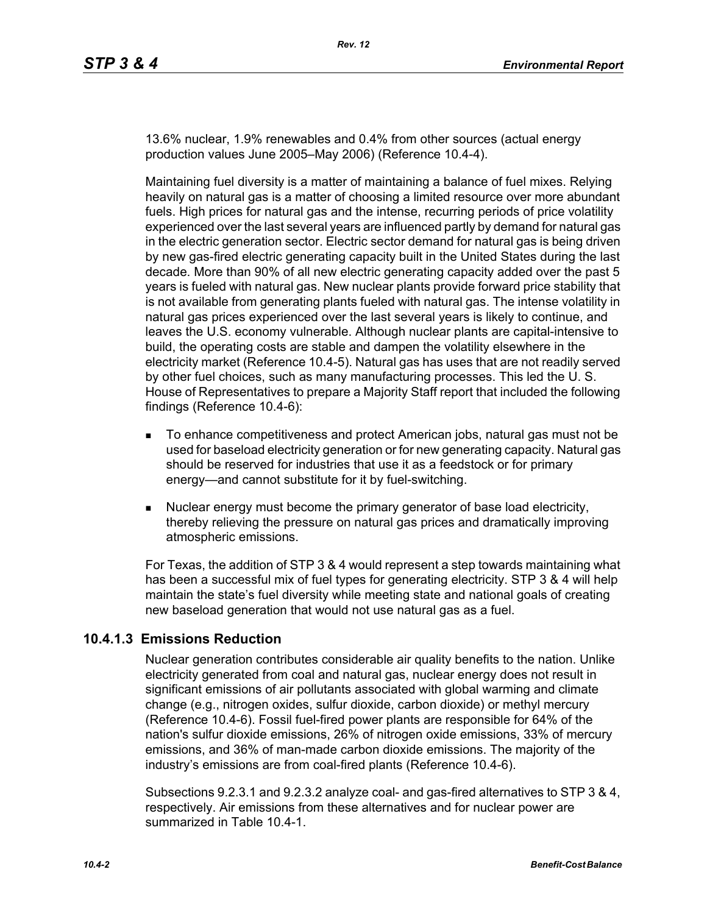13.6% nuclear, 1.9% renewables and 0.4% from other sources (actual energy production values June 2005–May 2006) (Reference 10.4-4).

Maintaining fuel diversity is a matter of maintaining a balance of fuel mixes. Relying heavily on natural gas is a matter of choosing a limited resource over more abundant fuels. High prices for natural gas and the intense, recurring periods of price volatility experienced over the last several years are influenced partly by demand for natural gas in the electric generation sector. Electric sector demand for natural gas is being driven by new gas-fired electric generating capacity built in the United States during the last decade. More than 90% of all new electric generating capacity added over the past 5 years is fueled with natural gas. New nuclear plants provide forward price stability that is not available from generating plants fueled with natural gas. The intense volatility in natural gas prices experienced over the last several years is likely to continue, and leaves the U.S. economy vulnerable. Although nuclear plants are capital-intensive to build, the operating costs are stable and dampen the volatility elsewhere in the electricity market (Reference 10.4-5). Natural gas has uses that are not readily served by other fuel choices, such as many manufacturing processes. This led the U. S. House of Representatives to prepare a Majority Staff report that included the following findings (Reference 10.4-6):

- To enhance competitiveness and protect American jobs, natural gas must not be used for baseload electricity generation or for new generating capacity. Natural gas should be reserved for industries that use it as a feedstock or for primary energy—and cannot substitute for it by fuel-switching.
- **Nuclear energy must become the primary generator of base load electricity,** thereby relieving the pressure on natural gas prices and dramatically improving atmospheric emissions.

For Texas, the addition of STP 3 & 4 would represent a step towards maintaining what has been a successful mix of fuel types for generating electricity. STP 3 & 4 will help maintain the state's fuel diversity while meeting state and national goals of creating new baseload generation that would not use natural gas as a fuel.

# **10.4.1.3 Emissions Reduction**

Nuclear generation contributes considerable air quality benefits to the nation. Unlike electricity generated from coal and natural gas, nuclear energy does not result in significant emissions of air pollutants associated with global warming and climate change (e.g., nitrogen oxides, sulfur dioxide, carbon dioxide) or methyl mercury (Reference 10.4-6). Fossil fuel-fired power plants are responsible for 64% of the nation's sulfur dioxide emissions, 26% of nitrogen oxide emissions, 33% of mercury emissions, and 36% of man-made carbon dioxide emissions. The majority of the industry's emissions are from coal-fired plants (Reference 10.4-6).

Subsections 9.2.3.1 and 9.2.3.2 analyze coal- and gas-fired alternatives to STP 3 & 4, respectively. Air emissions from these alternatives and for nuclear power are summarized in Table 10.4-1.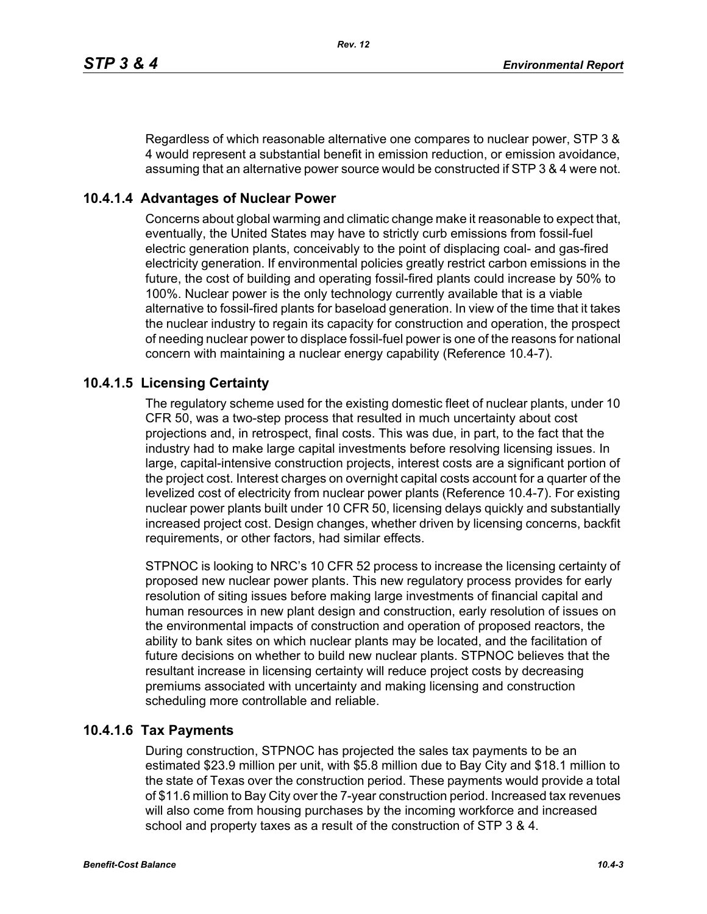Regardless of which reasonable alternative one compares to nuclear power, STP 3 & 4 would represent a substantial benefit in emission reduction, or emission avoidance, assuming that an alternative power source would be constructed if STP 3 & 4 were not.

# **10.4.1.4 Advantages of Nuclear Power**

Concerns about global warming and climatic change make it reasonable to expect that, eventually, the United States may have to strictly curb emissions from fossil-fuel electric generation plants, conceivably to the point of displacing coal- and gas-fired electricity generation. If environmental policies greatly restrict carbon emissions in the future, the cost of building and operating fossil-fired plants could increase by 50% to 100%. Nuclear power is the only technology currently available that is a viable alternative to fossil-fired plants for baseload generation. In view of the time that it takes the nuclear industry to regain its capacity for construction and operation, the prospect of needing nuclear power to displace fossil-fuel power is one of the reasons for national concern with maintaining a nuclear energy capability (Reference 10.4-7).

# **10.4.1.5 Licensing Certainty**

The regulatory scheme used for the existing domestic fleet of nuclear plants, under 10 CFR 50, was a two-step process that resulted in much uncertainty about cost projections and, in retrospect, final costs. This was due, in part, to the fact that the industry had to make large capital investments before resolving licensing issues. In large, capital-intensive construction projects, interest costs are a significant portion of the project cost. Interest charges on overnight capital costs account for a quarter of the levelized cost of electricity from nuclear power plants (Reference 10.4-7). For existing nuclear power plants built under 10 CFR 50, licensing delays quickly and substantially increased project cost. Design changes, whether driven by licensing concerns, backfit requirements, or other factors, had similar effects.

STPNOC is looking to NRC's 10 CFR 52 process to increase the licensing certainty of proposed new nuclear power plants. This new regulatory process provides for early resolution of siting issues before making large investments of financial capital and human resources in new plant design and construction, early resolution of issues on the environmental impacts of construction and operation of proposed reactors, the ability to bank sites on which nuclear plants may be located, and the facilitation of future decisions on whether to build new nuclear plants. STPNOC believes that the resultant increase in licensing certainty will reduce project costs by decreasing premiums associated with uncertainty and making licensing and construction scheduling more controllable and reliable.

# **10.4.1.6 Tax Payments**

During construction, STPNOC has projected the sales tax payments to be an estimated \$23.9 million per unit, with \$5.8 million due to Bay City and \$18.1 million to the state of Texas over the construction period. These payments would provide a total of \$11.6 million to Bay City over the 7-year construction period. Increased tax revenues will also come from housing purchases by the incoming workforce and increased school and property taxes as a result of the construction of STP 3 & 4.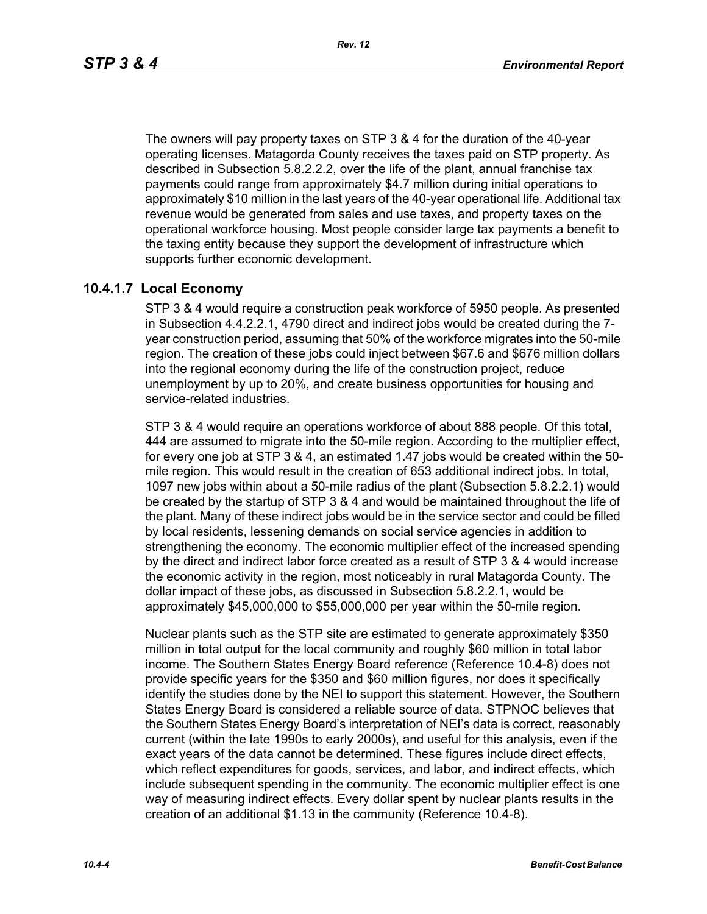*Rev. 12*

The owners will pay property taxes on STP 3 & 4 for the duration of the 40-year operating licenses. Matagorda County receives the taxes paid on STP property. As described in Subsection 5.8.2.2.2, over the life of the plant, annual franchise tax payments could range from approximately \$4.7 million during initial operations to approximately \$10 million in the last years of the 40-year operational life. Additional tax revenue would be generated from sales and use taxes, and property taxes on the operational workforce housing. Most people consider large tax payments a benefit to the taxing entity because they support the development of infrastructure which supports further economic development.

# **10.4.1.7 Local Economy**

STP 3 & 4 would require a construction peak workforce of 5950 people. As presented in Subsection 4.4.2.2.1, 4790 direct and indirect jobs would be created during the 7 year construction period, assuming that 50% of the workforce migrates into the 50-mile region. The creation of these jobs could inject between \$67.6 and \$676 million dollars into the regional economy during the life of the construction project, reduce unemployment by up to 20%, and create business opportunities for housing and service-related industries.

STP 3 & 4 would require an operations workforce of about 888 people. Of this total, 444 are assumed to migrate into the 50-mile region. According to the multiplier effect, for every one job at STP 3 & 4, an estimated 1.47 jobs would be created within the 50 mile region. This would result in the creation of 653 additional indirect jobs. In total, 1097 new jobs within about a 50-mile radius of the plant (Subsection 5.8.2.2.1) would be created by the startup of STP 3 & 4 and would be maintained throughout the life of the plant. Many of these indirect jobs would be in the service sector and could be filled by local residents, lessening demands on social service agencies in addition to strengthening the economy. The economic multiplier effect of the increased spending by the direct and indirect labor force created as a result of STP 3 & 4 would increase the economic activity in the region, most noticeably in rural Matagorda County. The dollar impact of these jobs, as discussed in Subsection 5.8.2.2.1, would be approximately \$45,000,000 to \$55,000,000 per year within the 50-mile region.

Nuclear plants such as the STP site are estimated to generate approximately \$350 million in total output for the local community and roughly \$60 million in total labor income. The Southern States Energy Board reference (Reference 10.4-8) does not provide specific years for the \$350 and \$60 million figures, nor does it specifically identify the studies done by the NEI to support this statement. However, the Southern States Energy Board is considered a reliable source of data. STPNOC believes that the Southern States Energy Board's interpretation of NEI's data is correct, reasonably current (within the late 1990s to early 2000s), and useful for this analysis, even if the exact years of the data cannot be determined. These figures include direct effects, which reflect expenditures for goods, services, and labor, and indirect effects, which include subsequent spending in the community. The economic multiplier effect is one way of measuring indirect effects. Every dollar spent by nuclear plants results in the creation of an additional \$1.13 in the community (Reference 10.4-8).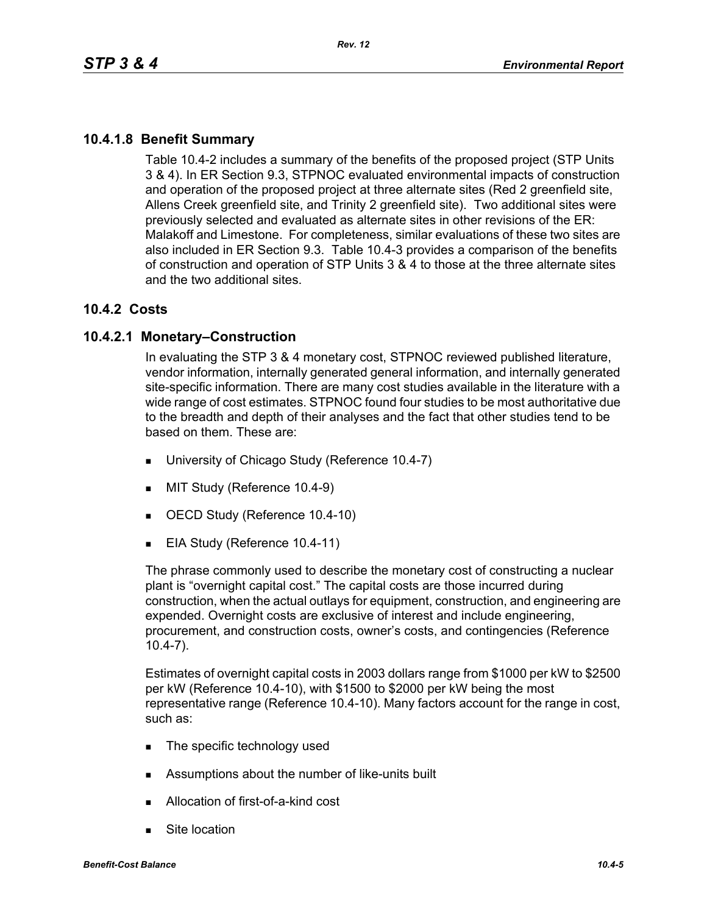# **10.4.1.8 Benefit Summary**

Table 10.4-2 includes a summary of the benefits of the proposed project (STP Units 3 & 4). In ER Section 9.3, STPNOC evaluated environmental impacts of construction and operation of the proposed project at three alternate sites (Red 2 greenfield site, Allens Creek greenfield site, and Trinity 2 greenfield site). Two additional sites were previously selected and evaluated as alternate sites in other revisions of the ER: Malakoff and Limestone. For completeness, similar evaluations of these two sites are also included in ER Section 9.3. Table 10.4-3 provides a comparison of the benefits of construction and operation of STP Units 3 & 4 to those at the three alternate sites and the two additional sites.

# **10.4.2 Costs**

# **10.4.2.1 Monetary–Construction**

In evaluating the STP 3 & 4 monetary cost, STPNOC reviewed published literature, vendor information, internally generated general information, and internally generated site-specific information. There are many cost studies available in the literature with a wide range of cost estimates. STPNOC found four studies to be most authoritative due to the breadth and depth of their analyses and the fact that other studies tend to be based on them. These are:

- **University of Chicago Study (Reference 10.4-7)**
- **MIT Study (Reference 10.4-9)**
- OECD Study (Reference 10.4-10)
- EIA Study (Reference 10.4-11)

The phrase commonly used to describe the monetary cost of constructing a nuclear plant is "overnight capital cost." The capital costs are those incurred during construction, when the actual outlays for equipment, construction, and engineering are expended. Overnight costs are exclusive of interest and include engineering, procurement, and construction costs, owner's costs, and contingencies (Reference 10.4-7).

Estimates of overnight capital costs in 2003 dollars range from \$1000 per kW to \$2500 per kW (Reference 10.4-10), with \$1500 to \$2000 per kW being the most representative range (Reference 10.4-10). Many factors account for the range in cost, such as:

- The specific technology used
- Assumptions about the number of like-units built
- Allocation of first-of-a-kind cost
- Site location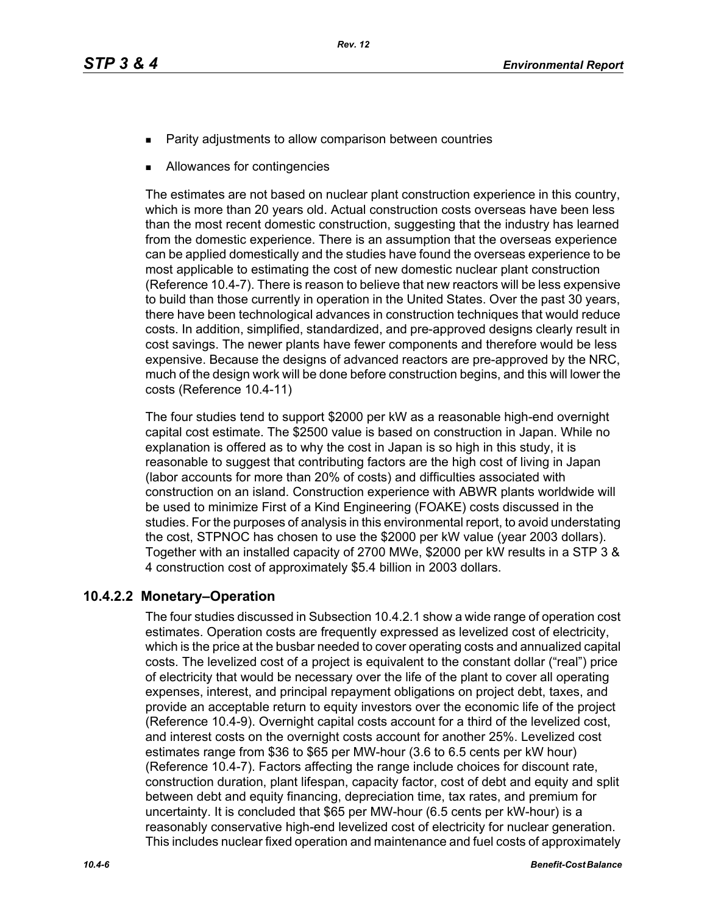- Parity adjustments to allow comparison between countries
- Allowances for contingencies

The estimates are not based on nuclear plant construction experience in this country, which is more than 20 years old. Actual construction costs overseas have been less than the most recent domestic construction, suggesting that the industry has learned from the domestic experience. There is an assumption that the overseas experience can be applied domestically and the studies have found the overseas experience to be most applicable to estimating the cost of new domestic nuclear plant construction (Reference 10.4-7). There is reason to believe that new reactors will be less expensive to build than those currently in operation in the United States. Over the past 30 years, there have been technological advances in construction techniques that would reduce costs. In addition, simplified, standardized, and pre-approved designs clearly result in cost savings. The newer plants have fewer components and therefore would be less expensive. Because the designs of advanced reactors are pre-approved by the NRC, much of the design work will be done before construction begins, and this will lower the costs (Reference 10.4-11)

The four studies tend to support \$2000 per kW as a reasonable high-end overnight capital cost estimate. The \$2500 value is based on construction in Japan. While no explanation is offered as to why the cost in Japan is so high in this study, it is reasonable to suggest that contributing factors are the high cost of living in Japan (labor accounts for more than 20% of costs) and difficulties associated with construction on an island. Construction experience with ABWR plants worldwide will be used to minimize First of a Kind Engineering (FOAKE) costs discussed in the studies. For the purposes of analysis in this environmental report, to avoid understating the cost, STPNOC has chosen to use the \$2000 per kW value (year 2003 dollars). Together with an installed capacity of 2700 MWe, \$2000 per kW results in a STP 3 & 4 construction cost of approximately \$5.4 billion in 2003 dollars.

# **10.4.2.2 Monetary–Operation**

The four studies discussed in Subsection 10.4.2.1 show a wide range of operation cost estimates. Operation costs are frequently expressed as levelized cost of electricity, which is the price at the busbar needed to cover operating costs and annualized capital costs. The levelized cost of a project is equivalent to the constant dollar ("real") price of electricity that would be necessary over the life of the plant to cover all operating expenses, interest, and principal repayment obligations on project debt, taxes, and provide an acceptable return to equity investors over the economic life of the project (Reference 10.4-9). Overnight capital costs account for a third of the levelized cost, and interest costs on the overnight costs account for another 25%. Levelized cost estimates range from \$36 to \$65 per MW-hour (3.6 to 6.5 cents per kW hour) (Reference 10.4-7). Factors affecting the range include choices for discount rate, construction duration, plant lifespan, capacity factor, cost of debt and equity and split between debt and equity financing, depreciation time, tax rates, and premium for uncertainty. It is concluded that \$65 per MW-hour (6.5 cents per kW-hour) is a reasonably conservative high-end levelized cost of electricity for nuclear generation. This includes nuclear fixed operation and maintenance and fuel costs of approximately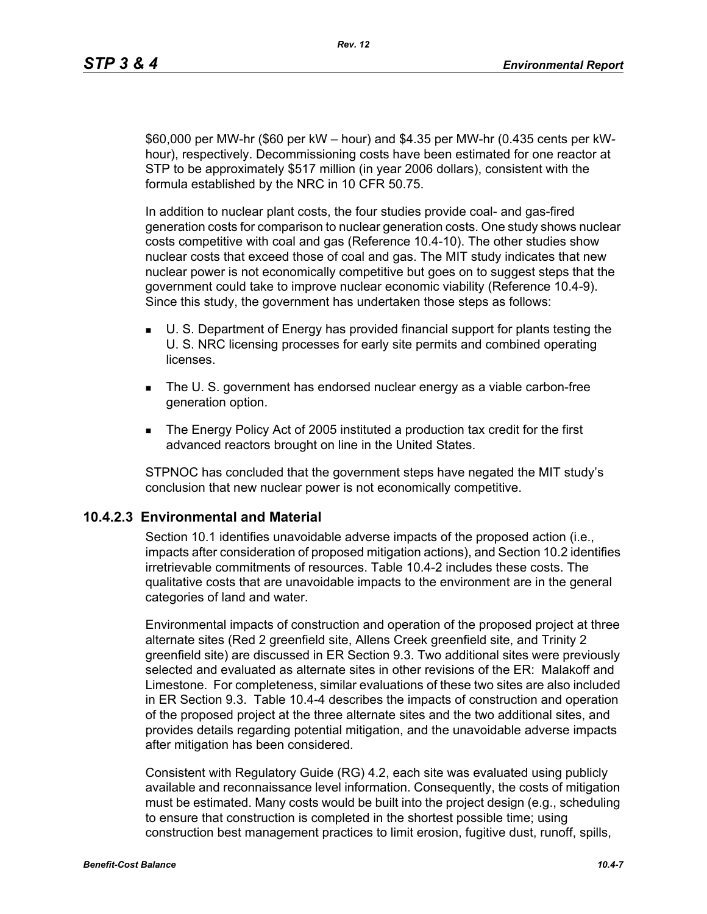\$60,000 per MW-hr (\$60 per kW – hour) and \$4.35 per MW-hr (0.435 cents per kWhour), respectively. Decommissioning costs have been estimated for one reactor at STP to be approximately \$517 million (in year 2006 dollars), consistent with the formula established by the NRC in 10 CFR 50.75.

In addition to nuclear plant costs, the four studies provide coal- and gas-fired generation costs for comparison to nuclear generation costs. One study shows nuclear costs competitive with coal and gas (Reference 10.4-10). The other studies show nuclear costs that exceed those of coal and gas. The MIT study indicates that new nuclear power is not economically competitive but goes on to suggest steps that the government could take to improve nuclear economic viability (Reference 10.4-9). Since this study, the government has undertaken those steps as follows:

- U. S. Department of Energy has provided financial support for plants testing the U. S. NRC licensing processes for early site permits and combined operating **licenses**
- The U. S. government has endorsed nuclear energy as a viable carbon-free generation option.
- The Energy Policy Act of 2005 instituted a production tax credit for the first advanced reactors brought on line in the United States.

STPNOC has concluded that the government steps have negated the MIT study's conclusion that new nuclear power is not economically competitive.

# **10.4.2.3 Environmental and Material**

Section 10.1 identifies unavoidable adverse impacts of the proposed action (i.e., impacts after consideration of proposed mitigation actions), and Section 10.2 identifies irretrievable commitments of resources. Table 10.4-2 includes these costs. The qualitative costs that are unavoidable impacts to the environment are in the general categories of land and water.

Environmental impacts of construction and operation of the proposed project at three alternate sites (Red 2 greenfield site, Allens Creek greenfield site, and Trinity 2 greenfield site) are discussed in ER Section 9.3. Two additional sites were previously selected and evaluated as alternate sites in other revisions of the ER: Malakoff and Limestone. For completeness, similar evaluations of these two sites are also included in ER Section 9.3. Table 10.4-4 describes the impacts of construction and operation of the proposed project at the three alternate sites and the two additional sites, and provides details regarding potential mitigation, and the unavoidable adverse impacts after mitigation has been considered.

Consistent with Regulatory Guide (RG) 4.2, each site was evaluated using publicly available and reconnaissance level information. Consequently, the costs of mitigation must be estimated. Many costs would be built into the project design (e.g., scheduling to ensure that construction is completed in the shortest possible time; using construction best management practices to limit erosion, fugitive dust, runoff, spills,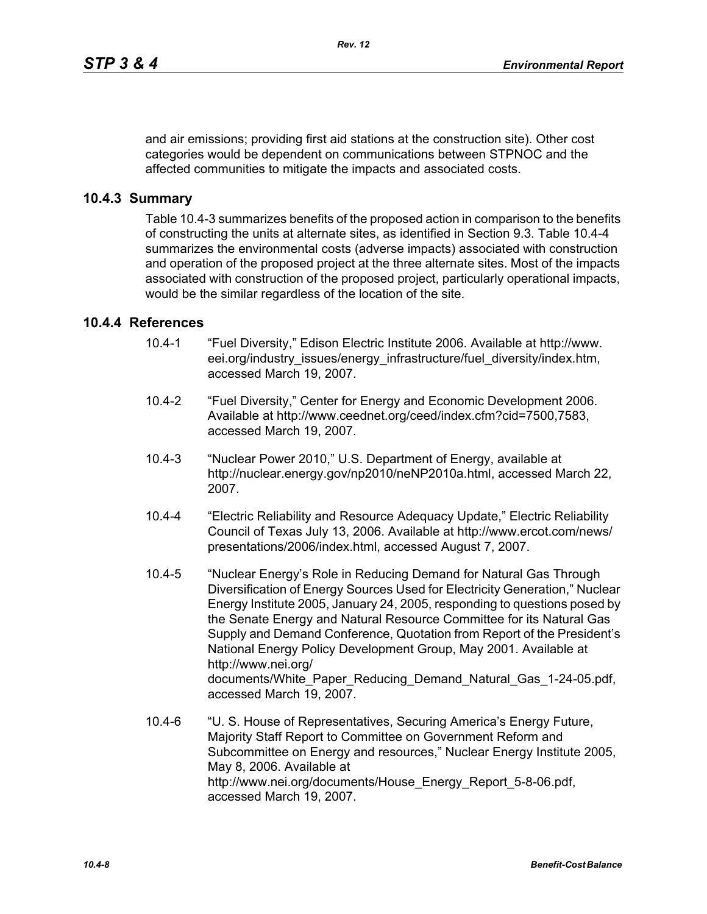and air emissions; providing first aid stations at the construction site). Other cost categories would be dependent on communications between STPNOC and the affected communities to mitigate the impacts and associated costs.

# **10.4.3 Summary**

Table 10.4-3 summarizes benefits of the proposed action in comparison to the benefits of constructing the units at alternate sites, as identified in Section 9.3. Table 10.4-4 summarizes the environmental costs (adverse impacts) associated with construction and operation of the proposed project at the three alternate sites. Most of the impacts associated with construction of the proposed project, particularly operational impacts, would be the similar regardless of the location of the site.

# **10.4.4 References**

- 10.4-1 "Fuel Diversity," Edison Electric Institute 2006. Available at http://www. eei.org/industry\_issues/energy\_infrastructure/fuel\_diversity/index.htm, accessed March 19, 2007.
- 10.4-2 "Fuel Diversity," Center for Energy and Economic Development 2006. Available at http://www.ceednet.org/ceed/index.cfm?cid=7500,7583, accessed March 19, 2007.
- 10.4-3 "Nuclear Power 2010," U.S. Department of Energy, available at http://nuclear.energy.gov/np2010/neNP2010a.html, accessed March 22, 2007.
- 10.4-4 "Electric Reliability and Resource Adequacy Update," Electric Reliability Council of Texas July 13, 2006. Available at http://www.ercot.com/news/ presentations/2006/index.html, accessed August 7, 2007.
- 10.4-5 "Nuclear Energy's Role in Reducing Demand for Natural Gas Through Diversification of Energy Sources Used for Electricity Generation," Nuclear Energy Institute 2005, January 24, 2005, responding to questions posed by the Senate Energy and Natural Resource Committee for its Natural Gas Supply and Demand Conference, Quotation from Report of the President's National Energy Policy Development Group, May 2001. Available at http://www.nei.org/ documents/White\_Paper\_Reducing\_Demand\_Natural\_Gas\_1-24-05.pdf, accessed March 19, 2007.
- 10.4-6 "U. S. House of Representatives, Securing America's Energy Future, Majority Staff Report to Committee on Government Reform and Subcommittee on Energy and resources," Nuclear Energy Institute 2005, May 8, 2006. Available at http://www.nei.org/documents/House\_Energy\_Report\_5-8-06.pdf, accessed March 19, 2007.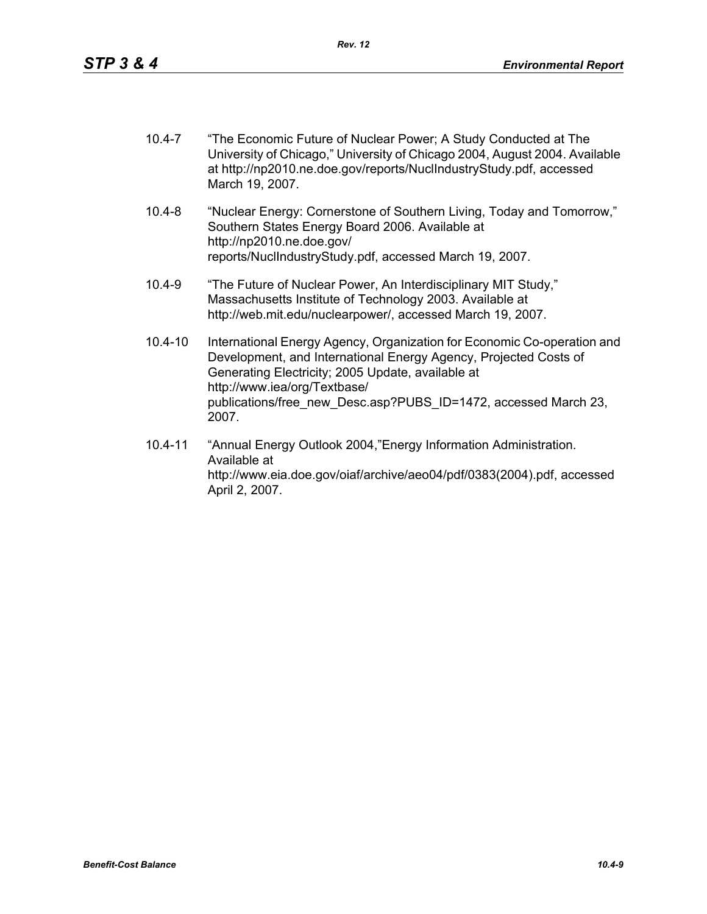| $10.4 - 7$ | "The Economic Future of Nuclear Power; A Study Conducted at The            |
|------------|----------------------------------------------------------------------------|
|            | University of Chicago," University of Chicago 2004, August 2004. Available |
|            | at http://np2010.ne.doe.gov/reports/NuclindustryStudy.pdf, accessed        |
|            | March 19, 2007.                                                            |

- 10.4-8 "Nuclear Energy: Cornerstone of Southern Living, Today and Tomorrow," Southern States Energy Board 2006. Available at http://np2010.ne.doe.gov/ reports/NuclIndustryStudy.pdf, accessed March 19, 2007.
- 10.4-9 "The Future of Nuclear Power, An Interdisciplinary MIT Study," Massachusetts Institute of Technology 2003. Available at http://web.mit.edu/nuclearpower/, accessed March 19, 2007.
- 10.4-10 International Energy Agency, Organization for Economic Co-operation and Development, and International Energy Agency, Projected Costs of Generating Electricity; 2005 Update, available at http://www.iea/org/Textbase/ publications/free\_new\_Desc.asp?PUBS\_ID=1472, accessed March 23, 2007.
- 10.4-11 "Annual Energy Outlook 2004,"Energy Information Administration. Available at http://www.eia.doe.gov/oiaf/archive/aeo04/pdf/0383(2004).pdf, accessed April 2, 2007.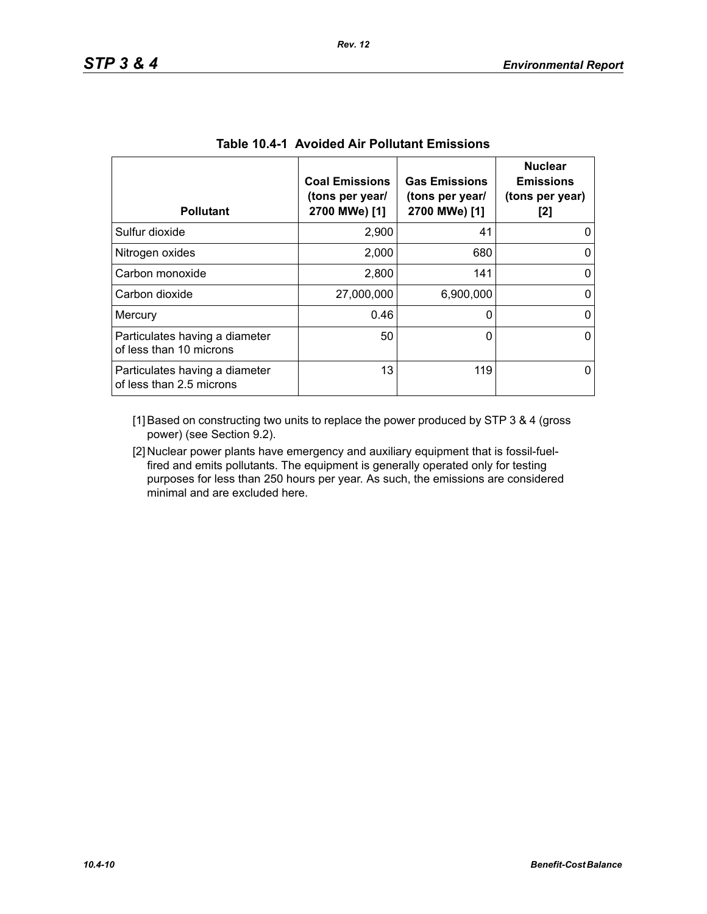| <b>Pollutant</b>                                           | <b>Coal Emissions</b><br>(tons per year/<br>2700 MWe) [1] | <b>Gas Emissions</b><br>(tons per year/<br>2700 MWe) [1] | <b>Nuclear</b><br><b>Emissions</b><br>(tons per year)<br>[2] |
|------------------------------------------------------------|-----------------------------------------------------------|----------------------------------------------------------|--------------------------------------------------------------|
| Sulfur dioxide                                             | 2,900                                                     | 41                                                       |                                                              |
| Nitrogen oxides                                            | 2,000                                                     | 680                                                      | 0                                                            |
| Carbon monoxide                                            | 2,800                                                     | 141                                                      | 0                                                            |
| Carbon dioxide                                             | 27,000,000                                                | 6,900,000                                                | 0                                                            |
| Mercury                                                    | 0.46                                                      | 0                                                        | 0                                                            |
| Particulates having a diameter<br>of less than 10 microns  | 50                                                        | 0                                                        | O                                                            |
| Particulates having a diameter<br>of less than 2.5 microns | 13                                                        | 119                                                      |                                                              |

|  |  | <b>Table 10.4-1 Avoided Air Pollutant Emissions</b> |  |
|--|--|-----------------------------------------------------|--|
|--|--|-----------------------------------------------------|--|

[1] Based on constructing two units to replace the power produced by STP 3 & 4 (gross power) (see Section 9.2).

[2] Nuclear power plants have emergency and auxiliary equipment that is fossil-fuelfired and emits pollutants. The equipment is generally operated only for testing purposes for less than 250 hours per year. As such, the emissions are considered minimal and are excluded here.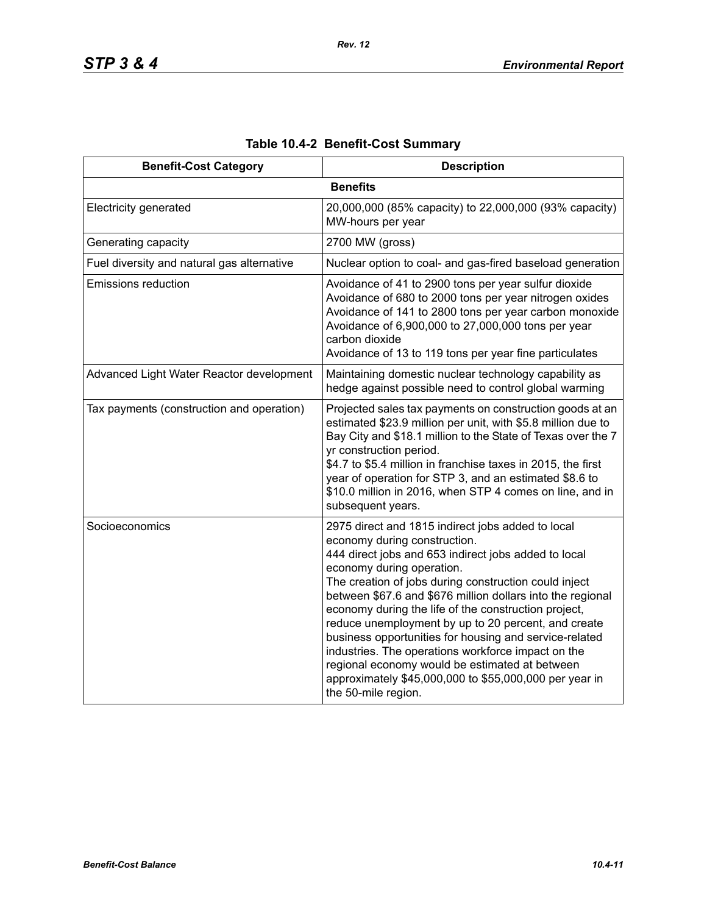| <b>Benefit-Cost Category</b>               | <b>Description</b>                                                                                                                                                                                                                                                                                                                                                                                                                                                                                                                                                                                                                                              |
|--------------------------------------------|-----------------------------------------------------------------------------------------------------------------------------------------------------------------------------------------------------------------------------------------------------------------------------------------------------------------------------------------------------------------------------------------------------------------------------------------------------------------------------------------------------------------------------------------------------------------------------------------------------------------------------------------------------------------|
|                                            | <b>Benefits</b>                                                                                                                                                                                                                                                                                                                                                                                                                                                                                                                                                                                                                                                 |
| <b>Electricity generated</b>               | 20,000,000 (85% capacity) to 22,000,000 (93% capacity)<br>MW-hours per year                                                                                                                                                                                                                                                                                                                                                                                                                                                                                                                                                                                     |
| Generating capacity                        | 2700 MW (gross)                                                                                                                                                                                                                                                                                                                                                                                                                                                                                                                                                                                                                                                 |
| Fuel diversity and natural gas alternative | Nuclear option to coal- and gas-fired baseload generation                                                                                                                                                                                                                                                                                                                                                                                                                                                                                                                                                                                                       |
| <b>Emissions reduction</b>                 | Avoidance of 41 to 2900 tons per year sulfur dioxide<br>Avoidance of 680 to 2000 tons per year nitrogen oxides<br>Avoidance of 141 to 2800 tons per year carbon monoxide<br>Avoidance of 6,900,000 to 27,000,000 tons per year<br>carbon dioxide<br>Avoidance of 13 to 119 tons per year fine particulates                                                                                                                                                                                                                                                                                                                                                      |
| Advanced Light Water Reactor development   | Maintaining domestic nuclear technology capability as<br>hedge against possible need to control global warming                                                                                                                                                                                                                                                                                                                                                                                                                                                                                                                                                  |
| Tax payments (construction and operation)  | Projected sales tax payments on construction goods at an<br>estimated \$23.9 million per unit, with \$5.8 million due to<br>Bay City and \$18.1 million to the State of Texas over the 7<br>yr construction period.<br>\$4.7 to \$5.4 million in franchise taxes in 2015, the first<br>year of operation for STP 3, and an estimated \$8.6 to<br>\$10.0 million in 2016, when STP 4 comes on line, and in<br>subsequent years.                                                                                                                                                                                                                                  |
| Socioeconomics                             | 2975 direct and 1815 indirect jobs added to local<br>economy during construction.<br>444 direct jobs and 653 indirect jobs added to local<br>economy during operation.<br>The creation of jobs during construction could inject<br>between \$67.6 and \$676 million dollars into the regional<br>economy during the life of the construction project,<br>reduce unemployment by up to 20 percent, and create<br>business opportunities for housing and service-related<br>industries. The operations workforce impact on the<br>regional economy would be estimated at between<br>approximately \$45,000,000 to \$55,000,000 per year in<br>the 50-mile region. |

# **Table 10.4-2 Benefit-Cost Summary**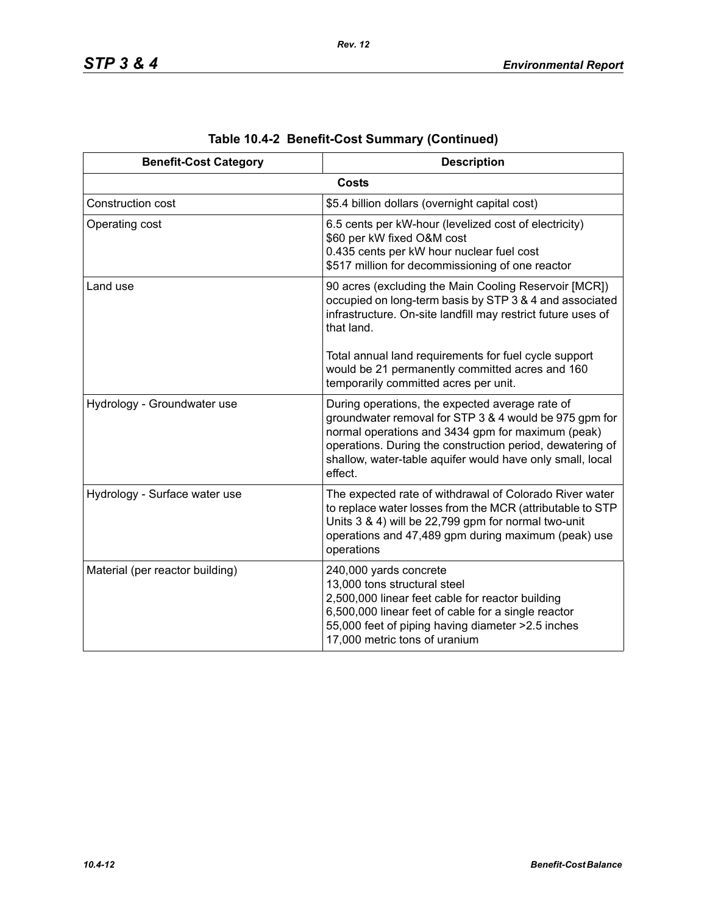| <b>Benefit-Cost Category</b>    | <b>Description</b>                                                                                                                                                                                                                                                                                  |
|---------------------------------|-----------------------------------------------------------------------------------------------------------------------------------------------------------------------------------------------------------------------------------------------------------------------------------------------------|
|                                 | <b>Costs</b>                                                                                                                                                                                                                                                                                        |
| Construction cost               | \$5.4 billion dollars (overnight capital cost)                                                                                                                                                                                                                                                      |
| Operating cost                  | 6.5 cents per kW-hour (levelized cost of electricity)<br>\$60 per kW fixed O&M cost<br>0.435 cents per kW hour nuclear fuel cost<br>\$517 million for decommissioning of one reactor                                                                                                                |
| Land use                        | 90 acres (excluding the Main Cooling Reservoir [MCR])<br>occupied on long-term basis by STP 3 & 4 and associated<br>infrastructure. On-site landfill may restrict future uses of<br>that land.                                                                                                      |
|                                 | Total annual land requirements for fuel cycle support<br>would be 21 permanently committed acres and 160<br>temporarily committed acres per unit.                                                                                                                                                   |
| Hydrology - Groundwater use     | During operations, the expected average rate of<br>groundwater removal for STP 3 & 4 would be 975 gpm for<br>normal operations and 3434 gpm for maximum (peak)<br>operations. During the construction period, dewatering of<br>shallow, water-table aquifer would have only small, local<br>effect. |
| Hydrology - Surface water use   | The expected rate of withdrawal of Colorado River water<br>to replace water losses from the MCR (attributable to STP<br>Units 3 & 4) will be 22,799 gpm for normal two-unit<br>operations and 47,489 gpm during maximum (peak) use<br>operations                                                    |
| Material (per reactor building) | 240,000 yards concrete<br>13,000 tons structural steel<br>2,500,000 linear feet cable for reactor building<br>6,500,000 linear feet of cable for a single reactor<br>55,000 feet of piping having diameter > 2.5 inches<br>17,000 metric tons of uranium                                            |

|  | Table 10.4-2 Benefit-Cost Summary (Continued) |  |  |
|--|-----------------------------------------------|--|--|
|--|-----------------------------------------------|--|--|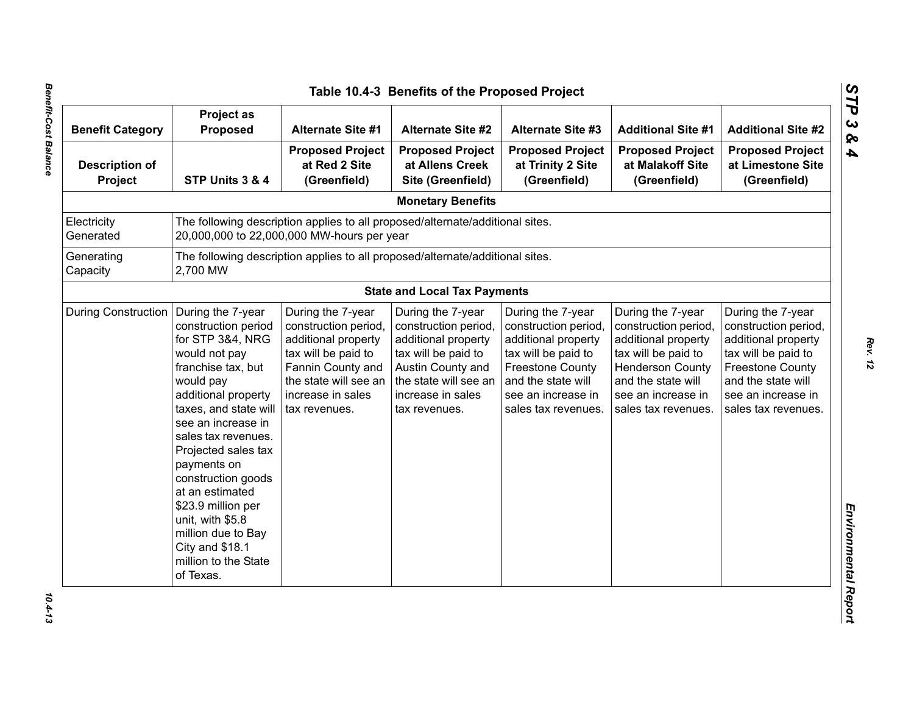| <b>Benefit Category</b>          | Project as<br><b>Proposed</b>                                                                                                                                                                                                                                                                                                                                                                                        | <b>Alternate Site #1</b>                                                                                                                                                    | <b>Alternate Site #2</b>                                                                                                                                                    | <b>Alternate Site #3</b>                                                                                                                                                              | <b>Additional Site #1</b>                                                                                                                                                             | <b>Additional Site #2</b>                                                                                                                                                             |
|----------------------------------|----------------------------------------------------------------------------------------------------------------------------------------------------------------------------------------------------------------------------------------------------------------------------------------------------------------------------------------------------------------------------------------------------------------------|-----------------------------------------------------------------------------------------------------------------------------------------------------------------------------|-----------------------------------------------------------------------------------------------------------------------------------------------------------------------------|---------------------------------------------------------------------------------------------------------------------------------------------------------------------------------------|---------------------------------------------------------------------------------------------------------------------------------------------------------------------------------------|---------------------------------------------------------------------------------------------------------------------------------------------------------------------------------------|
| <b>Description of</b><br>Project | STP Units 3 & 4                                                                                                                                                                                                                                                                                                                                                                                                      | <b>Proposed Project</b><br>at Red 2 Site<br>(Greenfield)                                                                                                                    | <b>Proposed Project</b><br>at Allens Creek<br>Site (Greenfield)                                                                                                             | <b>Proposed Project</b><br>at Trinity 2 Site<br>(Greenfield)                                                                                                                          | <b>Proposed Project</b><br>at Malakoff Site<br>(Greenfield)                                                                                                                           | <b>Proposed Project</b><br>at Limestone Site<br>(Greenfield)                                                                                                                          |
|                                  |                                                                                                                                                                                                                                                                                                                                                                                                                      |                                                                                                                                                                             | <b>Monetary Benefits</b>                                                                                                                                                    |                                                                                                                                                                                       |                                                                                                                                                                                       |                                                                                                                                                                                       |
| Electricity<br>Generated         |                                                                                                                                                                                                                                                                                                                                                                                                                      | The following description applies to all proposed/alternate/additional sites.<br>20,000,000 to 22,000,000 MW-hours per year                                                 |                                                                                                                                                                             |                                                                                                                                                                                       |                                                                                                                                                                                       |                                                                                                                                                                                       |
| Generating<br>Capacity           | 2,700 MW                                                                                                                                                                                                                                                                                                                                                                                                             | The following description applies to all proposed/alternate/additional sites.                                                                                               |                                                                                                                                                                             |                                                                                                                                                                                       |                                                                                                                                                                                       |                                                                                                                                                                                       |
|                                  |                                                                                                                                                                                                                                                                                                                                                                                                                      |                                                                                                                                                                             | <b>State and Local Tax Payments</b>                                                                                                                                         |                                                                                                                                                                                       |                                                                                                                                                                                       |                                                                                                                                                                                       |
| <b>During Construction</b>       | During the 7-year<br>construction period<br>for STP 3&4, NRG<br>would not pay<br>franchise tax, but<br>would pay<br>additional property<br>taxes, and state will<br>see an increase in<br>sales tax revenues.<br>Projected sales tax<br>payments on<br>construction goods<br>at an estimated<br>\$23.9 million per<br>unit, with \$5.8<br>million due to Bay<br>City and \$18.1<br>million to the State<br>of Texas. | During the 7-year<br>construction period,<br>additional property<br>tax will be paid to<br>Fannin County and<br>the state will see an<br>increase in sales<br>tax revenues. | During the 7-year<br>construction period,<br>additional property<br>tax will be paid to<br>Austin County and<br>the state will see an<br>increase in sales<br>tax revenues. | During the 7-year<br>construction period,<br>additional property<br>tax will be paid to<br><b>Freestone County</b><br>and the state will<br>see an increase in<br>sales tax revenues. | During the 7-year<br>construction period,<br>additional property<br>tax will be paid to<br><b>Henderson County</b><br>and the state will<br>see an increase in<br>sales tax revenues. | During the 7-year<br>construction period,<br>additional property<br>tax will be paid to<br><b>Freestone County</b><br>and the state will<br>see an increase in<br>sales tax revenues. |

*STP 3 & 4*

 $10.4 - 13$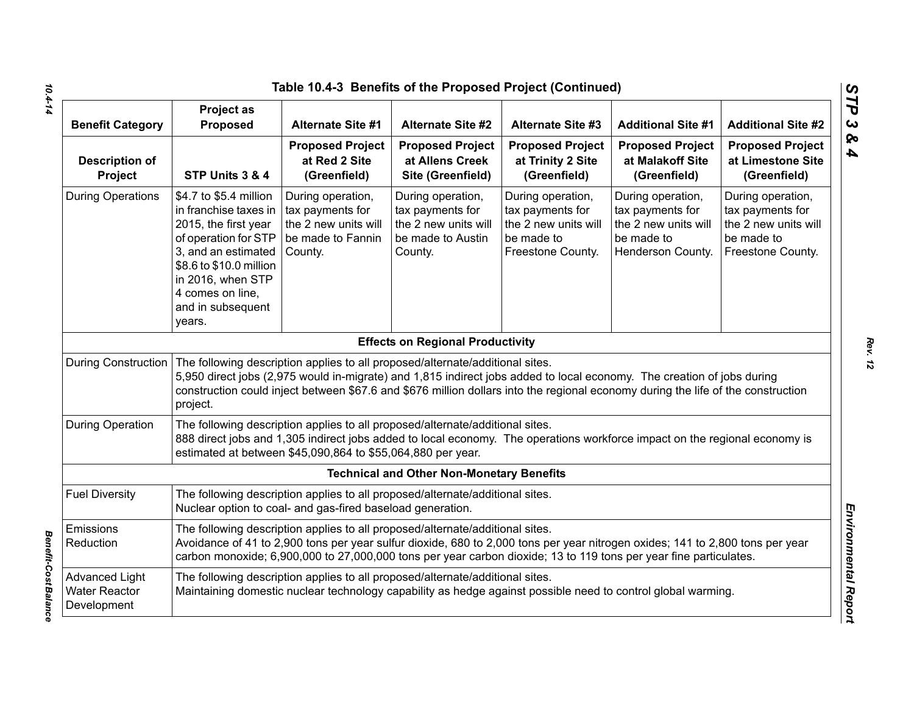|                                                              |                                                                                                                                                                                                                                                                                                                                                         | Table 10.4-3 Benefits of the Proposed Project (Continued)                                     |                                                                                               |                                                                                                              |                                                                                                  |                                                                                                  |
|--------------------------------------------------------------|---------------------------------------------------------------------------------------------------------------------------------------------------------------------------------------------------------------------------------------------------------------------------------------------------------------------------------------------------------|-----------------------------------------------------------------------------------------------|-----------------------------------------------------------------------------------------------|--------------------------------------------------------------------------------------------------------------|--------------------------------------------------------------------------------------------------|--------------------------------------------------------------------------------------------------|
| <b>Benefit Category</b>                                      | <b>Project as</b><br>Proposed                                                                                                                                                                                                                                                                                                                           | <b>Alternate Site #1</b>                                                                      | <b>Alternate Site #2</b>                                                                      | <b>Alternate Site #3</b>                                                                                     | <b>Additional Site #1</b>                                                                        | <b>Additional Site #2</b>                                                                        |
| <b>Description of</b><br>Project                             | STP Units 3 & 4                                                                                                                                                                                                                                                                                                                                         | <b>Proposed Project</b><br>at Red 2 Site<br>(Greenfield)                                      | <b>Proposed Project</b><br>at Allens Creek<br>Site (Greenfield)                               | <b>Proposed Project</b><br>at Trinity 2 Site<br>(Greenfield)                                                 | <b>Proposed Project</b><br>at Malakoff Site<br>(Greenfield)                                      | <b>Proposed Project</b><br>at Limestone Site<br>(Greenfield)                                     |
| <b>During Operations</b>                                     | \$4.7 to \$5.4 million<br>in franchise taxes in<br>2015, the first year<br>of operation for STP<br>3, and an estimated<br>\$8.6 to \$10.0 million<br>in 2016, when STP<br>4 comes on line,<br>and in subsequent<br>years.                                                                                                                               | During operation,<br>tax payments for<br>the 2 new units will<br>be made to Fannin<br>County. | During operation,<br>tax payments for<br>the 2 new units will<br>be made to Austin<br>County. | During operation,<br>tax payments for<br>the 2 new units will<br>be made to<br>Freestone County.             | During operation,<br>tax payments for<br>the 2 new units will<br>be made to<br>Henderson County. | During operation,<br>tax payments for<br>the 2 new units will<br>be made to<br>Freestone County. |
|                                                              |                                                                                                                                                                                                                                                                                                                                                         |                                                                                               | <b>Effects on Regional Productivity</b>                                                       |                                                                                                              |                                                                                                  |                                                                                                  |
| <b>During Construction</b>                                   | The following description applies to all proposed/alternate/additional sites.<br>5,950 direct jobs (2,975 would in-migrate) and 1,815 indirect jobs added to local economy. The creation of jobs during<br>construction could inject between \$67.6 and \$676 million dollars into the regional economy during the life of the construction<br>project. |                                                                                               |                                                                                               |                                                                                                              |                                                                                                  |                                                                                                  |
| <b>During Operation</b>                                      | The following description applies to all proposed/alternate/additional sites.<br>888 direct jobs and 1,305 indirect jobs added to local economy. The operations workforce impact on the regional economy is<br>estimated at between \$45,090,864 to \$55,064,880 per year.                                                                              |                                                                                               |                                                                                               |                                                                                                              |                                                                                                  |                                                                                                  |
|                                                              |                                                                                                                                                                                                                                                                                                                                                         |                                                                                               | <b>Technical and Other Non-Monetary Benefits</b>                                              |                                                                                                              |                                                                                                  |                                                                                                  |
| <b>Fuel Diversity</b>                                        | The following description applies to all proposed/alternate/additional sites.<br>Nuclear option to coal- and gas-fired baseload generation.                                                                                                                                                                                                             |                                                                                               |                                                                                               |                                                                                                              |                                                                                                  |                                                                                                  |
| Emissions<br>Reduction                                       | The following description applies to all proposed/alternate/additional sites.<br>Avoidance of 41 to 2,900 tons per year sulfur dioxide, 680 to 2,000 tons per year nitrogen oxides; 141 to 2,800 tons per year<br>carbon monoxide; 6,900,000 to 27,000,000 tons per year carbon dioxide; 13 to 119 tons per year fine particulates.                     |                                                                                               |                                                                                               |                                                                                                              |                                                                                                  |                                                                                                  |
| <b>Advanced Light</b><br><b>Water Reactor</b><br>Development |                                                                                                                                                                                                                                                                                                                                                         | The following description applies to all proposed/alternate/additional sites.                 |                                                                                               | Maintaining domestic nuclear technology capability as hedge against possible need to control global warming. |                                                                                                  |                                                                                                  |

*10.4-14*

*Benefit-Cost Balance* 

**Benefit-Cost Balance** 

*STP 3 & 4*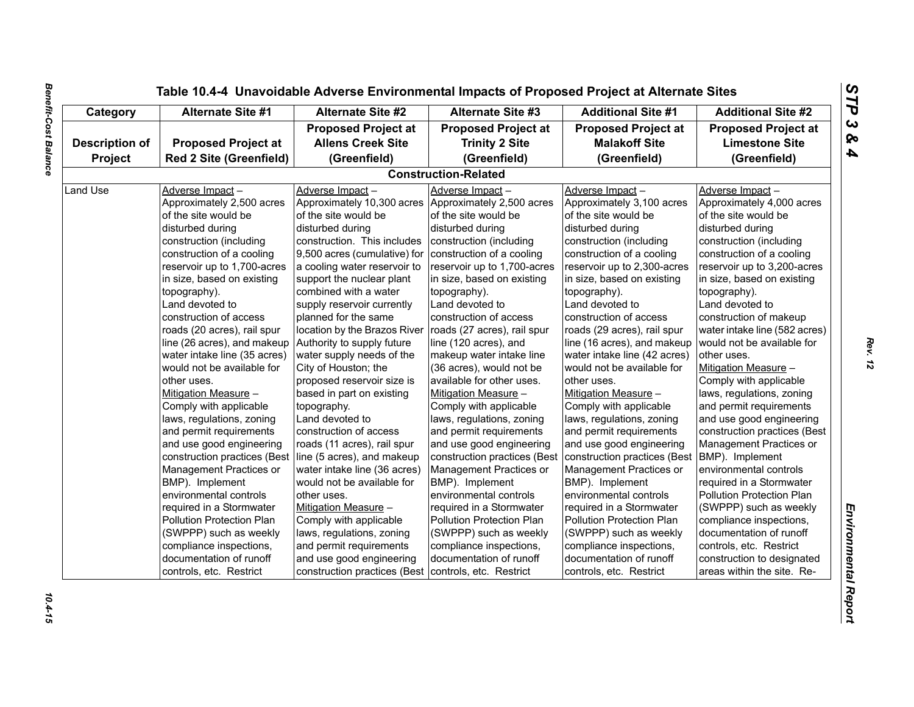| <b>Proposed Project at</b><br><b>Proposed Project at</b><br><b>Proposed Project at</b><br><b>Proposed Project at</b><br><b>Allens Creek Site</b><br><b>Trinity 2 Site</b><br><b>Malakoff Site</b><br><b>Description of</b><br><b>Red 2 Site (Greenfield)</b><br>Project<br>(Greenfield)<br>(Greenfield)<br>(Greenfield)<br><b>Construction-Related</b><br>Adverse Impact-<br>Adverse Impact-<br>Adverse Impact-<br>Land Use<br>Adverse Impact-<br>Approximately 2,500 acres<br>Approximately 10,300 acres<br>Approximately 2,500 acres<br>Approximately 3,100 acres<br>of the site would be<br>of the site would be<br>of the site would be<br>of the site would be<br>disturbed during<br>disturbed during<br>disturbed during<br>disturbed during<br>construction. This includes<br>construction (including<br>construction (including<br>construction (including<br>construction of a cooling<br>9,500 acres (cumulative) for<br>construction of a cooling<br>construction of a cooling<br>reservoir up to 1,700-acres<br>a cooling water reservoir to<br>reservoir up to 1,700-acres<br>reservoir up to 2,300-acres<br>in size, based on existing<br>support the nuclear plant<br>in size, based on existing<br>in size, based on existing<br>combined with a water<br>topography).<br>topography).<br>topography).<br>Land devoted to<br>supply reservoir currently<br>Land devoted to<br>Land devoted to<br>planned for the same<br>construction of access<br>construction of access<br>construction of access<br>location by the Brazos River<br>roads (27 acres), rail spur<br>roads (20 acres), rail spur<br>roads (29 acres), rail spur<br>line (26 acres), and makeup $\vert$ Authority to supply future<br>line (120 acres), and<br>line (16 acres), and makeup<br>water intake line (35 acres)<br>water supply needs of the<br>makeup water intake line<br>water intake line (42 acres)<br>City of Houston; the<br>would not be available for<br>would not be available for<br>(36 acres), would not be<br>proposed reservoir size is<br>available for other uses.<br>other uses.<br>other uses.<br>based in part on existing<br>Mitigation Measure -<br>Mitigation Measure -<br>Mitigation Measure -<br>Comply with applicable<br>Comply with applicable<br>topography.<br>Comply with applicable<br>laws, regulations, zoning<br>Land devoted to<br>laws, regulations, zoning<br>laws, regulations, zoning<br>and permit requirements<br>and permit requirements<br>and permit requirements<br>construction of access<br>and use good engineering<br>and use good engineering<br>and use good engineering<br>roads (11 acres), rail spur<br>construction practices (Best line (5 acres), and makeup<br>construction practices (Best<br>construction practices (Best<br>Management Practices or<br>Management Practices or<br>Management Practices or<br>water intake line (36 acres)<br>BMP). Implement<br>BMP). Implement<br>BMP). Implement<br>would not be available for<br>environmental controls<br>environmental controls<br>environmental controls<br>other uses.<br>required in a Stormwater<br>required in a Stormwater<br>Mitigation Measure -<br>required in a Stormwater<br>Comply with applicable<br>Pollution Protection Plan<br>Pollution Protection Plan<br>Pollution Protection Plan<br>(SWPPP) such as weekly<br>laws, regulations, zoning<br>(SWPPP) such as weekly<br>(SWPPP) such as weekly | Category | <b>Alternate Site #1</b> | <b>Alternate Site #2</b> | <b>Alternate Site #3</b> | <b>Additional Site #1</b> | <b>Additional Site #2</b>     |
|---------------------------------------------------------------------------------------------------------------------------------------------------------------------------------------------------------------------------------------------------------------------------------------------------------------------------------------------------------------------------------------------------------------------------------------------------------------------------------------------------------------------------------------------------------------------------------------------------------------------------------------------------------------------------------------------------------------------------------------------------------------------------------------------------------------------------------------------------------------------------------------------------------------------------------------------------------------------------------------------------------------------------------------------------------------------------------------------------------------------------------------------------------------------------------------------------------------------------------------------------------------------------------------------------------------------------------------------------------------------------------------------------------------------------------------------------------------------------------------------------------------------------------------------------------------------------------------------------------------------------------------------------------------------------------------------------------------------------------------------------------------------------------------------------------------------------------------------------------------------------------------------------------------------------------------------------------------------------------------------------------------------------------------------------------------------------------------------------------------------------------------------------------------------------------------------------------------------------------------------------------------------------------------------------------------------------------------------------------------------------------------------------------------------------------------------------------------------------------------------------------------------------------------------------------------------------------------------------------------------------------------------------------------------------------------------------------------------------------------------------------------------------------------------------------------------------------------------------------------------------------------------------------------------------------------------------------------------------------------------------------------------------------------------------------------------------------------------------------------------------------------------------------------------------------------------------------------------------------------------------------------------------------------------------------------------------------------------------------------------------------------------------------------------------------|----------|--------------------------|--------------------------|--------------------------|---------------------------|-------------------------------|
|                                                                                                                                                                                                                                                                                                                                                                                                                                                                                                                                                                                                                                                                                                                                                                                                                                                                                                                                                                                                                                                                                                                                                                                                                                                                                                                                                                                                                                                                                                                                                                                                                                                                                                                                                                                                                                                                                                                                                                                                                                                                                                                                                                                                                                                                                                                                                                                                                                                                                                                                                                                                                                                                                                                                                                                                                                                                                                                                                                                                                                                                                                                                                                                                                                                                                                                                                                                                                                 |          |                          |                          |                          |                           | <b>Proposed Project at</b>    |
|                                                                                                                                                                                                                                                                                                                                                                                                                                                                                                                                                                                                                                                                                                                                                                                                                                                                                                                                                                                                                                                                                                                                                                                                                                                                                                                                                                                                                                                                                                                                                                                                                                                                                                                                                                                                                                                                                                                                                                                                                                                                                                                                                                                                                                                                                                                                                                                                                                                                                                                                                                                                                                                                                                                                                                                                                                                                                                                                                                                                                                                                                                                                                                                                                                                                                                                                                                                                                                 |          |                          |                          |                          |                           | <b>Limestone Site</b>         |
|                                                                                                                                                                                                                                                                                                                                                                                                                                                                                                                                                                                                                                                                                                                                                                                                                                                                                                                                                                                                                                                                                                                                                                                                                                                                                                                                                                                                                                                                                                                                                                                                                                                                                                                                                                                                                                                                                                                                                                                                                                                                                                                                                                                                                                                                                                                                                                                                                                                                                                                                                                                                                                                                                                                                                                                                                                                                                                                                                                                                                                                                                                                                                                                                                                                                                                                                                                                                                                 |          |                          |                          |                          |                           | (Greenfield)                  |
|                                                                                                                                                                                                                                                                                                                                                                                                                                                                                                                                                                                                                                                                                                                                                                                                                                                                                                                                                                                                                                                                                                                                                                                                                                                                                                                                                                                                                                                                                                                                                                                                                                                                                                                                                                                                                                                                                                                                                                                                                                                                                                                                                                                                                                                                                                                                                                                                                                                                                                                                                                                                                                                                                                                                                                                                                                                                                                                                                                                                                                                                                                                                                                                                                                                                                                                                                                                                                                 |          |                          |                          |                          |                           |                               |
|                                                                                                                                                                                                                                                                                                                                                                                                                                                                                                                                                                                                                                                                                                                                                                                                                                                                                                                                                                                                                                                                                                                                                                                                                                                                                                                                                                                                                                                                                                                                                                                                                                                                                                                                                                                                                                                                                                                                                                                                                                                                                                                                                                                                                                                                                                                                                                                                                                                                                                                                                                                                                                                                                                                                                                                                                                                                                                                                                                                                                                                                                                                                                                                                                                                                                                                                                                                                                                 |          |                          |                          |                          |                           | Adverse Impact-               |
|                                                                                                                                                                                                                                                                                                                                                                                                                                                                                                                                                                                                                                                                                                                                                                                                                                                                                                                                                                                                                                                                                                                                                                                                                                                                                                                                                                                                                                                                                                                                                                                                                                                                                                                                                                                                                                                                                                                                                                                                                                                                                                                                                                                                                                                                                                                                                                                                                                                                                                                                                                                                                                                                                                                                                                                                                                                                                                                                                                                                                                                                                                                                                                                                                                                                                                                                                                                                                                 |          |                          |                          |                          |                           | Approximately 4,000 acres     |
|                                                                                                                                                                                                                                                                                                                                                                                                                                                                                                                                                                                                                                                                                                                                                                                                                                                                                                                                                                                                                                                                                                                                                                                                                                                                                                                                                                                                                                                                                                                                                                                                                                                                                                                                                                                                                                                                                                                                                                                                                                                                                                                                                                                                                                                                                                                                                                                                                                                                                                                                                                                                                                                                                                                                                                                                                                                                                                                                                                                                                                                                                                                                                                                                                                                                                                                                                                                                                                 |          |                          |                          |                          |                           | of the site would be          |
|                                                                                                                                                                                                                                                                                                                                                                                                                                                                                                                                                                                                                                                                                                                                                                                                                                                                                                                                                                                                                                                                                                                                                                                                                                                                                                                                                                                                                                                                                                                                                                                                                                                                                                                                                                                                                                                                                                                                                                                                                                                                                                                                                                                                                                                                                                                                                                                                                                                                                                                                                                                                                                                                                                                                                                                                                                                                                                                                                                                                                                                                                                                                                                                                                                                                                                                                                                                                                                 |          |                          |                          |                          |                           | disturbed during              |
|                                                                                                                                                                                                                                                                                                                                                                                                                                                                                                                                                                                                                                                                                                                                                                                                                                                                                                                                                                                                                                                                                                                                                                                                                                                                                                                                                                                                                                                                                                                                                                                                                                                                                                                                                                                                                                                                                                                                                                                                                                                                                                                                                                                                                                                                                                                                                                                                                                                                                                                                                                                                                                                                                                                                                                                                                                                                                                                                                                                                                                                                                                                                                                                                                                                                                                                                                                                                                                 |          |                          |                          |                          |                           | construction (including       |
|                                                                                                                                                                                                                                                                                                                                                                                                                                                                                                                                                                                                                                                                                                                                                                                                                                                                                                                                                                                                                                                                                                                                                                                                                                                                                                                                                                                                                                                                                                                                                                                                                                                                                                                                                                                                                                                                                                                                                                                                                                                                                                                                                                                                                                                                                                                                                                                                                                                                                                                                                                                                                                                                                                                                                                                                                                                                                                                                                                                                                                                                                                                                                                                                                                                                                                                                                                                                                                 |          |                          |                          |                          |                           | construction of a cooling     |
|                                                                                                                                                                                                                                                                                                                                                                                                                                                                                                                                                                                                                                                                                                                                                                                                                                                                                                                                                                                                                                                                                                                                                                                                                                                                                                                                                                                                                                                                                                                                                                                                                                                                                                                                                                                                                                                                                                                                                                                                                                                                                                                                                                                                                                                                                                                                                                                                                                                                                                                                                                                                                                                                                                                                                                                                                                                                                                                                                                                                                                                                                                                                                                                                                                                                                                                                                                                                                                 |          |                          |                          |                          |                           | reservoir up to 3,200-acres   |
|                                                                                                                                                                                                                                                                                                                                                                                                                                                                                                                                                                                                                                                                                                                                                                                                                                                                                                                                                                                                                                                                                                                                                                                                                                                                                                                                                                                                                                                                                                                                                                                                                                                                                                                                                                                                                                                                                                                                                                                                                                                                                                                                                                                                                                                                                                                                                                                                                                                                                                                                                                                                                                                                                                                                                                                                                                                                                                                                                                                                                                                                                                                                                                                                                                                                                                                                                                                                                                 |          |                          |                          |                          |                           | in size, based on existing    |
|                                                                                                                                                                                                                                                                                                                                                                                                                                                                                                                                                                                                                                                                                                                                                                                                                                                                                                                                                                                                                                                                                                                                                                                                                                                                                                                                                                                                                                                                                                                                                                                                                                                                                                                                                                                                                                                                                                                                                                                                                                                                                                                                                                                                                                                                                                                                                                                                                                                                                                                                                                                                                                                                                                                                                                                                                                                                                                                                                                                                                                                                                                                                                                                                                                                                                                                                                                                                                                 |          |                          |                          |                          |                           | topography).                  |
|                                                                                                                                                                                                                                                                                                                                                                                                                                                                                                                                                                                                                                                                                                                                                                                                                                                                                                                                                                                                                                                                                                                                                                                                                                                                                                                                                                                                                                                                                                                                                                                                                                                                                                                                                                                                                                                                                                                                                                                                                                                                                                                                                                                                                                                                                                                                                                                                                                                                                                                                                                                                                                                                                                                                                                                                                                                                                                                                                                                                                                                                                                                                                                                                                                                                                                                                                                                                                                 |          |                          |                          |                          |                           | Land devoted to               |
|                                                                                                                                                                                                                                                                                                                                                                                                                                                                                                                                                                                                                                                                                                                                                                                                                                                                                                                                                                                                                                                                                                                                                                                                                                                                                                                                                                                                                                                                                                                                                                                                                                                                                                                                                                                                                                                                                                                                                                                                                                                                                                                                                                                                                                                                                                                                                                                                                                                                                                                                                                                                                                                                                                                                                                                                                                                                                                                                                                                                                                                                                                                                                                                                                                                                                                                                                                                                                                 |          |                          |                          |                          |                           | construction of makeup        |
|                                                                                                                                                                                                                                                                                                                                                                                                                                                                                                                                                                                                                                                                                                                                                                                                                                                                                                                                                                                                                                                                                                                                                                                                                                                                                                                                                                                                                                                                                                                                                                                                                                                                                                                                                                                                                                                                                                                                                                                                                                                                                                                                                                                                                                                                                                                                                                                                                                                                                                                                                                                                                                                                                                                                                                                                                                                                                                                                                                                                                                                                                                                                                                                                                                                                                                                                                                                                                                 |          |                          |                          |                          |                           | water intake line (582 acres) |
|                                                                                                                                                                                                                                                                                                                                                                                                                                                                                                                                                                                                                                                                                                                                                                                                                                                                                                                                                                                                                                                                                                                                                                                                                                                                                                                                                                                                                                                                                                                                                                                                                                                                                                                                                                                                                                                                                                                                                                                                                                                                                                                                                                                                                                                                                                                                                                                                                                                                                                                                                                                                                                                                                                                                                                                                                                                                                                                                                                                                                                                                                                                                                                                                                                                                                                                                                                                                                                 |          |                          |                          |                          |                           | would not be available for    |
|                                                                                                                                                                                                                                                                                                                                                                                                                                                                                                                                                                                                                                                                                                                                                                                                                                                                                                                                                                                                                                                                                                                                                                                                                                                                                                                                                                                                                                                                                                                                                                                                                                                                                                                                                                                                                                                                                                                                                                                                                                                                                                                                                                                                                                                                                                                                                                                                                                                                                                                                                                                                                                                                                                                                                                                                                                                                                                                                                                                                                                                                                                                                                                                                                                                                                                                                                                                                                                 |          |                          |                          |                          |                           | other uses.                   |
|                                                                                                                                                                                                                                                                                                                                                                                                                                                                                                                                                                                                                                                                                                                                                                                                                                                                                                                                                                                                                                                                                                                                                                                                                                                                                                                                                                                                                                                                                                                                                                                                                                                                                                                                                                                                                                                                                                                                                                                                                                                                                                                                                                                                                                                                                                                                                                                                                                                                                                                                                                                                                                                                                                                                                                                                                                                                                                                                                                                                                                                                                                                                                                                                                                                                                                                                                                                                                                 |          |                          |                          |                          |                           | Mitigation Measure -          |
|                                                                                                                                                                                                                                                                                                                                                                                                                                                                                                                                                                                                                                                                                                                                                                                                                                                                                                                                                                                                                                                                                                                                                                                                                                                                                                                                                                                                                                                                                                                                                                                                                                                                                                                                                                                                                                                                                                                                                                                                                                                                                                                                                                                                                                                                                                                                                                                                                                                                                                                                                                                                                                                                                                                                                                                                                                                                                                                                                                                                                                                                                                                                                                                                                                                                                                                                                                                                                                 |          |                          |                          |                          |                           | Comply with applicable        |
|                                                                                                                                                                                                                                                                                                                                                                                                                                                                                                                                                                                                                                                                                                                                                                                                                                                                                                                                                                                                                                                                                                                                                                                                                                                                                                                                                                                                                                                                                                                                                                                                                                                                                                                                                                                                                                                                                                                                                                                                                                                                                                                                                                                                                                                                                                                                                                                                                                                                                                                                                                                                                                                                                                                                                                                                                                                                                                                                                                                                                                                                                                                                                                                                                                                                                                                                                                                                                                 |          |                          |                          |                          |                           | laws, regulations, zoning     |
|                                                                                                                                                                                                                                                                                                                                                                                                                                                                                                                                                                                                                                                                                                                                                                                                                                                                                                                                                                                                                                                                                                                                                                                                                                                                                                                                                                                                                                                                                                                                                                                                                                                                                                                                                                                                                                                                                                                                                                                                                                                                                                                                                                                                                                                                                                                                                                                                                                                                                                                                                                                                                                                                                                                                                                                                                                                                                                                                                                                                                                                                                                                                                                                                                                                                                                                                                                                                                                 |          |                          |                          |                          |                           | and permit requirements       |
|                                                                                                                                                                                                                                                                                                                                                                                                                                                                                                                                                                                                                                                                                                                                                                                                                                                                                                                                                                                                                                                                                                                                                                                                                                                                                                                                                                                                                                                                                                                                                                                                                                                                                                                                                                                                                                                                                                                                                                                                                                                                                                                                                                                                                                                                                                                                                                                                                                                                                                                                                                                                                                                                                                                                                                                                                                                                                                                                                                                                                                                                                                                                                                                                                                                                                                                                                                                                                                 |          |                          |                          |                          |                           | and use good engineering      |
|                                                                                                                                                                                                                                                                                                                                                                                                                                                                                                                                                                                                                                                                                                                                                                                                                                                                                                                                                                                                                                                                                                                                                                                                                                                                                                                                                                                                                                                                                                                                                                                                                                                                                                                                                                                                                                                                                                                                                                                                                                                                                                                                                                                                                                                                                                                                                                                                                                                                                                                                                                                                                                                                                                                                                                                                                                                                                                                                                                                                                                                                                                                                                                                                                                                                                                                                                                                                                                 |          |                          |                          |                          |                           | construction practices (Best  |
|                                                                                                                                                                                                                                                                                                                                                                                                                                                                                                                                                                                                                                                                                                                                                                                                                                                                                                                                                                                                                                                                                                                                                                                                                                                                                                                                                                                                                                                                                                                                                                                                                                                                                                                                                                                                                                                                                                                                                                                                                                                                                                                                                                                                                                                                                                                                                                                                                                                                                                                                                                                                                                                                                                                                                                                                                                                                                                                                                                                                                                                                                                                                                                                                                                                                                                                                                                                                                                 |          |                          |                          |                          |                           | Management Practices or       |
|                                                                                                                                                                                                                                                                                                                                                                                                                                                                                                                                                                                                                                                                                                                                                                                                                                                                                                                                                                                                                                                                                                                                                                                                                                                                                                                                                                                                                                                                                                                                                                                                                                                                                                                                                                                                                                                                                                                                                                                                                                                                                                                                                                                                                                                                                                                                                                                                                                                                                                                                                                                                                                                                                                                                                                                                                                                                                                                                                                                                                                                                                                                                                                                                                                                                                                                                                                                                                                 |          |                          |                          |                          |                           | BMP). Implement               |
|                                                                                                                                                                                                                                                                                                                                                                                                                                                                                                                                                                                                                                                                                                                                                                                                                                                                                                                                                                                                                                                                                                                                                                                                                                                                                                                                                                                                                                                                                                                                                                                                                                                                                                                                                                                                                                                                                                                                                                                                                                                                                                                                                                                                                                                                                                                                                                                                                                                                                                                                                                                                                                                                                                                                                                                                                                                                                                                                                                                                                                                                                                                                                                                                                                                                                                                                                                                                                                 |          |                          |                          |                          |                           | environmental controls        |
|                                                                                                                                                                                                                                                                                                                                                                                                                                                                                                                                                                                                                                                                                                                                                                                                                                                                                                                                                                                                                                                                                                                                                                                                                                                                                                                                                                                                                                                                                                                                                                                                                                                                                                                                                                                                                                                                                                                                                                                                                                                                                                                                                                                                                                                                                                                                                                                                                                                                                                                                                                                                                                                                                                                                                                                                                                                                                                                                                                                                                                                                                                                                                                                                                                                                                                                                                                                                                                 |          |                          |                          |                          |                           | required in a Stormwater      |
|                                                                                                                                                                                                                                                                                                                                                                                                                                                                                                                                                                                                                                                                                                                                                                                                                                                                                                                                                                                                                                                                                                                                                                                                                                                                                                                                                                                                                                                                                                                                                                                                                                                                                                                                                                                                                                                                                                                                                                                                                                                                                                                                                                                                                                                                                                                                                                                                                                                                                                                                                                                                                                                                                                                                                                                                                                                                                                                                                                                                                                                                                                                                                                                                                                                                                                                                                                                                                                 |          |                          |                          |                          |                           | Pollution Protection Plan     |
|                                                                                                                                                                                                                                                                                                                                                                                                                                                                                                                                                                                                                                                                                                                                                                                                                                                                                                                                                                                                                                                                                                                                                                                                                                                                                                                                                                                                                                                                                                                                                                                                                                                                                                                                                                                                                                                                                                                                                                                                                                                                                                                                                                                                                                                                                                                                                                                                                                                                                                                                                                                                                                                                                                                                                                                                                                                                                                                                                                                                                                                                                                                                                                                                                                                                                                                                                                                                                                 |          |                          |                          |                          |                           | (SWPPP) such as weekly        |
|                                                                                                                                                                                                                                                                                                                                                                                                                                                                                                                                                                                                                                                                                                                                                                                                                                                                                                                                                                                                                                                                                                                                                                                                                                                                                                                                                                                                                                                                                                                                                                                                                                                                                                                                                                                                                                                                                                                                                                                                                                                                                                                                                                                                                                                                                                                                                                                                                                                                                                                                                                                                                                                                                                                                                                                                                                                                                                                                                                                                                                                                                                                                                                                                                                                                                                                                                                                                                                 |          |                          |                          |                          |                           | compliance inspections,       |
|                                                                                                                                                                                                                                                                                                                                                                                                                                                                                                                                                                                                                                                                                                                                                                                                                                                                                                                                                                                                                                                                                                                                                                                                                                                                                                                                                                                                                                                                                                                                                                                                                                                                                                                                                                                                                                                                                                                                                                                                                                                                                                                                                                                                                                                                                                                                                                                                                                                                                                                                                                                                                                                                                                                                                                                                                                                                                                                                                                                                                                                                                                                                                                                                                                                                                                                                                                                                                                 |          |                          |                          |                          |                           | documentation of runoff       |
|                                                                                                                                                                                                                                                                                                                                                                                                                                                                                                                                                                                                                                                                                                                                                                                                                                                                                                                                                                                                                                                                                                                                                                                                                                                                                                                                                                                                                                                                                                                                                                                                                                                                                                                                                                                                                                                                                                                                                                                                                                                                                                                                                                                                                                                                                                                                                                                                                                                                                                                                                                                                                                                                                                                                                                                                                                                                                                                                                                                                                                                                                                                                                                                                                                                                                                                                                                                                                                 |          | compliance inspections,  | and permit requirements  | compliance inspections,  | compliance inspections,   | controls, etc. Restrict       |
| documentation of runoff<br>and use good engineering<br>documentation of runoff<br>documentation of runoff                                                                                                                                                                                                                                                                                                                                                                                                                                                                                                                                                                                                                                                                                                                                                                                                                                                                                                                                                                                                                                                                                                                                                                                                                                                                                                                                                                                                                                                                                                                                                                                                                                                                                                                                                                                                                                                                                                                                                                                                                                                                                                                                                                                                                                                                                                                                                                                                                                                                                                                                                                                                                                                                                                                                                                                                                                                                                                                                                                                                                                                                                                                                                                                                                                                                                                                       |          |                          |                          |                          |                           | construction to designated    |
| controls, etc. Restrict<br>controls, etc. Restrict<br>construction practices (Best<br>controls, etc. Restrict                                                                                                                                                                                                                                                                                                                                                                                                                                                                                                                                                                                                                                                                                                                                                                                                                                                                                                                                                                                                                                                                                                                                                                                                                                                                                                                                                                                                                                                                                                                                                                                                                                                                                                                                                                                                                                                                                                                                                                                                                                                                                                                                                                                                                                                                                                                                                                                                                                                                                                                                                                                                                                                                                                                                                                                                                                                                                                                                                                                                                                                                                                                                                                                                                                                                                                                   |          |                          |                          |                          |                           | areas within the site. Re-    |

10.4-15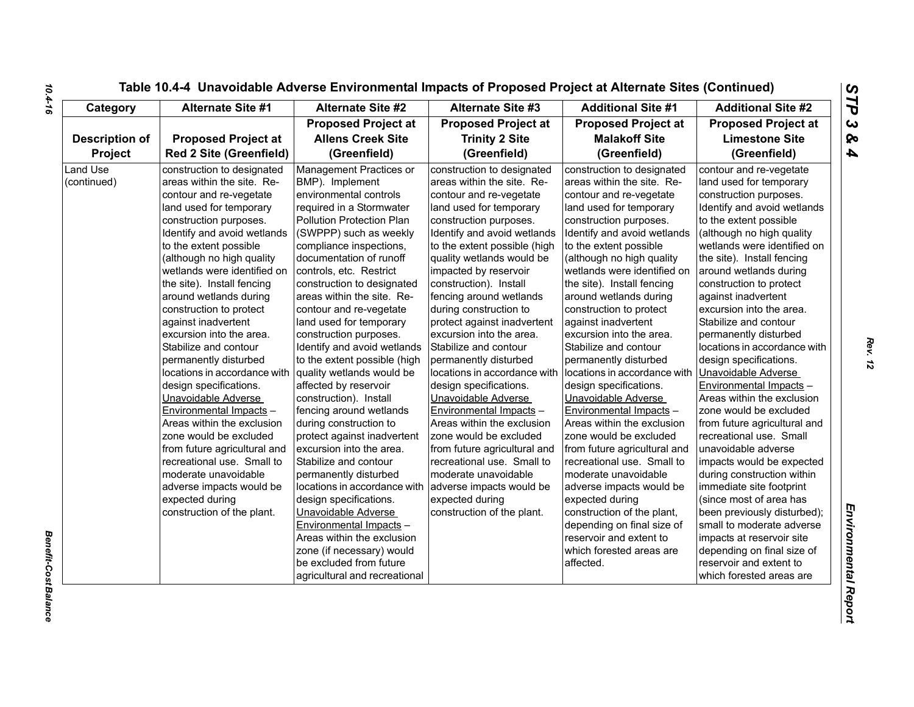| Category                       | <b>Alternate Site #1</b>                                                                                                                                                                                                                                                                                                                                                                                                                                                                                                                                          | <b>Alternate Site #2</b>                                                                                                                                                                                                                                                                                                                                                                                                                                                                                                                                       | Alternate Site #3                                                                                                                                                                                                                                                                                                                                                                                                                                                                                                                                                     | <b>Additional Site #1</b>                                                                                                                                                                                                                                                                                                                                                                                                                                                                                                                                         | <b>Additional Site #2</b>                                                                                                                                                                                                                                                                                                                                                                                                                                                                                                                                            |
|--------------------------------|-------------------------------------------------------------------------------------------------------------------------------------------------------------------------------------------------------------------------------------------------------------------------------------------------------------------------------------------------------------------------------------------------------------------------------------------------------------------------------------------------------------------------------------------------------------------|----------------------------------------------------------------------------------------------------------------------------------------------------------------------------------------------------------------------------------------------------------------------------------------------------------------------------------------------------------------------------------------------------------------------------------------------------------------------------------------------------------------------------------------------------------------|-----------------------------------------------------------------------------------------------------------------------------------------------------------------------------------------------------------------------------------------------------------------------------------------------------------------------------------------------------------------------------------------------------------------------------------------------------------------------------------------------------------------------------------------------------------------------|-------------------------------------------------------------------------------------------------------------------------------------------------------------------------------------------------------------------------------------------------------------------------------------------------------------------------------------------------------------------------------------------------------------------------------------------------------------------------------------------------------------------------------------------------------------------|----------------------------------------------------------------------------------------------------------------------------------------------------------------------------------------------------------------------------------------------------------------------------------------------------------------------------------------------------------------------------------------------------------------------------------------------------------------------------------------------------------------------------------------------------------------------|
|                                |                                                                                                                                                                                                                                                                                                                                                                                                                                                                                                                                                                   | <b>Proposed Project at</b>                                                                                                                                                                                                                                                                                                                                                                                                                                                                                                                                     | <b>Proposed Project at</b>                                                                                                                                                                                                                                                                                                                                                                                                                                                                                                                                            | <b>Proposed Project at</b>                                                                                                                                                                                                                                                                                                                                                                                                                                                                                                                                        | <b>Proposed Project at</b>                                                                                                                                                                                                                                                                                                                                                                                                                                                                                                                                           |
| <b>Description of</b>          | <b>Proposed Project at</b>                                                                                                                                                                                                                                                                                                                                                                                                                                                                                                                                        | <b>Allens Creek Site</b>                                                                                                                                                                                                                                                                                                                                                                                                                                                                                                                                       | <b>Trinity 2 Site</b>                                                                                                                                                                                                                                                                                                                                                                                                                                                                                                                                                 | <b>Malakoff Site</b>                                                                                                                                                                                                                                                                                                                                                                                                                                                                                                                                              | <b>Limestone Site</b>                                                                                                                                                                                                                                                                                                                                                                                                                                                                                                                                                |
| Project                        | <b>Red 2 Site (Greenfield)</b>                                                                                                                                                                                                                                                                                                                                                                                                                                                                                                                                    | (Greenfield)                                                                                                                                                                                                                                                                                                                                                                                                                                                                                                                                                   | (Greenfield)                                                                                                                                                                                                                                                                                                                                                                                                                                                                                                                                                          | (Greenfield)                                                                                                                                                                                                                                                                                                                                                                                                                                                                                                                                                      | (Greenfield)                                                                                                                                                                                                                                                                                                                                                                                                                                                                                                                                                         |
| <b>Land Use</b><br>(continued) | construction to designated<br>areas within the site. Re-<br>contour and re-vegetate<br>land used for temporary<br>construction purposes.<br>Identify and avoid wetlands<br>to the extent possible<br>(although no high quality<br>wetlands were identified on<br>the site). Install fencing<br>around wetlands during<br>construction to protect<br>against inadvertent<br>excursion into the area.<br>Stabilize and contour<br>permanently disturbed<br>locations in accordance with<br>design specifications.<br>Unavoidable Adverse<br>Environmental Impacts - | Management Practices or<br>BMP). Implement<br>environmental controls<br>required in a Stormwater<br>Pollution Protection Plan<br>(SWPPP) such as weekly<br>compliance inspections,<br>documentation of runoff<br>controls, etc. Restrict<br>construction to designated<br>areas within the site. Re-<br>contour and re-vegetate<br>land used for temporary<br>construction purposes.<br>Identify and avoid wetlands<br>to the extent possible (high<br>quality wetlands would be<br>affected by reservoir<br>construction). Install<br>fencing around wetlands | construction to designated<br>areas within the site. Re-<br>contour and re-vegetate<br>land used for temporary<br>construction purposes.<br>Identify and avoid wetlands<br>to the extent possible (high<br>quality wetlands would be<br>impacted by reservoir<br>construction). Install<br>fencing around wetlands<br>during construction to<br>protect against inadvertent<br>excursion into the area.<br>Stabilize and contour<br>permanently disturbed<br>locations in accordance with<br>design specifications.<br>Unavoidable Adverse<br>Environmental Impacts - | construction to designated<br>areas within the site. Re-<br>contour and re-vegetate<br>land used for temporary<br>construction purposes.<br>Identify and avoid wetlands<br>to the extent possible<br>(although no high quality<br>wetlands were identified on<br>the site). Install fencing<br>around wetlands during<br>construction to protect<br>against inadvertent<br>excursion into the area.<br>Stabilize and contour<br>permanently disturbed<br>locations in accordance with<br>design specifications.<br>Unavoidable Adverse<br>Environmental Impacts - | contour and re-vegetate<br>land used for temporary<br>construction purposes.<br>Identify and avoid wetlands<br>to the extent possible<br>(although no high quality<br>wetlands were identified on<br>the site). Install fencing<br>around wetlands during<br>construction to protect<br>against inadvertent<br>excursion into the area.<br>Stabilize and contour<br>permanently disturbed<br>locations in accordance with<br>design specifications.<br>Unavoidable Adverse<br><b>Environmental Impacts -</b><br>Areas within the exclusion<br>zone would be excluded |
|                                | Areas within the exclusion<br>zone would be excluded<br>from future agricultural and<br>recreational use. Small to<br>moderate unavoidable<br>adverse impacts would be<br>expected during<br>construction of the plant.                                                                                                                                                                                                                                                                                                                                           | during construction to<br>protect against inadvertent<br>excursion into the area.<br>Stabilize and contour<br>permanently disturbed<br>locations in accordance with<br>design specifications.<br>Unavoidable Adverse<br>Environmental Impacts -<br>Areas within the exclusion<br>zone (if necessary) would<br>be excluded from future<br>agricultural and recreational                                                                                                                                                                                         | Areas within the exclusion<br>zone would be excluded<br>from future agricultural and<br>recreational use. Small to<br>moderate unavoidable<br>adverse impacts would be<br>expected during<br>construction of the plant.                                                                                                                                                                                                                                                                                                                                               | Areas within the exclusion<br>zone would be excluded<br>from future agricultural and<br>recreational use. Small to<br>moderate unavoidable<br>adverse impacts would be<br>expected during<br>construction of the plant,<br>depending on final size of<br>reservoir and extent to<br>which forested areas are<br>affected.                                                                                                                                                                                                                                         | from future agricultural and<br>recreational use. Small<br>unavoidable adverse<br>impacts would be expected<br>during construction within<br>immediate site footprint<br>(since most of area has<br>been previously disturbed);<br>small to moderate adverse<br>impacts at reservoir site<br>depending on final size of<br>reservoir and extent to<br>which forested areas are                                                                                                                                                                                       |

*Benefit-Cost Balance* 

**Benefit-Cost Balance**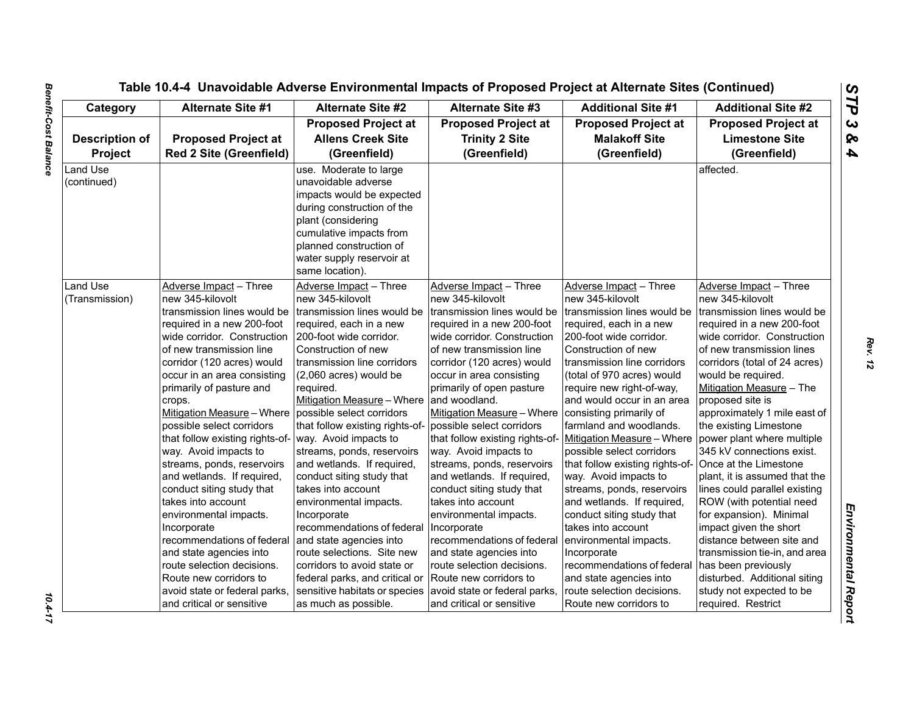# *STP 3 & 4*

| Category                                | <b>Alternate Site #1</b>                                                                                                                                                                                                                                                                                                                                                                                                                                                                                                                                                                                                                                                                                                         | <b>Alternate Site #2</b>                                                                                                                                                                                                                                                                                                                                                                                                                                                                                                                                                                                                                                                | <b>Alternate Site #3</b>                                                                                                                                                                                                                                                                                                                                                                                                                                                                                                                                                                                                                                                                                     | <b>Additional Site #1</b>                                                                                                                                                                                                                                                                                                                                                                                                                                                                                                                                                                                                                                                                                                        | <b>Additional Site #2</b>                                                                                                                                                                                                                                                                                                                                                                                                                                                                                                                                                                                                                                                                           |
|-----------------------------------------|----------------------------------------------------------------------------------------------------------------------------------------------------------------------------------------------------------------------------------------------------------------------------------------------------------------------------------------------------------------------------------------------------------------------------------------------------------------------------------------------------------------------------------------------------------------------------------------------------------------------------------------------------------------------------------------------------------------------------------|-------------------------------------------------------------------------------------------------------------------------------------------------------------------------------------------------------------------------------------------------------------------------------------------------------------------------------------------------------------------------------------------------------------------------------------------------------------------------------------------------------------------------------------------------------------------------------------------------------------------------------------------------------------------------|--------------------------------------------------------------------------------------------------------------------------------------------------------------------------------------------------------------------------------------------------------------------------------------------------------------------------------------------------------------------------------------------------------------------------------------------------------------------------------------------------------------------------------------------------------------------------------------------------------------------------------------------------------------------------------------------------------------|----------------------------------------------------------------------------------------------------------------------------------------------------------------------------------------------------------------------------------------------------------------------------------------------------------------------------------------------------------------------------------------------------------------------------------------------------------------------------------------------------------------------------------------------------------------------------------------------------------------------------------------------------------------------------------------------------------------------------------|-----------------------------------------------------------------------------------------------------------------------------------------------------------------------------------------------------------------------------------------------------------------------------------------------------------------------------------------------------------------------------------------------------------------------------------------------------------------------------------------------------------------------------------------------------------------------------------------------------------------------------------------------------------------------------------------------------|
| <b>Description of</b><br><b>Project</b> | <b>Proposed Project at</b><br><b>Red 2 Site (Greenfield)</b>                                                                                                                                                                                                                                                                                                                                                                                                                                                                                                                                                                                                                                                                     | <b>Proposed Project at</b><br><b>Allens Creek Site</b><br>(Greenfield)                                                                                                                                                                                                                                                                                                                                                                                                                                                                                                                                                                                                  | <b>Proposed Project at</b><br><b>Trinity 2 Site</b><br>(Greenfield)                                                                                                                                                                                                                                                                                                                                                                                                                                                                                                                                                                                                                                          | <b>Proposed Project at</b><br><b>Malakoff Site</b><br>(Greenfield)                                                                                                                                                                                                                                                                                                                                                                                                                                                                                                                                                                                                                                                               | <b>Proposed Project at</b><br><b>Limestone Site</b><br>(Greenfield)                                                                                                                                                                                                                                                                                                                                                                                                                                                                                                                                                                                                                                 |
| Land Use<br>(continued)                 |                                                                                                                                                                                                                                                                                                                                                                                                                                                                                                                                                                                                                                                                                                                                  | use. Moderate to large<br>unavoidable adverse<br>impacts would be expected<br>during construction of the<br>plant (considering<br>cumulative impacts from<br>planned construction of<br>water supply reservoir at<br>same location).                                                                                                                                                                                                                                                                                                                                                                                                                                    |                                                                                                                                                                                                                                                                                                                                                                                                                                                                                                                                                                                                                                                                                                              |                                                                                                                                                                                                                                                                                                                                                                                                                                                                                                                                                                                                                                                                                                                                  | affected.                                                                                                                                                                                                                                                                                                                                                                                                                                                                                                                                                                                                                                                                                           |
| Land Use<br>(Transmission)              | Adverse Impact - Three<br>new 345-kilovolt<br>transmission lines would be<br>required in a new 200-foot<br>wide corridor. Construction<br>of new transmission line<br>corridor (120 acres) would<br>occur in an area consisting<br>primarily of pasture and<br>crops.<br>Mitigation Measure - Where possible select corridors<br>possible select corridors<br>that follow existing rights-of-<br>way. Avoid impacts to<br>streams, ponds, reservoirs<br>and wetlands. If required,<br>conduct siting study that<br>takes into account<br>environmental impacts.<br>Incorporate<br>recommendations of federal<br>and state agencies into<br>route selection decisions.<br>Route new corridors to<br>avoid state or federal parks, | Adverse Impact - Three<br>new 345-kilovolt<br>transmission lines would be<br>required, each in a new<br>200-foot wide corridor.<br>Construction of new<br>transmission line corridors<br>(2,060 acres) would be<br>required.<br>Mitigation Measure - Where<br>that follow existing rights-of-<br>way. Avoid impacts to<br>streams, ponds, reservoirs<br>and wetlands. If required,<br>conduct siting study that<br>takes into account<br>environmental impacts.<br>Incorporate<br>recommendations of federal<br>and state agencies into<br>route selections. Site new<br>corridors to avoid state or<br>federal parks, and critical or<br>sensitive habitats or species | Adverse Impact - Three<br>new 345-kilovolt<br>transmission lines would be<br>required in a new 200-foot<br>wide corridor. Construction_<br>of new transmission line<br>corridor (120 acres) would<br>occur in area consisting<br>primarily of open pasture<br>and woodland.<br>Mitigation Measure - Where<br>possible select corridors<br>that follow existing rights-of-<br>way. Avoid impacts to<br>streams, ponds, reservoirs<br>and wetlands. If required,<br>conduct siting study that<br>takes into account<br>environmental impacts.<br>Incorporate<br>recommendations of federal<br>and state agencies into<br>route selection decisions.<br>Route new corridors to<br>avoid state or federal parks, | Adverse Impact - Three<br>new 345-kilovolt<br>transmission lines would be<br>required, each in a new<br>200-foot wide corridor.<br>Construction of new<br>transmission line corridors<br>(total of 970 acres) would<br>require new right-of-way,<br>and would occur in an area<br>consisting primarily of<br>farmland and woodlands.<br>Mitigation Measure - Where<br>possible select corridors<br>that follow existing rights-of- Once at the Limestone<br>way. Avoid impacts to<br>streams, ponds, reservoirs<br>and wetlands. If required,<br>conduct siting study that<br>takes into account<br>environmental impacts.<br>Incorporate<br>recommendations of federal<br>and state agencies into<br>route selection decisions. | Adverse Impact - Three<br>new 345-kilovolt<br>transmission lines would be<br>required in a new 200-foot<br>wide corridor. Construction<br>of new transmission lines<br>corridors (total of 24 acres)<br>would be required.<br>Mitigation Measure - The<br>proposed site is<br>approximately 1 mile east of<br>the existing Limestone<br>power plant where multiple<br>345 kV connections exist.<br>plant, it is assumed that the<br>lines could parallel existing<br>ROW (with potential need<br>for expansion). Minimal<br>impact given the short<br>distance between site and<br>transmission tie-in, and area<br>has been previously<br>disturbed. Additional siting<br>study not expected to be |

10.4-17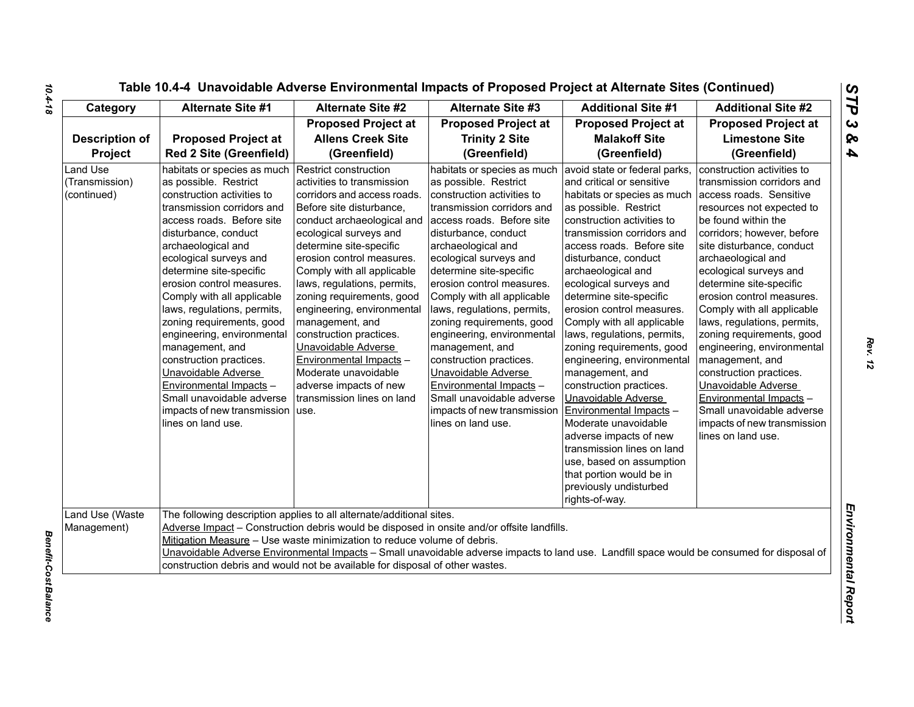| Table 10.4-4 Unavoidable Adverse Environmental Impacts of Proposed Project at Alternate Sites (Continued) |  |  |  |
|-----------------------------------------------------------------------------------------------------------|--|--|--|
|-----------------------------------------------------------------------------------------------------------|--|--|--|

| Category                                         | <b>Alternate Site #1</b>                                                                                                                                                                                                                                                                                                                                                                                                                                                                                                                                                                       | <b>Alternate Site #2</b>                                                                                                                                                                                                                                                                                                                                                                                                                                                                                                               | <b>Alternate Site #3</b>                                                                                                                                                                                                                                                                                                                                                                                                                                                                                                                                                                | <b>Additional Site #1</b>                                                                                                                                                                                                                                                                                                                                                                                                                                                                                                                                                                                                                                                                                                                               | <b>Additional Site #2</b>                                                                                                                                                                                                                                                                                                                                                                                                                                                                                                                                                                                            |
|--------------------------------------------------|------------------------------------------------------------------------------------------------------------------------------------------------------------------------------------------------------------------------------------------------------------------------------------------------------------------------------------------------------------------------------------------------------------------------------------------------------------------------------------------------------------------------------------------------------------------------------------------------|----------------------------------------------------------------------------------------------------------------------------------------------------------------------------------------------------------------------------------------------------------------------------------------------------------------------------------------------------------------------------------------------------------------------------------------------------------------------------------------------------------------------------------------|-----------------------------------------------------------------------------------------------------------------------------------------------------------------------------------------------------------------------------------------------------------------------------------------------------------------------------------------------------------------------------------------------------------------------------------------------------------------------------------------------------------------------------------------------------------------------------------------|---------------------------------------------------------------------------------------------------------------------------------------------------------------------------------------------------------------------------------------------------------------------------------------------------------------------------------------------------------------------------------------------------------------------------------------------------------------------------------------------------------------------------------------------------------------------------------------------------------------------------------------------------------------------------------------------------------------------------------------------------------|----------------------------------------------------------------------------------------------------------------------------------------------------------------------------------------------------------------------------------------------------------------------------------------------------------------------------------------------------------------------------------------------------------------------------------------------------------------------------------------------------------------------------------------------------------------------------------------------------------------------|
| <b>Description of</b><br>Project                 | <b>Proposed Project at</b><br><b>Red 2 Site (Greenfield)</b>                                                                                                                                                                                                                                                                                                                                                                                                                                                                                                                                   | <b>Proposed Project at</b><br><b>Allens Creek Site</b><br>(Greenfield)                                                                                                                                                                                                                                                                                                                                                                                                                                                                 | <b>Proposed Project at</b><br><b>Trinity 2 Site</b><br>(Greenfield)                                                                                                                                                                                                                                                                                                                                                                                                                                                                                                                     | <b>Proposed Project at</b><br><b>Malakoff Site</b><br>(Greenfield)                                                                                                                                                                                                                                                                                                                                                                                                                                                                                                                                                                                                                                                                                      | <b>Proposed Project at</b><br><b>Limestone Site</b><br>(Greenfield)                                                                                                                                                                                                                                                                                                                                                                                                                                                                                                                                                  |
| <b>Land Use</b><br>(Transmission)<br>(continued) | habitats or species as much<br>as possible. Restrict<br>construction activities to<br>transmission corridors and<br>access roads. Before site<br>disturbance, conduct<br>archaeological and<br>ecological surveys and<br>determine site-specific<br>erosion control measures.<br>Comply with all applicable<br>laws, regulations, permits,<br>zoning requirements, good<br>engineering, environmental<br>management, and<br>construction practices.<br>Unavoidable Adverse<br>Environmental Impacts -<br>Small unavoidable adverse<br>impacts of new transmission   use.<br>lines on land use. | Restrict construction<br>activities to transmission<br>corridors and access roads.<br>Before site disturbance,<br>conduct archaeological and<br>ecological surveys and<br>determine site-specific<br>erosion control measures.<br>Comply with all applicable<br>laws, regulations, permits,<br>zoning requirements, good<br>engineering, environmental<br>management, and<br>construction practices.<br>Unavoidable Adverse<br>Environmental Impacts -<br>Moderate unavoidable<br>adverse impacts of new<br>transmission lines on land | habitats or species as much<br>as possible. Restrict<br>construction activities to<br>transmission corridors and<br>access roads. Before site<br>disturbance, conduct<br>archaeological and<br>ecological surveys and<br>determine site-specific<br>erosion control measures.<br>Comply with all applicable<br>laws, regulations, permits,<br>zoning requirements, good<br>engineering, environmental<br>management, and<br>construction practices.<br>Unavoidable Adverse<br>Environmental Impacts -<br>Small unavoidable adverse<br>impacts of new transmission<br>lines on land use. | avoid state or federal parks,<br>and critical or sensitive<br>habitats or species as much<br>as possible. Restrict<br>construction activities to<br>transmission corridors and<br>access roads. Before site<br>disturbance, conduct<br>archaeological and<br>ecological surveys and<br>determine site-specific<br>erosion control measures.<br>Comply with all applicable<br>laws, regulations, permits,<br>zoning requirements, good<br>engineering, environmental<br>management, and<br>construction practices.<br>Unavoidable Adverse<br>Environmental Impacts -<br>Moderate unavoidable<br>adverse impacts of new<br>transmission lines on land<br>use, based on assumption<br>that portion would be in<br>previously undisturbed<br>rights-of-way. | construction activities to<br>transmission corridors and<br>access roads. Sensitive<br>resources not expected to<br>be found within the<br>corridors; however, before<br>site disturbance, conduct<br>archaeological and<br>ecological surveys and<br>determine site-specific<br>erosion control measures.<br>Comply with all applicable<br>laws, regulations, permits,<br>zoning requirements, good<br>engineering, environmental<br>management, and<br>construction practices.<br>Unavoidable Adverse<br>Environmental Impacts -<br>Small unavoidable adverse<br>impacts of new transmission<br>lines on land use. |
| Land Use (Waste<br>Management)                   |                                                                                                                                                                                                                                                                                                                                                                                                                                                                                                                                                                                                | The following description applies to all alternate/additional sites.<br>Mitigation Measure - Use waste minimization to reduce volume of debris.<br>construction debris and would not be available for disposal of other wastes.                                                                                                                                                                                                                                                                                                        | Adverse Impact - Construction debris would be disposed in onsite and/or offsite landfills.<br>Unavoidable Adverse Environmental Impacts - Small unavoidable adverse impacts to land use. Landfill space would be consumed for disposal of                                                                                                                                                                                                                                                                                                                                               |                                                                                                                                                                                                                                                                                                                                                                                                                                                                                                                                                                                                                                                                                                                                                         |                                                                                                                                                                                                                                                                                                                                                                                                                                                                                                                                                                                                                      |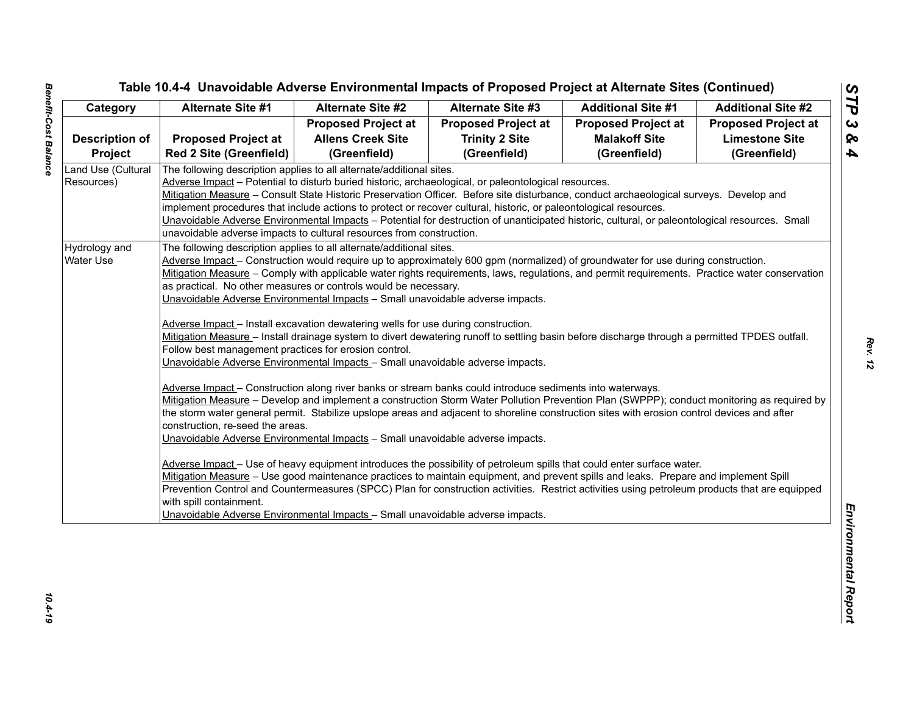| <b>Proposed Project at</b><br><b>Proposed Project at</b><br><b>Proposed Project at</b><br><b>Proposed Project at</b><br><b>Allens Creek Site</b><br><b>Trinity 2 Site</b><br><b>Limestone Site</b><br><b>Proposed Project at</b><br><b>Malakoff Site</b><br><b>Description of</b><br><b>Red 2 Site (Greenfield)</b><br>(Greenfield)<br>(Greenfield)<br>(Greenfield)<br>(Greenfield)<br><b>Project</b><br>Land Use (Cultural<br>The following description applies to all alternate/additional sites.<br>Adverse Impact - Potential to disturb buried historic, archaeological, or paleontological resources.<br>Resources)<br>Mitigation Measure – Consult State Historic Preservation Officer. Before site disturbance, conduct archaeological surveys. Develop and<br>implement procedures that include actions to protect or recover cultural, historic, or paleontological resources.<br>Unavoidable Adverse Environmental Impacts - Potential for destruction of unanticipated historic, cultural, or paleontological resources. Small<br>unavoidable adverse impacts to cultural resources from construction.<br>Hydrology and<br>The following description applies to all alternate/additional sites.<br>Adverse Impact - Construction would require up to approximately 600 gpm (normalized) of groundwater for use during construction.<br>Water Use<br>Mitigation Measure - Comply with applicable water rights requirements, laws, regulations, and permit requirements. Practice water conservation<br>as practical. No other measures or controls would be necessary.<br>Unavoidable Adverse Environmental Impacts - Small unavoidable adverse impacts.<br>Adverse Impact - Install excavation dewatering wells for use during construction.<br>Mitigation Measure - Install drainage system to divert dewatering runoff to settling basin before discharge through a permitted TPDES outfall.<br>Follow best management practices for erosion control.<br>Unavoidable Adverse Environmental Impacts - Small unavoidable adverse impacts.<br>Adverse Impact - Construction along river banks or stream banks could introduce sediments into waterways.<br>Mitigation Measure - Develop and implement a construction Storm Water Pollution Prevention Plan (SWPPP); conduct monitoring as required by<br>the storm water general permit. Stabilize upslope areas and adjacent to shoreline construction sites with erosion control devices and after<br>construction, re-seed the areas. | Category | <b>Alternate Site #1</b> | <b>Alternate Site #2</b> | <b>Alternate Site #3</b> | <b>Additional Site #1</b> | <b>Additional Site #2</b> |
|-----------------------------------------------------------------------------------------------------------------------------------------------------------------------------------------------------------------------------------------------------------------------------------------------------------------------------------------------------------------------------------------------------------------------------------------------------------------------------------------------------------------------------------------------------------------------------------------------------------------------------------------------------------------------------------------------------------------------------------------------------------------------------------------------------------------------------------------------------------------------------------------------------------------------------------------------------------------------------------------------------------------------------------------------------------------------------------------------------------------------------------------------------------------------------------------------------------------------------------------------------------------------------------------------------------------------------------------------------------------------------------------------------------------------------------------------------------------------------------------------------------------------------------------------------------------------------------------------------------------------------------------------------------------------------------------------------------------------------------------------------------------------------------------------------------------------------------------------------------------------------------------------------------------------------------------------------------------------------------------------------------------------------------------------------------------------------------------------------------------------------------------------------------------------------------------------------------------------------------------------------------------------------------------------------------------------------------------------------------------------------------------------------------------------------------------------------------------------------------------------------|----------|--------------------------|--------------------------|--------------------------|---------------------------|---------------------------|
|                                                                                                                                                                                                                                                                                                                                                                                                                                                                                                                                                                                                                                                                                                                                                                                                                                                                                                                                                                                                                                                                                                                                                                                                                                                                                                                                                                                                                                                                                                                                                                                                                                                                                                                                                                                                                                                                                                                                                                                                                                                                                                                                                                                                                                                                                                                                                                                                                                                                                                     |          |                          |                          |                          |                           |                           |
|                                                                                                                                                                                                                                                                                                                                                                                                                                                                                                                                                                                                                                                                                                                                                                                                                                                                                                                                                                                                                                                                                                                                                                                                                                                                                                                                                                                                                                                                                                                                                                                                                                                                                                                                                                                                                                                                                                                                                                                                                                                                                                                                                                                                                                                                                                                                                                                                                                                                                                     |          |                          |                          |                          |                           |                           |
|                                                                                                                                                                                                                                                                                                                                                                                                                                                                                                                                                                                                                                                                                                                                                                                                                                                                                                                                                                                                                                                                                                                                                                                                                                                                                                                                                                                                                                                                                                                                                                                                                                                                                                                                                                                                                                                                                                                                                                                                                                                                                                                                                                                                                                                                                                                                                                                                                                                                                                     |          |                          |                          |                          |                           |                           |
|                                                                                                                                                                                                                                                                                                                                                                                                                                                                                                                                                                                                                                                                                                                                                                                                                                                                                                                                                                                                                                                                                                                                                                                                                                                                                                                                                                                                                                                                                                                                                                                                                                                                                                                                                                                                                                                                                                                                                                                                                                                                                                                                                                                                                                                                                                                                                                                                                                                                                                     |          |                          |                          |                          |                           |                           |
|                                                                                                                                                                                                                                                                                                                                                                                                                                                                                                                                                                                                                                                                                                                                                                                                                                                                                                                                                                                                                                                                                                                                                                                                                                                                                                                                                                                                                                                                                                                                                                                                                                                                                                                                                                                                                                                                                                                                                                                                                                                                                                                                                                                                                                                                                                                                                                                                                                                                                                     |          |                          |                          |                          |                           |                           |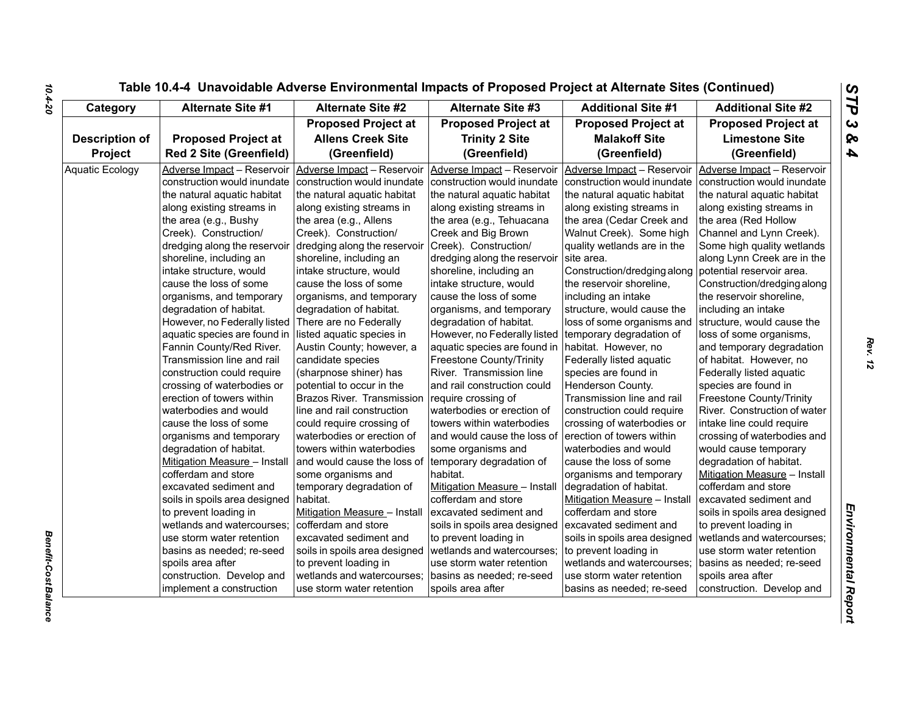| Category               | <b>Alternate Site #1</b>       | <b>Alternate Site #2</b>      | <b>Alternate Site #3</b>                          | <b>Additional Site #1</b>     | <b>Additional Site #2</b>     |
|------------------------|--------------------------------|-------------------------------|---------------------------------------------------|-------------------------------|-------------------------------|
|                        |                                | <b>Proposed Project at</b>    | <b>Proposed Project at</b>                        | <b>Proposed Project at</b>    | <b>Proposed Project at</b>    |
| <b>Description of</b>  | <b>Proposed Project at</b>     | <b>Allens Creek Site</b>      | <b>Trinity 2 Site</b>                             | <b>Malakoff Site</b>          | <b>Limestone Site</b>         |
| Project                | <b>Red 2 Site (Greenfield)</b> | (Greenfield)                  | (Greenfield)                                      | (Greenfield)                  | (Greenfield)                  |
| <b>Aquatic Ecology</b> | Adverse Impact - Reservoir     | Adverse Impact - Reservoir    | Adverse Impact - Reservoir                        | Adverse Impact - Reservoir    | Adverse Impact - Reservoir    |
|                        | construction would inundate    | construction would inundate   | construction would inundate                       | construction would inundate   | construction would inundate   |
|                        | the natural aquatic habitat    | the natural aquatic habitat   | the natural aquatic habitat                       | the natural aquatic habitat   | the natural aquatic habitat   |
|                        | along existing streams in      | along existing streams in     | along existing streams in                         | along existing streams in     | along existing streams in     |
|                        | the area (e.g., Bushy          | the area (e.g., Allens        | the area (e.g., Tehuacana                         | the area (Cedar Creek and     | the area (Red Hollow          |
|                        | Creek). Construction/          | Creek). Construction/         | Creek and Big Brown                               | Walnut Creek). Some high      | Channel and Lynn Creek).      |
|                        | dredging along the reservoir   | dredging along the reservoir  | Creek). Construction/                             | quality wetlands are in the   | Some high quality wetlands    |
|                        | shoreline, including an        | shoreline, including an       | dredging along the reservoir                      | site area.                    | along Lynn Creek are in the   |
|                        | intake structure, would        | intake structure, would       | shoreline, including an                           | Construction/dredging along   | potential reservoir area.     |
|                        | cause the loss of some         | cause the loss of some        | intake structure, would                           | the reservoir shoreline,      | Construction/dredging along   |
|                        | organisms, and temporary       | organisms, and temporary      | cause the loss of some                            | including an intake           | the reservoir shoreline,      |
|                        | degradation of habitat.        | degradation of habitat.       | organisms, and temporary                          | structure, would cause the    | including an intake           |
|                        | However, no Federally listed   | There are no Federally        | degradation of habitat.                           | loss of some organisms and    | structure, would cause the    |
|                        | aquatic species are found in   | listed aquatic species in     | However, no Federally listed                      | temporary degradation of      | loss of some organisms,       |
|                        | Fannin County/Red River.       | Austin County; however, a     | aquatic species are found in habitat. However, no |                               | and temporary degradation     |
|                        | Transmission line and rail     | candidate species             | <b>Freestone County/Trinity</b>                   | Federally listed aquatic      | of habitat. However, no       |
|                        | construction could require     | (sharpnose shiner) has        | River. Transmission line                          | species are found in          | Federally listed aquatic      |
|                        | crossing of waterbodies or     | potential to occur in the     | and rail construction could                       | Henderson County.             | species are found in          |
|                        | erection of towers within      | Brazos River. Transmission    | require crossing of                               | Transmission line and rail    | Freestone County/Trinity      |
|                        | waterbodies and would          | line and rail construction    | waterbodies or erection of                        | construction could require    | River. Construction of water  |
|                        | cause the loss of some         | could require crossing of     | towers within waterbodies                         | crossing of waterbodies or    | intake line could require     |
|                        | organisms and temporary        | waterbodies or erection of    | and would cause the loss of                       | erection of towers within     | crossing of waterbodies and   |
|                        | degradation of habitat.        | towers within waterbodies     | some organisms and                                | waterbodies and would         | would cause temporary         |
|                        | Mitigation Measure - Install   | and would cause the loss of   | temporary degradation of                          | cause the loss of some        | degradation of habitat.       |
|                        | cofferdam and store            | some organisms and            | habitat.                                          | organisms and temporary       | Mitigation Measure - Install  |
|                        | excavated sediment and         | temporary degradation of      | Mitigation Measure - Install                      | degradation of habitat.       | cofferdam and store           |
|                        | soils in spoils area designed  | habitat.                      | cofferdam and store                               | Mitigation Measure - Install  | excavated sediment and        |
|                        | to prevent loading in          | Mitigation Measure - Install  | excavated sediment and                            | cofferdam and store           | soils in spoils area designed |
|                        | wetlands and watercourses;     | cofferdam and store           | soils in spoils area designed                     | excavated sediment and        | to prevent loading in         |
|                        | use storm water retention      | excavated sediment and        | to prevent loading in                             | soils in spoils area designed | wetlands and watercourses;    |
|                        | basins as needed; re-seed      | soils in spoils area designed | wetlands and watercourses;                        | to prevent loading in         | use storm water retention     |
|                        | spoils area after              | to prevent loading in         | use storm water retention                         | wetlands and watercourses;    | basins as needed; re-seed     |
|                        | construction. Develop and      | wetlands and watercourses;    | basins as needed; re-seed                         | use storm water retention     | spoils area after             |
|                        | implement a construction       | use storm water retention     | spoils area after                                 | basins as needed; re-seed     | construction. Develop and     |

*Benefit-Cost Balance* 

**Benefit-Cost Balance**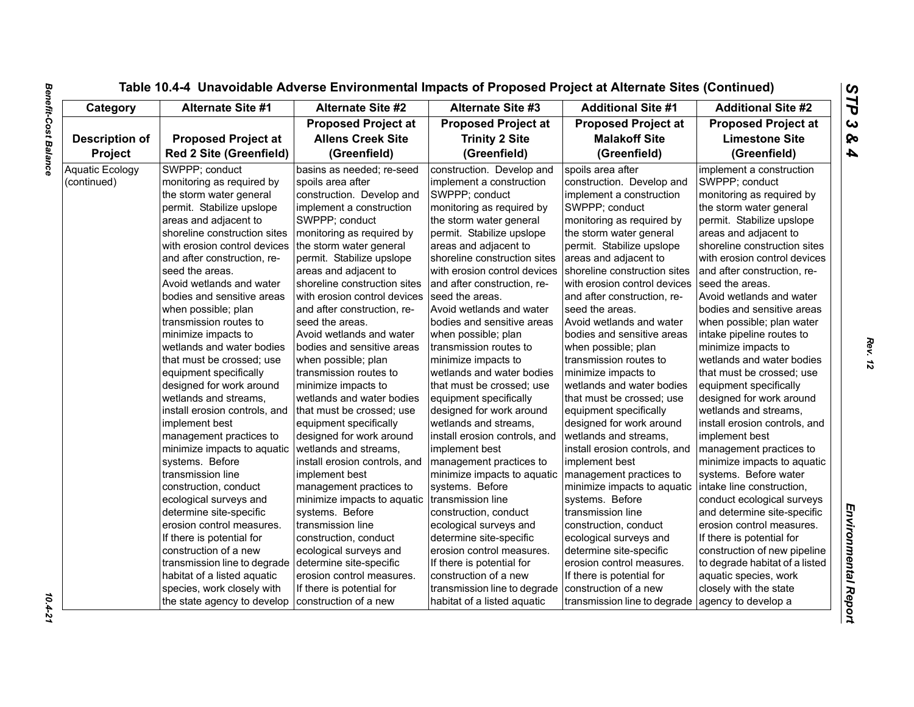| Category               | <b>Alternate Site #1</b>                                       | <b>Alternate Site #2</b>      | <b>Alternate Site #3</b>      | <b>Additional Site #1</b>     | <b>Additional Site #2</b>      |
|------------------------|----------------------------------------------------------------|-------------------------------|-------------------------------|-------------------------------|--------------------------------|
|                        |                                                                | <b>Proposed Project at</b>    | <b>Proposed Project at</b>    | <b>Proposed Project at</b>    | <b>Proposed Project at</b>     |
| <b>Description of</b>  | <b>Proposed Project at</b>                                     | <b>Allens Creek Site</b>      | <b>Trinity 2 Site</b>         | <b>Malakoff Site</b>          | <b>Limestone Site</b>          |
| Project                | <b>Red 2 Site (Greenfield)</b><br>(Greenfield)<br>(Greenfield) |                               | (Greenfield)                  | (Greenfield)                  |                                |
| <b>Aquatic Ecology</b> | SWPPP; conduct                                                 | basins as needed; re-seed     | construction. Develop and     | spoils area after             | implement a construction       |
| (continued)            | monitoring as required by                                      | spoils area after             | implement a construction      | construction. Develop and     | SWPPP; conduct                 |
|                        | the storm water general                                        | construction. Develop and     | SWPPP; conduct                | implement a construction      | monitoring as required by      |
|                        | permit. Stabilize upslope                                      | implement a construction      | monitoring as required by     | SWPPP; conduct                | the storm water general        |
|                        | areas and adjacent to                                          | SWPPP; conduct                | the storm water general       | monitoring as required by     | permit. Stabilize upslope      |
|                        | shoreline construction sites                                   | monitoring as required by     | permit. Stabilize upslope     | the storm water general       | areas and adjacent to          |
|                        | with erosion control devices                                   | the storm water general       | areas and adjacent to         | permit. Stabilize upslope     | shoreline construction sites   |
|                        | and after construction, re-                                    | permit. Stabilize upslope     | shoreline construction sites  | areas and adjacent to         | with erosion control devices   |
|                        | seed the areas.                                                | areas and adjacent to         | with erosion control devices  | shoreline construction sites  | and after construction, re-    |
|                        | Avoid wetlands and water                                       | shoreline construction sites  | and after construction, re-   | with erosion control devices  | seed the areas.                |
|                        | bodies and sensitive areas                                     | with erosion control devices  | seed the areas.               | and after construction, re-   | Avoid wetlands and water       |
|                        | when possible; plan                                            | and after construction, re-   | Avoid wetlands and water      | seed the areas.               | bodies and sensitive areas     |
|                        | transmission routes to                                         | seed the areas.               | bodies and sensitive areas    | Avoid wetlands and water      | when possible; plan water      |
|                        | minimize impacts to                                            | Avoid wetlands and water      | when possible; plan           | bodies and sensitive areas    | intake pipeline routes to      |
|                        | wetlands and water bodies                                      | bodies and sensitive areas    | transmission routes to        | when possible; plan           | minimize impacts to            |
|                        | that must be crossed; use                                      | when possible; plan           | minimize impacts to           | transmission routes to        | wetlands and water bodies      |
|                        | equipment specifically                                         | Itransmission routes to       | wetlands and water bodies     | minimize impacts to           | that must be crossed: use      |
|                        | designed for work around                                       | minimize impacts to           | that must be crossed; use     | wetlands and water bodies     | equipment specifically         |
|                        | wetlands and streams,                                          | wetlands and water bodies     | equipment specifically        | that must be crossed; use     | designed for work around       |
|                        | install erosion controls, and                                  | that must be crossed; use     | designed for work around      | equipment specifically        | wetlands and streams,          |
|                        | implement best                                                 | equipment specifically        | wetlands and streams.         | designed for work around      | install erosion controls, and  |
|                        | management practices to                                        | designed for work around      | install erosion controls, and | wetlands and streams,         | implement best                 |
|                        | minimize impacts to aquatic                                    | wetlands and streams,         | implement best                | install erosion controls, and | management practices to        |
|                        | systems. Before                                                | install erosion controls, and | management practices to       | implement best                | minimize impacts to aquatic    |
|                        | transmission line                                              | implement best                | minimize impacts to aquatic   | management practices to       | systems. Before water          |
|                        | construction, conduct                                          | management practices to       | systems. Before               | minimize impacts to aquatic   | intake line construction,      |
|                        | ecological surveys and                                         | minimize impacts to aquatic   | transmission line             | systems. Before               | conduct ecological surveys     |
|                        | determine site-specific                                        | systems. Before               | construction, conduct         | transmission line             | and determine site-specific    |
|                        | erosion control measures.                                      | transmission line             | ecological surveys and        | construction, conduct         | erosion control measures.      |
|                        | If there is potential for                                      | construction, conduct         | determine site-specific       | ecological surveys and        | If there is potential for      |
|                        | construction of a new                                          | ecological surveys and        | erosion control measures.     | determine site-specific       | construction of new pipeline   |
|                        | transmission line to degrade                                   | determine site-specific       | If there is potential for     | erosion control measures.     | to degrade habitat of a listed |
|                        | habitat of a listed aquatic                                    | erosion control measures.     | construction of a new         | If there is potential for     | aquatic species, work          |
|                        | species, work closely with                                     | If there is potential for     | transmission line to degrade  | construction of a new         | closely with the state         |
|                        | the state agency to develop                                    | construction of a new         | habitat of a listed aquatic   | transmission line to degrade  | agency to develop a            |

 $10.4 - 21$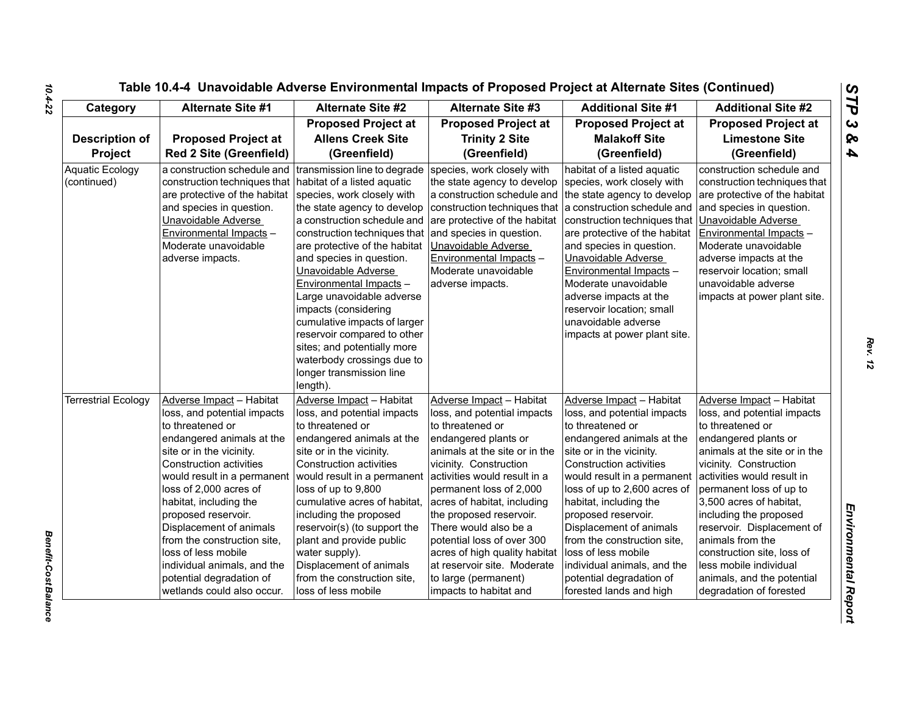| Category                              | <b>Alternate Site #1</b>                                                                                                                                                                                                                                                                                                                                                                                                                                   | <b>Alternate Site #2</b>                                                                                                                                                                                                                                                                                                                                                                                                                       | <b>Alternate Site #3</b>                                                                                                                                                                                                                                                                                                                                                                                                                                     | <b>Additional Site #1</b>                                                                                                                                                                                                                                                                                                                                                                                                                                     | <b>Additional Site #2</b>                                                                                                                                                                                                                                                                                                                                                                                                                       |
|---------------------------------------|------------------------------------------------------------------------------------------------------------------------------------------------------------------------------------------------------------------------------------------------------------------------------------------------------------------------------------------------------------------------------------------------------------------------------------------------------------|------------------------------------------------------------------------------------------------------------------------------------------------------------------------------------------------------------------------------------------------------------------------------------------------------------------------------------------------------------------------------------------------------------------------------------------------|--------------------------------------------------------------------------------------------------------------------------------------------------------------------------------------------------------------------------------------------------------------------------------------------------------------------------------------------------------------------------------------------------------------------------------------------------------------|---------------------------------------------------------------------------------------------------------------------------------------------------------------------------------------------------------------------------------------------------------------------------------------------------------------------------------------------------------------------------------------------------------------------------------------------------------------|-------------------------------------------------------------------------------------------------------------------------------------------------------------------------------------------------------------------------------------------------------------------------------------------------------------------------------------------------------------------------------------------------------------------------------------------------|
| <b>Description of</b><br>Project      | <b>Proposed Project at</b><br><b>Red 2 Site (Greenfield)</b>                                                                                                                                                                                                                                                                                                                                                                                               | <b>Proposed Project at</b><br><b>Allens Creek Site</b><br>(Greenfield)                                                                                                                                                                                                                                                                                                                                                                         | <b>Proposed Project at</b><br><b>Trinity 2 Site</b><br>(Greenfield)                                                                                                                                                                                                                                                                                                                                                                                          | <b>Proposed Project at</b><br><b>Malakoff Site</b><br>(Greenfield)                                                                                                                                                                                                                                                                                                                                                                                            | <b>Proposed Project at</b><br><b>Limestone Site</b><br>(Greenfield)                                                                                                                                                                                                                                                                                                                                                                             |
| <b>Aquatic Ecology</b><br>(continued) | a construction schedule and transmission line to degrade<br>construction techniques that   habitat of a listed aquatic<br>are protective of the habitat species, work closely with<br>and species in question.<br>Unavoidable Adverse<br>Environmental Impacts -<br>Moderate unavoidable<br>adverse impacts.                                                                                                                                               | the state agency to develop<br>a construction schedule and<br>construction techniques that<br>are protective of the habitat<br>and species in question.<br>Unavoidable Adverse<br>Environmental Impacts -<br>Large unavoidable adverse<br>impacts (considering<br>cumulative impacts of larger<br>reservoir compared to other<br>sites; and potentially more<br>waterbody crossings due to<br>longer transmission line<br>length).             | species, work closely with<br>the state agency to develop<br>a construction schedule and the state agency to develop<br>construction techniques that a construction schedule and<br>are protective of the habitat<br>and species in question.<br>Unavoidable Adverse<br>Environmental Impacts -<br>Moderate unavoidable<br>adverse impacts.                                                                                                                  | habitat of a listed aquatic<br>species, work closely with<br>construction techniques that<br>are protective of the habitat<br>and species in question.<br>Unavoidable Adverse<br>Environmental Impacts -<br>Moderate unavoidable<br>adverse impacts at the<br>reservoir location; small<br>unavoidable adverse<br>impacts at power plant site.                                                                                                                | construction schedule and<br>construction techniques that<br>are protective of the habitat<br>and species in question.<br>Unavoidable Adverse<br>Environmental Impacts -<br>Moderate unavoidable<br>adverse impacts at the<br>reservoir location; small<br>unavoidable adverse<br>impacts at power plant site.                                                                                                                                  |
| <b>Terrestrial Ecology</b>            | Adverse Impact - Habitat<br>loss, and potential impacts<br>to threatened or<br>endangered animals at the<br>site or in the vicinity.<br><b>Construction activities</b><br>would result in a permanent<br>loss of 2,000 acres of<br>habitat, including the<br>proposed reservoir.<br>Displacement of animals<br>from the construction site,<br>loss of less mobile<br>individual animals, and the<br>potential degradation of<br>wetlands could also occur. | Adverse Impact - Habitat<br>loss, and potential impacts<br>to threatened or<br>endangered animals at the<br>site or in the vicinity.<br>Construction activities<br>would result in a permanent<br>loss of up to 9,800<br>cumulative acres of habitat,<br>including the proposed<br>reservoir(s) (to support the<br>plant and provide public<br>water supply).<br>Displacement of animals<br>from the construction site,<br>loss of less mobile | Adverse Impact - Habitat<br>loss, and potential impacts<br>to threatened or<br>endangered plants or<br>animals at the site or in the<br>vicinity. Construction<br>activities would result in a<br>permanent loss of 2,000<br>acres of habitat, including<br>the proposed reservoir.<br>There would also be a<br>potential loss of over 300<br>acres of high quality habitat<br>at reservoir site. Moderate<br>to large (permanent)<br>impacts to habitat and | Adverse Impact - Habitat<br>loss, and potential impacts<br>to threatened or<br>endangered animals at the<br>site or in the vicinity.<br><b>Construction activities</b><br>would result in a permanent<br>loss of up to 2,600 acres of<br>habitat, including the<br>proposed reservoir.<br>Displacement of animals<br>from the construction site,<br>loss of less mobile<br>individual animals, and the<br>potential degradation of<br>forested lands and high | Adverse Impact - Habitat<br>loss, and potential impacts<br>to threatened or<br>endangered plants or<br>animals at the site or in the<br>vicinity. Construction<br>activities would result in<br>permanent loss of up to<br>3,500 acres of habitat,<br>including the proposed<br>reservoir. Displacement of<br>animals from the<br>construction site, loss of<br>less mobile individual<br>animals, and the potential<br>degradation of forested |

*Rev. 12*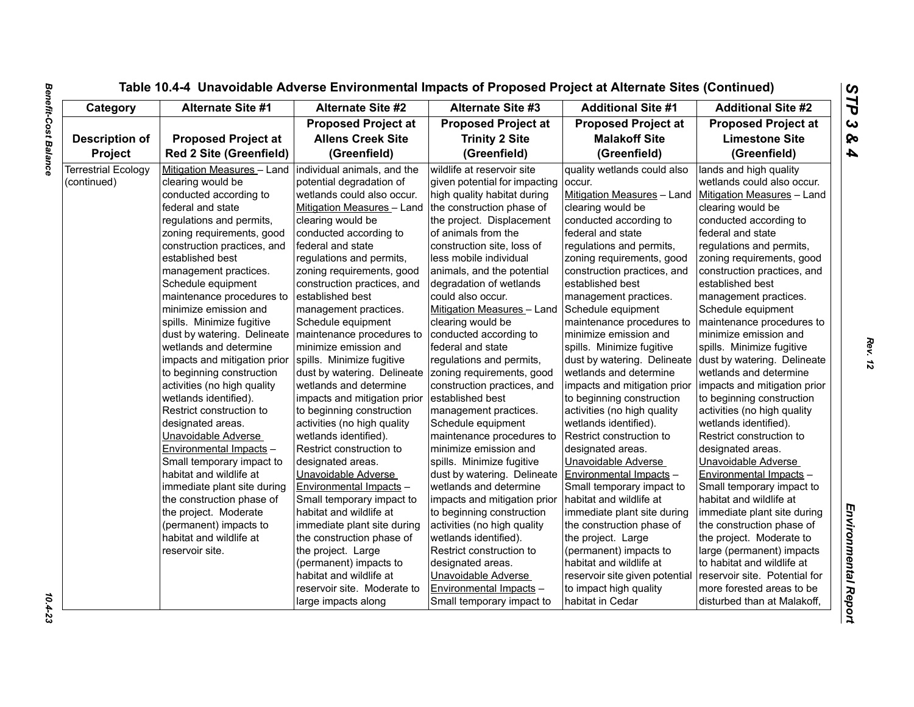| Category                   | Alternate Site #1                                        | <b>Alternate Site #2</b>     | <b>Alternate Site #3</b>      | <b>Additional Site #1</b>      | <b>Additional Site #2</b>     |
|----------------------------|----------------------------------------------------------|------------------------------|-------------------------------|--------------------------------|-------------------------------|
|                            |                                                          | <b>Proposed Project at</b>   | <b>Proposed Project at</b>    | <b>Proposed Project at</b>     | <b>Proposed Project at</b>    |
| <b>Description of</b>      | <b>Proposed Project at</b>                               | <b>Allens Creek Site</b>     | <b>Trinity 2 Site</b>         | <b>Malakoff Site</b>           | <b>Limestone Site</b>         |
| <b>Project</b>             | <b>Red 2 Site (Greenfield)</b>                           | (Greenfield)                 | (Greenfield)                  | (Greenfield)                   | (Greenfield)                  |
| <b>Terrestrial Ecology</b> | Mitigation Measures - Land   individual animals, and the |                              | wildlife at reservoir site    | quality wetlands could also    | lands and high quality        |
| (continued)                | clearing would be                                        | potential degradation of     | given potential for impacting | occur.                         | wetlands could also occur.    |
|                            | conducted according to                                   | wetlands could also occur.   | high quality habitat during   | Mitigation Measures - Land     | Mitigation Measures - Land    |
|                            | federal and state                                        | Mitigation Measures - Land   | the construction phase of     | clearing would be              | clearing would be             |
|                            | regulations and permits,                                 | clearing would be            | the project. Displacement     | conducted according to         | conducted according to        |
|                            | zoning requirements, good                                | conducted according to       | of animals from the           | federal and state              | federal and state             |
|                            | construction practices, and                              | federal and state            | construction site, loss of    | regulations and permits,       | regulations and permits,      |
|                            | established best                                         | regulations and permits,     | less mobile individual        | zoning requirements, good      | zoning requirements, good     |
|                            | management practices.                                    | zoning requirements, good    | animals, and the potential    | construction practices, and    | construction practices, and   |
|                            | Schedule equipment                                       | construction practices, and  | degradation of wetlands       | established best               | established best              |
|                            | maintenance procedures to                                | established best             | could also occur.             | management practices.          | management practices.         |
|                            | minimize emission and                                    | management practices.        | Mitigation Measures - Land    | Schedule equipment             | Schedule equipment            |
|                            | spills. Minimize fugitive                                | Schedule equipment           | clearing would be             | maintenance procedures to      | maintenance procedures to     |
|                            | dust by watering. Delineate                              | maintenance procedures to    | conducted according to        | minimize emission and          | minimize emission and         |
|                            | wetlands and determine                                   | minimize emission and        | federal and state             | spills. Minimize fugitive      | spills. Minimize fugitive     |
|                            | impacts and mitigation prior                             | spills. Minimize fugitive    | regulations and permits,      | dust by watering. Delineate    | dust by watering. Delineate   |
|                            | to beginning construction                                | dust by watering. Delineate  | zoning requirements, good     | wetlands and determine         | wetlands and determine        |
|                            | activities (no high quality                              | wetlands and determine       | construction practices, and   | impacts and mitigation prior   | impacts and mitigation prior  |
|                            | wetlands identified).                                    | impacts and mitigation prior | established best              | to beginning construction      | to beginning construction     |
|                            | Restrict construction to                                 | to beginning construction    | management practices.         | activities (no high quality    | activities (no high quality   |
|                            | designated areas.                                        | activities (no high quality  | Schedule equipment            | wetlands identified).          | wetlands identified).         |
|                            | Unavoidable Adverse                                      | wetlands identified).        | maintenance procedures to     | Restrict construction to       | Restrict construction to      |
|                            | Environmental Impacts -                                  | Restrict construction to     | minimize emission and         | designated areas.              | designated areas.             |
|                            | Small temporary impact to                                | designated areas.            | spills. Minimize fugitive     | Unavoidable Adverse            | Unavoidable Adverse           |
|                            | habitat and wildlife at                                  | Unavoidable Adverse          | dust by watering. Delineate   | Environmental Impacts -        | Environmental Impacts -       |
|                            | immediate plant site during                              | Environmental Impacts -      | wetlands and determine        | Small temporary impact to      | Small temporary impact to     |
|                            | the construction phase of                                | Small temporary impact to    | impacts and mitigation prior  | habitat and wildlife at        | habitat and wildlife at       |
|                            | the project. Moderate                                    | habitat and wildlife at      | to beginning construction     | immediate plant site during    | immediate plant site during   |
|                            | (permanent) impacts to                                   | immediate plant site during  | activities (no high quality   | the construction phase of      | the construction phase of     |
|                            | habitat and wildlife at                                  | the construction phase of    | wetlands identified).         | the project. Large             | the project. Moderate to      |
|                            | reservoir site.                                          | the project. Large           | Restrict construction to      | (permanent) impacts to         |                               |
|                            |                                                          |                              |                               |                                | large (permanent) impacts     |
|                            |                                                          | (permanent) impacts to       | designated areas.             | habitat and wildlife at        | to habitat and wildlife at    |
|                            |                                                          | habitat and wildlife at      | Unavoidable Adverse           | reservoir site given potential | reservoir site. Potential for |
|                            |                                                          | reservoir site. Moderate to  | Environmental Impacts -       | to impact high quality         | more forested areas to be     |
|                            |                                                          | large impacts along          | Small temporary impact to     | habitat in Cedar               | disturbed than at Malakoff,   |

10.4-23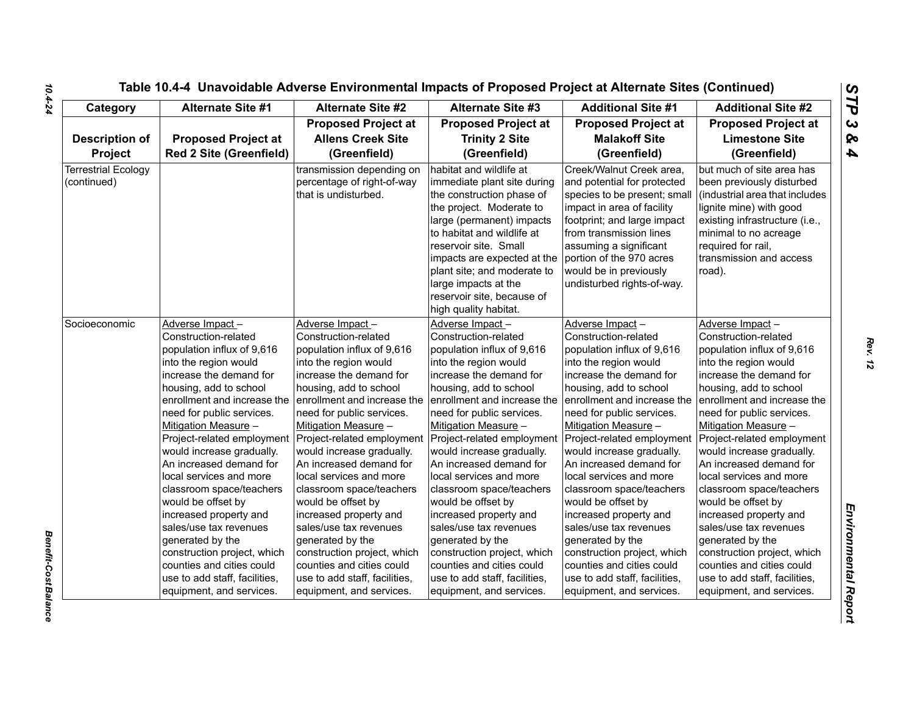| Socioeconomic | <b>Adverse Impa</b><br><b>Construction-</b><br>population in<br>into the regio<br>increase the<br>housing, add<br>enrollment ar<br>need for publ<br>Mitigation Me<br>Project-relate<br>would increas<br>An increased<br>local services<br>classroom sp<br>would be offs<br>increased pro<br>sales/use tax<br>generated by<br>construction<br>counties and<br>use to add st<br>equipment, a |
|---------------|--------------------------------------------------------------------------------------------------------------------------------------------------------------------------------------------------------------------------------------------------------------------------------------------------------------------------------------------------------------------------------------------|

| Category                                  | <b>Alternate Site #1</b>                                                                                                                                                                                            | <b>Alternate Site #2</b>                                                                                                                                                                                            | <b>Alternate Site #3</b>                                                                                                                                                                                                                                                                                                | <b>Additional Site #1</b>                                                                                                                                                                                                                                                                     | <b>Additional Site #2</b>                                                                                                                                                                                                                 |
|-------------------------------------------|---------------------------------------------------------------------------------------------------------------------------------------------------------------------------------------------------------------------|---------------------------------------------------------------------------------------------------------------------------------------------------------------------------------------------------------------------|-------------------------------------------------------------------------------------------------------------------------------------------------------------------------------------------------------------------------------------------------------------------------------------------------------------------------|-----------------------------------------------------------------------------------------------------------------------------------------------------------------------------------------------------------------------------------------------------------------------------------------------|-------------------------------------------------------------------------------------------------------------------------------------------------------------------------------------------------------------------------------------------|
|                                           |                                                                                                                                                                                                                     | <b>Proposed Project at</b>                                                                                                                                                                                          | <b>Proposed Project at</b>                                                                                                                                                                                                                                                                                              | <b>Proposed Project at</b>                                                                                                                                                                                                                                                                    | <b>Proposed Project at</b>                                                                                                                                                                                                                |
| <b>Description of</b>                     | <b>Proposed Project at</b>                                                                                                                                                                                          | <b>Allens Creek Site</b>                                                                                                                                                                                            | <b>Trinity 2 Site</b>                                                                                                                                                                                                                                                                                                   | <b>Malakoff Site</b>                                                                                                                                                                                                                                                                          | <b>Limestone Site</b>                                                                                                                                                                                                                     |
| Project                                   | <b>Red 2 Site (Greenfield)</b>                                                                                                                                                                                      | (Greenfield)                                                                                                                                                                                                        | (Greenfield)                                                                                                                                                                                                                                                                                                            | (Greenfield)                                                                                                                                                                                                                                                                                  | (Greenfield)                                                                                                                                                                                                                              |
| <b>Terrestrial Ecology</b><br>(continued) |                                                                                                                                                                                                                     | transmission depending on<br>percentage of right-of-way<br>that is undisturbed.                                                                                                                                     | habitat and wildlife at<br>immediate plant site during<br>the construction phase of<br>the project. Moderate to<br>large (permanent) impacts<br>to habitat and wildlife at<br>reservoir site. Small<br>impacts are expected at the<br>plant site; and moderate to<br>large impacts at the<br>reservoir site, because of | Creek/Walnut Creek area,<br>and potential for protected<br>species to be present; small<br>impact in area of facility<br>footprint; and large impact<br>from transmission lines<br>assuming a significant<br>portion of the 970 acres<br>would be in previously<br>undisturbed rights-of-way. | but much of site area has<br>been previously disturbed<br>(industrial area that includes<br>lignite mine) with good<br>existing infrastructure (i.e.,<br>minimal to no acreage<br>required for rail,<br>transmission and access<br>road). |
| Socioeconomic                             | Adverse Impact-<br>Construction-related<br>population influx of 9,616<br>into the region would<br>increase the demand for<br>housing, add to school<br>enrollment and increase the                                  | Adverse Impact-<br>Construction-related<br>population influx of 9,616<br>into the region would<br>increase the demand for<br>housing, add to school<br>lenrollment and increase the                                 | high quality habitat.<br>Adverse Impact-<br>Construction-related<br>population influx of 9,616<br>into the region would<br>increase the demand for<br>housing, add to school<br>enrollment and increase the                                                                                                             | Adverse Impact-<br>Construction-related<br>population influx of 9,616<br>into the region would<br>increase the demand for<br>housing, add to school<br>enrollment and increase the                                                                                                            | Adverse Impact-<br>Construction-related<br>population influx of 9,616<br>into the region would<br>increase the demand for<br>housing, add to school<br>enrollment and increase the                                                        |
|                                           | need for public services.<br>Mitigation Measure -<br>Project-related employment<br>would increase gradually.<br>An increased demand for<br>local services and more<br>classroom space/teachers                      | need for public services.<br>Mitigation Measure -<br>Project-related employment<br>would increase gradually.<br>An increased demand for<br>local services and more<br>classroom space/teachers                      | need for public services.<br>Mitigation Measure -<br>Project-related employment<br>would increase gradually.<br>An increased demand for<br>local services and more<br>classroom space/teachers                                                                                                                          | need for public services.<br>Mitigation Measure -<br>Project-related employment<br>would increase gradually.<br>An increased demand for<br>local services and more<br>classroom space/teachers                                                                                                | need for public services.<br>Mitigation Measure -<br>Project-related employment<br>would increase gradually.<br>An increased demand for<br>local services and more<br>classroom space/teachers                                            |
|                                           | would be offset by<br>increased property and<br>sales/use tax revenues<br>generated by the<br>construction project, which<br>counties and cities could<br>use to add staff, facilities,<br>equipment, and services. | would be offset by<br>increased property and<br>sales/use tax revenues<br>generated by the<br>construction project, which<br>counties and cities could<br>use to add staff, facilities,<br>equipment, and services. | would be offset by<br>increased property and<br>sales/use tax revenues<br>generated by the<br>construction project, which<br>counties and cities could<br>use to add staff, facilities,<br>equipment, and services.                                                                                                     | would be offset by<br>increased property and<br>sales/use tax revenues<br>generated by the<br>construction project, which<br>counties and cities could<br>use to add staff, facilities,<br>equipment, and services.                                                                           | would be offset by<br>increased property and<br>sales/use tax revenues<br>generated by the<br>construction project, which<br>counties and cities could<br>use to add staff, facilities,<br>equipment, and services.                       |

*Benefit-Cost Balance* 

Benefit-Cost Balance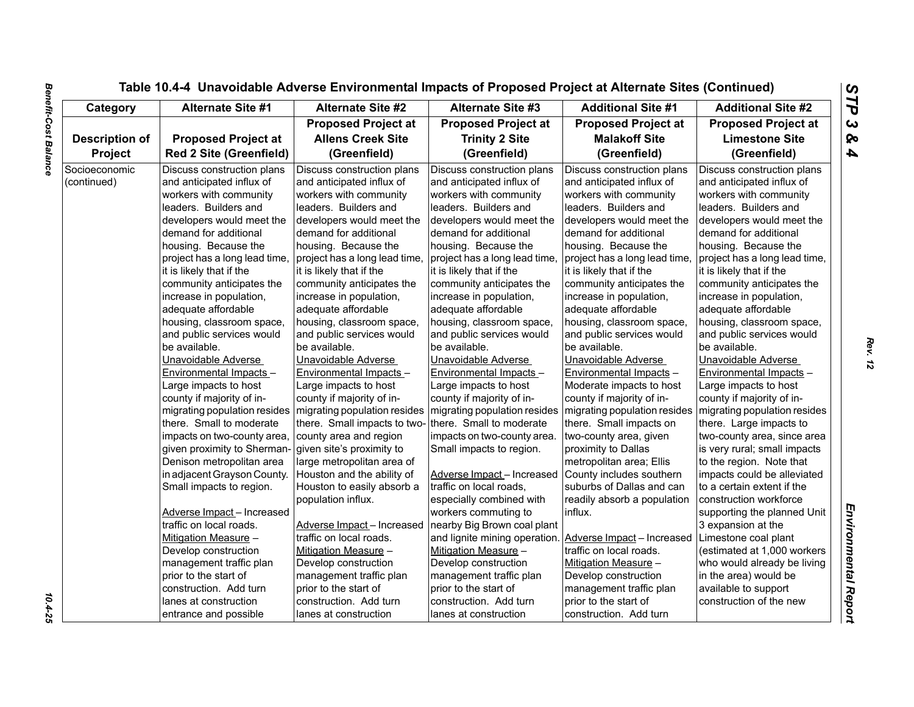|                              |                                                                                                                                                                                                                                                                                    |                                                                                                                                                                                                                                                                                    | Table 10.4-4 Unavoidable Adverse Environmental Impacts of Proposed Project at Alternate Sites (Continued)                                                                                                                                                                          |                                                                                                                                                                                                                                                                                    |                                                                                                                                                                                                                                                                                    |
|------------------------------|------------------------------------------------------------------------------------------------------------------------------------------------------------------------------------------------------------------------------------------------------------------------------------|------------------------------------------------------------------------------------------------------------------------------------------------------------------------------------------------------------------------------------------------------------------------------------|------------------------------------------------------------------------------------------------------------------------------------------------------------------------------------------------------------------------------------------------------------------------------------|------------------------------------------------------------------------------------------------------------------------------------------------------------------------------------------------------------------------------------------------------------------------------------|------------------------------------------------------------------------------------------------------------------------------------------------------------------------------------------------------------------------------------------------------------------------------------|
| Category                     | <b>Alternate Site #1</b>                                                                                                                                                                                                                                                           | <b>Alternate Site #2</b>                                                                                                                                                                                                                                                           | <b>Alternate Site #3</b>                                                                                                                                                                                                                                                           | <b>Additional Site #1</b>                                                                                                                                                                                                                                                          | <b>Additional Site #2</b>                                                                                                                                                                                                                                                          |
|                              |                                                                                                                                                                                                                                                                                    | <b>Proposed Project at</b>                                                                                                                                                                                                                                                         | <b>Proposed Project at</b>                                                                                                                                                                                                                                                         | <b>Proposed Project at</b>                                                                                                                                                                                                                                                         | <b>Proposed Project at</b>                                                                                                                                                                                                                                                         |
| <b>Description of</b>        | <b>Proposed Project at</b>                                                                                                                                                                                                                                                         | <b>Allens Creek Site</b>                                                                                                                                                                                                                                                           | <b>Trinity 2 Site</b>                                                                                                                                                                                                                                                              | <b>Malakoff Site</b>                                                                                                                                                                                                                                                               | <b>Limestone Site</b>                                                                                                                                                                                                                                                              |
| Project                      | <b>Red 2 Site (Greenfield)</b>                                                                                                                                                                                                                                                     | (Greenfield)                                                                                                                                                                                                                                                                       | (Greenfield)                                                                                                                                                                                                                                                                       | (Greenfield)                                                                                                                                                                                                                                                                       | (Greenfield)                                                                                                                                                                                                                                                                       |
| Socioeconomic<br>(continued) | Discuss construction plans<br>and anticipated influx of<br>workers with community<br>leaders. Builders and<br>developers would meet the<br>demand for additional<br>housing. Because the<br>project has a long lead time,<br>it is likely that if the<br>community anticipates the | Discuss construction plans<br>and anticipated influx of<br>workers with community<br>leaders. Builders and<br>developers would meet the<br>demand for additional<br>housing. Because the<br>project has a long lead time,<br>it is likely that if the<br>community anticipates the | Discuss construction plans<br>and anticipated influx of<br>workers with community<br>leaders. Builders and<br>developers would meet the<br>demand for additional<br>housing. Because the<br>project has a long lead time,<br>it is likely that if the<br>community anticipates the | Discuss construction plans<br>and anticipated influx of<br>workers with community<br>leaders. Builders and<br>developers would meet the<br>demand for additional<br>housing. Because the<br>project has a long lead time,<br>it is likely that if the<br>community anticipates the | Discuss construction plans<br>and anticipated influx of<br>workers with community<br>leaders. Builders and<br>developers would meet the<br>demand for additional<br>housing. Because the<br>project has a long lead time,<br>it is likely that if the<br>community anticipates the |
|                              | increase in population,                                                                                                                                                                                                                                                            | increase in population,                                                                                                                                                                                                                                                            | increase in population,                                                                                                                                                                                                                                                            | increase in population,                                                                                                                                                                                                                                                            | increase in population,                                                                                                                                                                                                                                                            |
|                              | adequate affordable                                                                                                                                                                                                                                                                | adequate affordable                                                                                                                                                                                                                                                                | adequate affordable                                                                                                                                                                                                                                                                | adequate affordable                                                                                                                                                                                                                                                                | adequate affordable                                                                                                                                                                                                                                                                |
|                              | housing, classroom space,                                                                                                                                                                                                                                                          | housing, classroom space,                                                                                                                                                                                                                                                          | housing, classroom space,                                                                                                                                                                                                                                                          | housing, classroom space,                                                                                                                                                                                                                                                          | housing, classroom space,                                                                                                                                                                                                                                                          |
|                              | and public services would                                                                                                                                                                                                                                                          | and public services would                                                                                                                                                                                                                                                          | and public services would                                                                                                                                                                                                                                                          | and public services would                                                                                                                                                                                                                                                          | and public services would                                                                                                                                                                                                                                                          |
|                              | be available.                                                                                                                                                                                                                                                                      | be available.                                                                                                                                                                                                                                                                      | be available.                                                                                                                                                                                                                                                                      | be available.                                                                                                                                                                                                                                                                      | be available.                                                                                                                                                                                                                                                                      |
|                              | Unavoidable Adverse                                                                                                                                                                                                                                                                | Unavoidable Adverse                                                                                                                                                                                                                                                                | Unavoidable Adverse                                                                                                                                                                                                                                                                | Unavoidable Adverse                                                                                                                                                                                                                                                                | Unavoidable Adverse                                                                                                                                                                                                                                                                |
|                              | Environmental Impacts -                                                                                                                                                                                                                                                            | Environmental Impacts -                                                                                                                                                                                                                                                            | Environmental Impacts -                                                                                                                                                                                                                                                            | Environmental Impacts -                                                                                                                                                                                                                                                            | Environmental Impacts -                                                                                                                                                                                                                                                            |
|                              | Large impacts to host                                                                                                                                                                                                                                                              | Large impacts to host                                                                                                                                                                                                                                                              | Large impacts to host                                                                                                                                                                                                                                                              | Moderate impacts to host                                                                                                                                                                                                                                                           | Large impacts to host                                                                                                                                                                                                                                                              |
|                              | county if majority of in-                                                                                                                                                                                                                                                          | county if majority of in-                                                                                                                                                                                                                                                          | county if majority of in-                                                                                                                                                                                                                                                          | county if majority of in-                                                                                                                                                                                                                                                          | county if majority of in-                                                                                                                                                                                                                                                          |
|                              | migrating population resides                                                                                                                                                                                                                                                       | migrating population resides                                                                                                                                                                                                                                                       | migrating population resides                                                                                                                                                                                                                                                       | migrating population resides                                                                                                                                                                                                                                                       | migrating population resides                                                                                                                                                                                                                                                       |
|                              | there. Small to moderate                                                                                                                                                                                                                                                           | there. Small impacts to two-                                                                                                                                                                                                                                                       | there. Small to moderate                                                                                                                                                                                                                                                           | there. Small impacts on                                                                                                                                                                                                                                                            | there. Large impacts to                                                                                                                                                                                                                                                            |
|                              | impacts on two-county area,                                                                                                                                                                                                                                                        | county area and region                                                                                                                                                                                                                                                             | impacts on two-county area.                                                                                                                                                                                                                                                        | two-county area, given                                                                                                                                                                                                                                                             | two-county area, since area                                                                                                                                                                                                                                                        |
|                              | given proximity to Sherman-                                                                                                                                                                                                                                                        | given site's proximity to                                                                                                                                                                                                                                                          | Small impacts to region.                                                                                                                                                                                                                                                           | proximity to Dallas                                                                                                                                                                                                                                                                | is very rural; small impacts                                                                                                                                                                                                                                                       |
|                              | Denison metropolitan area                                                                                                                                                                                                                                                          | large metropolitan area of                                                                                                                                                                                                                                                         |                                                                                                                                                                                                                                                                                    | metropolitan area; Ellis                                                                                                                                                                                                                                                           | to the region. Note that                                                                                                                                                                                                                                                           |
|                              | in adjacent Grayson County.                                                                                                                                                                                                                                                        | Houston and the ability of                                                                                                                                                                                                                                                         | Adverse Impact - Increased                                                                                                                                                                                                                                                         | County includes southern                                                                                                                                                                                                                                                           | impacts could be alleviated                                                                                                                                                                                                                                                        |
|                              | Small impacts to region.                                                                                                                                                                                                                                                           | Houston to easily absorb a                                                                                                                                                                                                                                                         | traffic on local roads,                                                                                                                                                                                                                                                            | suburbs of Dallas and can                                                                                                                                                                                                                                                          | to a certain extent if the                                                                                                                                                                                                                                                         |
|                              |                                                                                                                                                                                                                                                                                    | population influx.                                                                                                                                                                                                                                                                 | especially combined with                                                                                                                                                                                                                                                           | readily absorb a population                                                                                                                                                                                                                                                        | construction workforce                                                                                                                                                                                                                                                             |
|                              | Adverse Impact - Increased                                                                                                                                                                                                                                                         |                                                                                                                                                                                                                                                                                    | workers commuting to                                                                                                                                                                                                                                                               | influx.                                                                                                                                                                                                                                                                            | supporting the planned Unit                                                                                                                                                                                                                                                        |
|                              | traffic on local roads.                                                                                                                                                                                                                                                            | Adverse Impact - Increased                                                                                                                                                                                                                                                         | nearby Big Brown coal plant                                                                                                                                                                                                                                                        |                                                                                                                                                                                                                                                                                    | 3 expansion at the                                                                                                                                                                                                                                                                 |
|                              | Mitigation Measure -                                                                                                                                                                                                                                                               | traffic on local roads.                                                                                                                                                                                                                                                            | and lignite mining operation.                                                                                                                                                                                                                                                      | Adverse Impact - Increased                                                                                                                                                                                                                                                         | Limestone coal plant                                                                                                                                                                                                                                                               |
|                              | Develop construction                                                                                                                                                                                                                                                               | Mitigation Measure -                                                                                                                                                                                                                                                               | Mitigation Measure -                                                                                                                                                                                                                                                               | traffic on local roads.                                                                                                                                                                                                                                                            | (estimated at 1,000 workers)                                                                                                                                                                                                                                                       |
|                              | management traffic plan                                                                                                                                                                                                                                                            | Develop construction                                                                                                                                                                                                                                                               | Develop construction                                                                                                                                                                                                                                                               | Mitigation Measure -                                                                                                                                                                                                                                                               | who would already be living                                                                                                                                                                                                                                                        |
|                              | prior to the start of                                                                                                                                                                                                                                                              | management traffic plan                                                                                                                                                                                                                                                            | management traffic plan                                                                                                                                                                                                                                                            | Develop construction                                                                                                                                                                                                                                                               | in the area) would be                                                                                                                                                                                                                                                              |
|                              | construction. Add turn                                                                                                                                                                                                                                                             | prior to the start of                                                                                                                                                                                                                                                              | prior to the start of                                                                                                                                                                                                                                                              | management traffic plan                                                                                                                                                                                                                                                            | available to support                                                                                                                                                                                                                                                               |
|                              | lanes at construction                                                                                                                                                                                                                                                              | construction. Add turn                                                                                                                                                                                                                                                             | construction. Add turn                                                                                                                                                                                                                                                             | prior to the start of                                                                                                                                                                                                                                                              | construction of the new                                                                                                                                                                                                                                                            |
|                              | entrance and possible                                                                                                                                                                                                                                                              | lanes at construction                                                                                                                                                                                                                                                              | lanes at construction                                                                                                                                                                                                                                                              | construction. Add turn                                                                                                                                                                                                                                                             |                                                                                                                                                                                                                                                                                    |

 $\frac{10.4 - 25}{10.4 - 25}$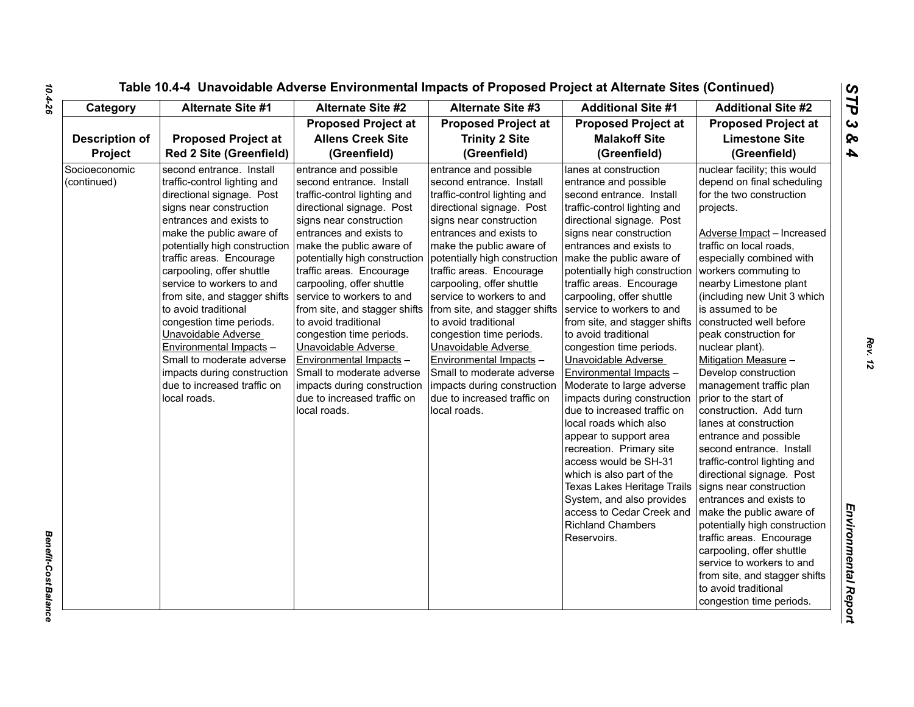| Category                     | <b>Alternate Site #1</b>                                                                                                                                                                                                                                                                                                                                                                                                                                                                                                                         | <b>Alternate Site #2</b>                                                                                                                                                                                                                                                                                                                                                                                                                                                                                                                                                  | <b>Alternate Site #3</b>                                                                                                                                                                                                                                                                                                                                                                                                                                                                                                                                                                             | <b>Additional Site #1</b>                                                                                                                                                                                                                                                                                                                                                                                                                                                                                                                                                                                                                                                                                                                                                                                                        | <b>Additional Site #2</b>                                                                                                                                                                                                                                                                                                                                                                                                                                                                                                                                                                                                                                                                                                                                                                                                                                                                                                                   |
|------------------------------|--------------------------------------------------------------------------------------------------------------------------------------------------------------------------------------------------------------------------------------------------------------------------------------------------------------------------------------------------------------------------------------------------------------------------------------------------------------------------------------------------------------------------------------------------|---------------------------------------------------------------------------------------------------------------------------------------------------------------------------------------------------------------------------------------------------------------------------------------------------------------------------------------------------------------------------------------------------------------------------------------------------------------------------------------------------------------------------------------------------------------------------|------------------------------------------------------------------------------------------------------------------------------------------------------------------------------------------------------------------------------------------------------------------------------------------------------------------------------------------------------------------------------------------------------------------------------------------------------------------------------------------------------------------------------------------------------------------------------------------------------|----------------------------------------------------------------------------------------------------------------------------------------------------------------------------------------------------------------------------------------------------------------------------------------------------------------------------------------------------------------------------------------------------------------------------------------------------------------------------------------------------------------------------------------------------------------------------------------------------------------------------------------------------------------------------------------------------------------------------------------------------------------------------------------------------------------------------------|---------------------------------------------------------------------------------------------------------------------------------------------------------------------------------------------------------------------------------------------------------------------------------------------------------------------------------------------------------------------------------------------------------------------------------------------------------------------------------------------------------------------------------------------------------------------------------------------------------------------------------------------------------------------------------------------------------------------------------------------------------------------------------------------------------------------------------------------------------------------------------------------------------------------------------------------|
|                              |                                                                                                                                                                                                                                                                                                                                                                                                                                                                                                                                                  | <b>Proposed Project at</b>                                                                                                                                                                                                                                                                                                                                                                                                                                                                                                                                                | <b>Proposed Project at</b>                                                                                                                                                                                                                                                                                                                                                                                                                                                                                                                                                                           | <b>Proposed Project at</b>                                                                                                                                                                                                                                                                                                                                                                                                                                                                                                                                                                                                                                                                                                                                                                                                       | <b>Proposed Project at</b>                                                                                                                                                                                                                                                                                                                                                                                                                                                                                                                                                                                                                                                                                                                                                                                                                                                                                                                  |
| <b>Description of</b>        | <b>Proposed Project at</b>                                                                                                                                                                                                                                                                                                                                                                                                                                                                                                                       | <b>Allens Creek Site</b>                                                                                                                                                                                                                                                                                                                                                                                                                                                                                                                                                  | <b>Trinity 2 Site</b>                                                                                                                                                                                                                                                                                                                                                                                                                                                                                                                                                                                | <b>Malakoff Site</b>                                                                                                                                                                                                                                                                                                                                                                                                                                                                                                                                                                                                                                                                                                                                                                                                             | <b>Limestone Site</b>                                                                                                                                                                                                                                                                                                                                                                                                                                                                                                                                                                                                                                                                                                                                                                                                                                                                                                                       |
| <b>Project</b>               | <b>Red 2 Site (Greenfield)</b>                                                                                                                                                                                                                                                                                                                                                                                                                                                                                                                   | (Greenfield)                                                                                                                                                                                                                                                                                                                                                                                                                                                                                                                                                              | (Greenfield)                                                                                                                                                                                                                                                                                                                                                                                                                                                                                                                                                                                         | (Greenfield)                                                                                                                                                                                                                                                                                                                                                                                                                                                                                                                                                                                                                                                                                                                                                                                                                     | (Greenfield)                                                                                                                                                                                                                                                                                                                                                                                                                                                                                                                                                                                                                                                                                                                                                                                                                                                                                                                                |
| Socioeconomic<br>(continued) | second entrance. Install<br>traffic-control lighting and<br>directional signage. Post<br>signs near construction<br>entrances and exists to<br>make the public aware of<br>potentially high construction<br>traffic areas. Encourage<br>carpooling, offer shuttle<br>service to workers to and<br>from site, and stagger shifts<br>to avoid traditional<br>congestion time periods.<br>Unavoidable Adverse<br>Environmental Impacts -<br>Small to moderate adverse<br>impacts during construction<br>due to increased traffic on<br>local roads. | entrance and possible<br>second entrance. Install<br>traffic-control lighting and<br>directional signage. Post<br>signs near construction<br>entrances and exists to<br>make the public aware of<br>potentially high construction<br>traffic areas. Encourage<br>carpooling, offer shuttle<br>service to workers to and<br>from site, and stagger shifts<br>to avoid traditional<br>congestion time periods.<br>Unavoidable Adverse<br>Environmental Impacts -<br>Small to moderate adverse<br>impacts during construction<br>due to increased traffic on<br>local roads. | entrance and possible<br>second entrance. Install<br>traffic-control lighting and<br>directional signage. Post<br>signs near construction<br>entrances and exists to<br>make the public aware of<br>potentially high construction   make the public aware of<br>traffic areas. Encourage<br>carpooling, offer shuttle<br>service to workers to and<br>from site, and stagger shifts<br>to avoid traditional<br>congestion time periods.<br>Unavoidable Adverse<br>Environmental Impacts -<br>Small to moderate adverse<br>impacts during construction<br>due to increased traffic on<br>local roads. | lanes at construction<br>entrance and possible<br>second entrance. Install<br>traffic-control lighting and<br>directional signage. Post<br>signs near construction<br>entrances and exists to<br>potentially high construction<br>traffic areas. Encourage<br>carpooling, offer shuttle<br>service to workers to and<br>from site, and stagger shifts<br>to avoid traditional<br>congestion time periods.<br>Unavoidable Adverse<br>Environmental Impacts -<br>Moderate to large adverse<br>impacts during construction<br>due to increased traffic on<br>local roads which also<br>appear to support area<br>recreation. Primary site<br>access would be SH-31<br>which is also part of the<br>Texas Lakes Heritage Trails<br>System, and also provides<br>access to Cedar Creek and<br><b>Richland Chambers</b><br>Reservoirs. | nuclear facility; this would<br>depend on final scheduling<br>for the two construction<br>projects.<br>Adverse Impact - Increased<br>traffic on local roads,<br>especially combined with<br>workers commuting to<br>nearby Limestone plant<br>(including new Unit 3 which<br>is assumed to be<br>constructed well before<br>peak construction for<br>nuclear plant).<br>Mitigation Measure -<br>Develop construction<br>management traffic plan<br>prior to the start of<br>construction. Add turn<br>lanes at construction<br>entrance and possible<br>second entrance. Install<br>traffic-control lighting and<br>directional signage. Post<br>signs near construction<br>entrances and exists to<br>make the public aware of<br>potentially high construction<br>traffic areas. Encourage<br>carpooling, offer shuttle<br>service to workers to and<br>from site, and stagger shifts<br>to avoid traditional<br>congestion time periods. |

*Benefit-Cost Balance* 

**Benefit-Cost Balance** 

*Rev. 12*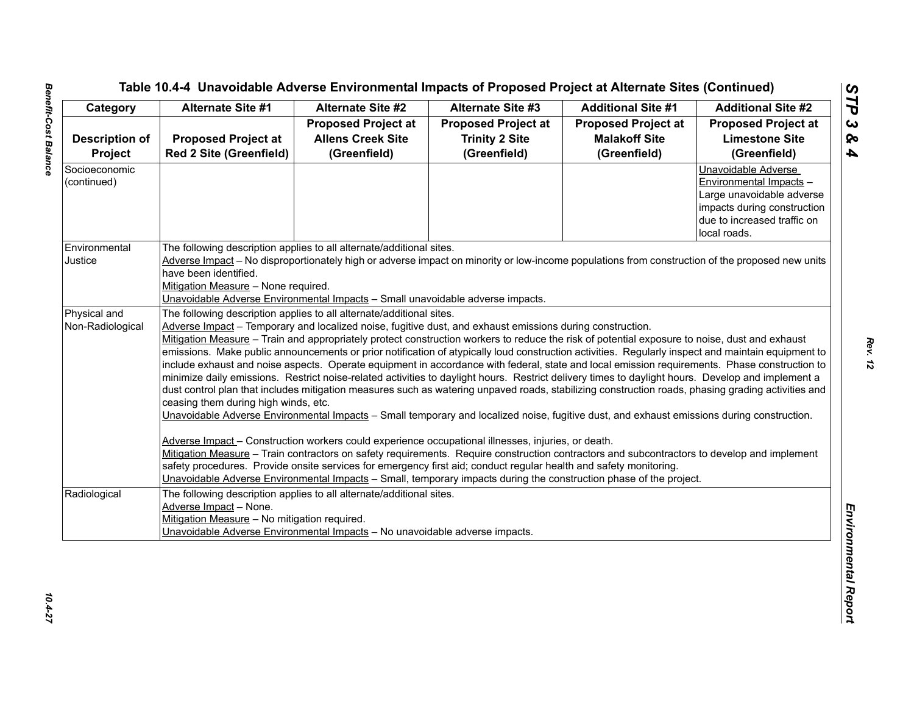|                       | Alternate Site #1                                                                                                                                                                                                                       | <b>Alternate Site #2</b>                                                       | <b>Alternate Site #3</b>   | <b>Additional Site #1</b>  | <b>Additional Site #2</b>   |  |  |
|-----------------------|-----------------------------------------------------------------------------------------------------------------------------------------------------------------------------------------------------------------------------------------|--------------------------------------------------------------------------------|----------------------------|----------------------------|-----------------------------|--|--|
|                       |                                                                                                                                                                                                                                         | <b>Proposed Project at</b>                                                     | <b>Proposed Project at</b> | <b>Proposed Project at</b> | <b>Proposed Project at</b>  |  |  |
| <b>Description of</b> | <b>Proposed Project at</b>                                                                                                                                                                                                              | <b>Allens Creek Site</b>                                                       | <b>Trinity 2 Site</b>      | <b>Malakoff Site</b>       | <b>Limestone Site</b>       |  |  |
| Project               | <b>Red 2 Site (Greenfield)</b>                                                                                                                                                                                                          | (Greenfield)                                                                   | (Greenfield)               | (Greenfield)               | (Greenfield)                |  |  |
| Socioeconomic         |                                                                                                                                                                                                                                         |                                                                                |                            |                            | Unavoidable Adverse         |  |  |
| (continued)           |                                                                                                                                                                                                                                         |                                                                                |                            |                            | Environmental Impacts -     |  |  |
|                       |                                                                                                                                                                                                                                         |                                                                                |                            |                            | Large unavoidable adverse   |  |  |
|                       |                                                                                                                                                                                                                                         |                                                                                |                            |                            | impacts during construction |  |  |
|                       |                                                                                                                                                                                                                                         |                                                                                |                            |                            | due to increased traffic on |  |  |
|                       |                                                                                                                                                                                                                                         |                                                                                |                            |                            | local roads.                |  |  |
| Environmental         | The following description applies to all alternate/additional sites.                                                                                                                                                                    |                                                                                |                            |                            |                             |  |  |
| Justice               | Adverse Impact - No disproportionately high or adverse impact on minority or low-income populations from construction of the proposed new units                                                                                         |                                                                                |                            |                            |                             |  |  |
|                       | have been identified.                                                                                                                                                                                                                   |                                                                                |                            |                            |                             |  |  |
|                       | Mitigation Measure - None required.                                                                                                                                                                                                     |                                                                                |                            |                            |                             |  |  |
|                       |                                                                                                                                                                                                                                         | Unavoidable Adverse Environmental Impacts - Small unavoidable adverse impacts. |                            |                            |                             |  |  |
| Physical and          | The following description applies to all alternate/additional sites.                                                                                                                                                                    |                                                                                |                            |                            |                             |  |  |
| Non-Radiological      | Adverse Impact – Temporary and localized noise, fugitive dust, and exhaust emissions during construction.                                                                                                                               |                                                                                |                            |                            |                             |  |  |
|                       | Mitigation Measure - Train and appropriately protect construction workers to reduce the risk of potential exposure to noise, dust and exhaust                                                                                           |                                                                                |                            |                            |                             |  |  |
|                       | emissions. Make public announcements or prior notification of atypically loud construction activities. Regularly inspect and maintain equipment to                                                                                      |                                                                                |                            |                            |                             |  |  |
|                       | include exhaust and noise aspects. Operate equipment in accordance with federal, state and local emission requirements. Phase construction to                                                                                           |                                                                                |                            |                            |                             |  |  |
|                       | minimize daily emissions. Restrict noise-related activities to daylight hours. Restrict delivery times to daylight hours. Develop and implement a                                                                                       |                                                                                |                            |                            |                             |  |  |
|                       | dust control plan that includes mitigation measures such as watering unpaved roads, stabilizing construction roads, phasing grading activities and                                                                                      |                                                                                |                            |                            |                             |  |  |
|                       | ceasing them during high winds, etc.                                                                                                                                                                                                    |                                                                                |                            |                            |                             |  |  |
|                       | Unavoidable Adverse Environmental Impacts - Small temporary and localized noise, fugitive dust, and exhaust emissions during construction.                                                                                              |                                                                                |                            |                            |                             |  |  |
|                       |                                                                                                                                                                                                                                         |                                                                                |                            |                            |                             |  |  |
|                       | Adverse Impact - Construction workers could experience occupational illnesses, injuries, or death.                                                                                                                                      |                                                                                |                            |                            |                             |  |  |
|                       | Mitigation Measure - Train contractors on safety requirements. Require construction contractors and subcontractors to develop and implement                                                                                             |                                                                                |                            |                            |                             |  |  |
|                       | safety procedures. Provide onsite services for emergency first aid; conduct regular health and safety monitoring.<br>Unavoidable Adverse Environmental Impacts - Small, temporary impacts during the construction phase of the project. |                                                                                |                            |                            |                             |  |  |
|                       |                                                                                                                                                                                                                                         |                                                                                |                            |                            |                             |  |  |
| Radiological          | The following description applies to all alternate/additional sites.                                                                                                                                                                    |                                                                                |                            |                            |                             |  |  |
|                       | Adverse Impact - None.                                                                                                                                                                                                                  |                                                                                |                            |                            |                             |  |  |
|                       | Mitigation Measure - No mitigation required.                                                                                                                                                                                            |                                                                                |                            |                            |                             |  |  |
|                       |                                                                                                                                                                                                                                         | Unavoidable Adverse Environmental Impacts - No unavoidable adverse impacts.    |                            |                            |                             |  |  |
|                       |                                                                                                                                                                                                                                         |                                                                                |                            |                            |                             |  |  |
|                       |                                                                                                                                                                                                                                         |                                                                                |                            |                            |                             |  |  |
|                       |                                                                                                                                                                                                                                         |                                                                                |                            |                            |                             |  |  |
|                       |                                                                                                                                                                                                                                         |                                                                                |                            |                            |                             |  |  |
|                       |                                                                                                                                                                                                                                         |                                                                                |                            |                            |                             |  |  |
|                       |                                                                                                                                                                                                                                         |                                                                                |                            |                            |                             |  |  |

10.4-27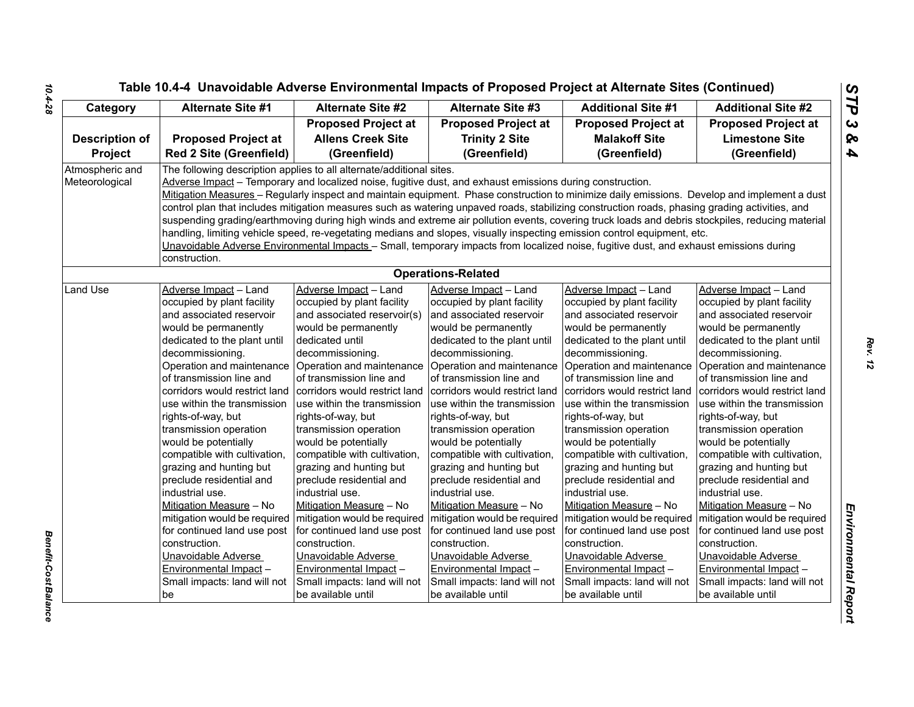| Category              | <b>Alternate Site #1</b>                                  | Alternate Site #2                                                    | <b>Alternate Site #3</b>                                                                                                                         | <b>Additional Site #1</b>                                 | <b>Additional Site #2</b>                                 |
|-----------------------|-----------------------------------------------------------|----------------------------------------------------------------------|--------------------------------------------------------------------------------------------------------------------------------------------------|-----------------------------------------------------------|-----------------------------------------------------------|
|                       |                                                           | <b>Proposed Project at</b>                                           | <b>Proposed Project at</b>                                                                                                                       | <b>Proposed Project at</b>                                | <b>Proposed Project at</b>                                |
| <b>Description of</b> | <b>Proposed Project at</b>                                | <b>Allens Creek Site</b>                                             | <b>Trinity 2 Site</b>                                                                                                                            | <b>Malakoff Site</b>                                      | <b>Limestone Site</b>                                     |
| <b>Project</b>        | <b>Red 2 Site (Greenfield)</b>                            | (Greenfield)                                                         | (Greenfield)                                                                                                                                     | (Greenfield)                                              | (Greenfield)                                              |
| Atmospheric and       |                                                           | The following description applies to all alternate/additional sites. |                                                                                                                                                  |                                                           |                                                           |
| Meteorological        |                                                           |                                                                      | Adverse Impact - Temporary and localized noise, fugitive dust, and exhaust emissions during construction.                                        |                                                           |                                                           |
|                       |                                                           |                                                                      | Mitigation Measures - Regularly inspect and maintain equipment. Phase construction to minimize daily emissions. Develop and implement a dust     |                                                           |                                                           |
|                       |                                                           |                                                                      | control plan that includes mitigation measures such as watering unpaved roads, stabilizing construction roads, phasing grading activities, and   |                                                           |                                                           |
|                       |                                                           |                                                                      | suspending grading/earthmoving during high winds and extreme air pollution events, covering truck loads and debris stockpiles, reducing material |                                                           |                                                           |
|                       |                                                           |                                                                      | handling, limiting vehicle speed, re-vegetating medians and slopes, visually inspecting emission control equipment, etc.                         |                                                           |                                                           |
|                       |                                                           |                                                                      | Unavoidable Adverse Environmental Impacts - Small, temporary impacts from localized noise, fugitive dust, and exhaust emissions during           |                                                           |                                                           |
|                       | construction.                                             |                                                                      |                                                                                                                                                  |                                                           |                                                           |
|                       |                                                           |                                                                      | <b>Operations-Related</b>                                                                                                                        |                                                           |                                                           |
| Land Use              | Adverse Impact - Land                                     | Adverse Impact - Land                                                | Adverse Impact - Land                                                                                                                            | Adverse Impact - Land                                     | Adverse Impact - Land                                     |
|                       | occupied by plant facility                                | occupied by plant facility                                           | occupied by plant facility                                                                                                                       | occupied by plant facility                                | occupied by plant facility                                |
|                       | and associated reservoir                                  | and associated reservoir(s)                                          | and associated reservoir                                                                                                                         | and associated reservoir                                  | and associated reservoir                                  |
|                       | would be permanently                                      | would be permanently                                                 | would be permanently                                                                                                                             | would be permanently                                      | would be permanently                                      |
|                       | dedicated to the plant until                              | dedicated until                                                      | dedicated to the plant until                                                                                                                     | dedicated to the plant until                              | dedicated to the plant until                              |
|                       | decommissioning.                                          | decommissioning.                                                     | decommissioning.                                                                                                                                 | decommissioning.                                          | decommissioning.                                          |
|                       | Operation and maintenance                                 | Operation and maintenance                                            |                                                                                                                                                  | Operation and maintenance Operation and maintenance       | Operation and maintenance                                 |
|                       | of transmission line and<br>corridors would restrict land | of transmission line and<br>corridors would restrict land            | of transmission line and<br>corridors would restrict land                                                                                        | of transmission line and<br>corridors would restrict land | of transmission line and<br>corridors would restrict land |
|                       | use within the transmission                               | use within the transmission                                          | use within the transmission                                                                                                                      | use within the transmission                               | use within the transmission                               |
|                       | rights-of-way, but                                        | rights-of-way, but                                                   | rights-of-way, but                                                                                                                               | rights-of-way, but                                        | rights-of-way, but                                        |
|                       | transmission operation                                    | transmission operation                                               | transmission operation                                                                                                                           | transmission operation                                    | transmission operation                                    |
|                       | would be potentially                                      | would be potentially                                                 | would be potentially                                                                                                                             | would be potentially                                      | would be potentially                                      |
|                       | compatible with cultivation,                              | compatible with cultivation,                                         | compatible with cultivation,                                                                                                                     | compatible with cultivation,                              | compatible with cultivation,                              |
|                       | grazing and hunting but                                   | grazing and hunting but                                              | grazing and hunting but                                                                                                                          | grazing and hunting but                                   | grazing and hunting but                                   |
|                       | preclude residential and                                  | preclude residential and                                             | preclude residential and                                                                                                                         | preclude residential and                                  | preclude residential and                                  |
|                       | industrial use.                                           | industrial use.                                                      | industrial use.                                                                                                                                  | industrial use.                                           | industrial use.                                           |
|                       | Mitigation Measure - No                                   | Mitigation Measure - No                                              | Mitigation Measure - No                                                                                                                          | Mitigation Measure - No                                   | Mitigation Measure - No                                   |
|                       | mitigation would be required                              | mitigation would be required                                         | mitigation would be required                                                                                                                     | mitigation would be required                              | mitigation would be required                              |
|                       | for continued land use post                               | for continued land use post                                          | for continued land use post                                                                                                                      | for continued land use post                               | for continued land use post                               |
|                       | construction.                                             | construction.                                                        | construction.                                                                                                                                    | construction.                                             | construction.                                             |
|                       | Unavoidable Adverse                                       | Unavoidable Adverse                                                  | Unavoidable Adverse                                                                                                                              | Unavoidable Adverse                                       | Unavoidable Adverse                                       |
|                       | Environmental Impact -                                    | Environmental Impact -                                               | Environmental Impact-                                                                                                                            | <b>Environmental Impact-</b>                              | Environmental Impact -                                    |
|                       | Small impacts: land will not                              | Small impacts: land will not                                         | Small impacts: land will not                                                                                                                     | Small impacts: land will not                              | Small impacts: land will not                              |
|                       | be                                                        | be available until                                                   | be available until                                                                                                                               | be available until                                        | be available until                                        |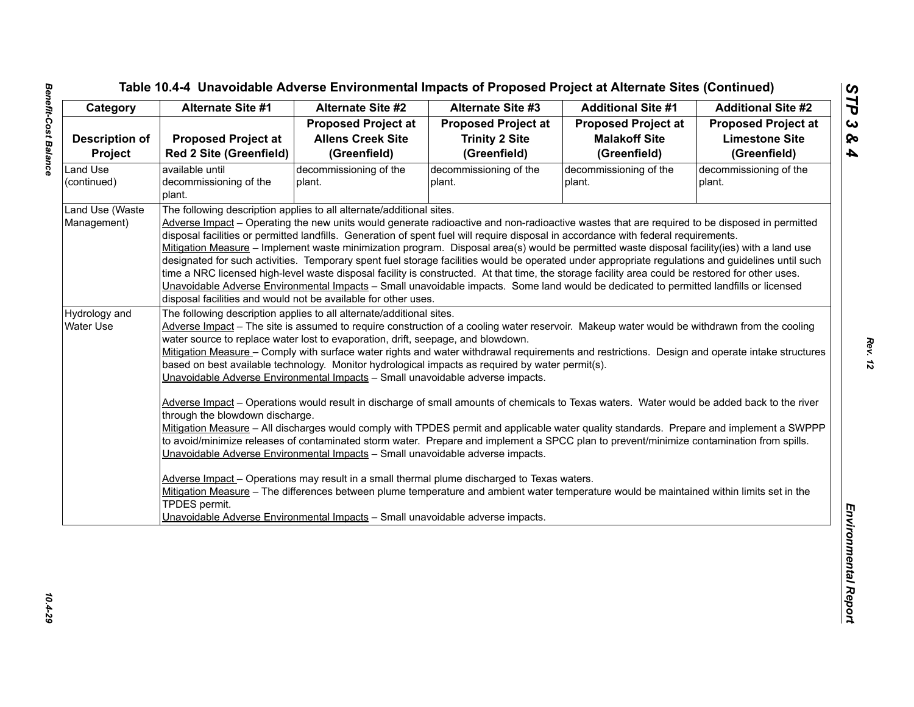| Category              | <b>Alternate Site #1</b>                                                                                                                                                                                 | <b>Alternate Site #2</b>                                                       | <b>Alternate Site #3</b>                                                                                                                                                                                                                                                                         | <b>Additional Site #1</b>  | <b>Additional Site #2</b>  |  |  |
|-----------------------|----------------------------------------------------------------------------------------------------------------------------------------------------------------------------------------------------------|--------------------------------------------------------------------------------|--------------------------------------------------------------------------------------------------------------------------------------------------------------------------------------------------------------------------------------------------------------------------------------------------|----------------------------|----------------------------|--|--|
|                       |                                                                                                                                                                                                          | <b>Proposed Project at</b>                                                     | <b>Proposed Project at</b>                                                                                                                                                                                                                                                                       | <b>Proposed Project at</b> | <b>Proposed Project at</b> |  |  |
| <b>Description of</b> | <b>Proposed Project at</b>                                                                                                                                                                               | <b>Allens Creek Site</b>                                                       | <b>Trinity 2 Site</b>                                                                                                                                                                                                                                                                            | <b>Malakoff Site</b>       | <b>Limestone Site</b>      |  |  |
| Project               | <b>Red 2 Site (Greenfield)</b>                                                                                                                                                                           | (Greenfield)                                                                   | (Greenfield)                                                                                                                                                                                                                                                                                     | (Greenfield)               | (Greenfield)               |  |  |
| Land Use              | available until                                                                                                                                                                                          | decommissioning of the                                                         | decommissioning of the                                                                                                                                                                                                                                                                           | decommissioning of the     | decommissioning of the     |  |  |
| (continued)           | decommissioning of the                                                                                                                                                                                   | plant.                                                                         | plant.                                                                                                                                                                                                                                                                                           | plant.                     | plant.                     |  |  |
|                       | plant.                                                                                                                                                                                                   |                                                                                |                                                                                                                                                                                                                                                                                                  |                            |                            |  |  |
| Land Use (Waste       |                                                                                                                                                                                                          | The following description applies to all alternate/additional sites.           |                                                                                                                                                                                                                                                                                                  |                            |                            |  |  |
| Management)           |                                                                                                                                                                                                          |                                                                                | Adverse Impact - Operating the new units would generate radioactive and non-radioactive wastes that are required to be disposed in permitted                                                                                                                                                     |                            |                            |  |  |
|                       |                                                                                                                                                                                                          |                                                                                | disposal facilities or permitted landfills. Generation of spent fuel will require disposal in accordance with federal requirements.                                                                                                                                                              |                            |                            |  |  |
|                       |                                                                                                                                                                                                          |                                                                                | Mitigation Measure - Implement waste minimization program. Disposal area(s) would be permitted waste disposal facility(ies) with a land use<br>designated for such activities. Temporary spent fuel storage facilities would be operated under appropriate regulations and guidelines until such |                            |                            |  |  |
|                       |                                                                                                                                                                                                          |                                                                                | time a NRC licensed high-level waste disposal facility is constructed. At that time, the storage facility area could be restored for other uses.                                                                                                                                                 |                            |                            |  |  |
|                       |                                                                                                                                                                                                          |                                                                                |                                                                                                                                                                                                                                                                                                  |                            |                            |  |  |
|                       | Unavoidable Adverse Environmental Impacts - Small unavoidable impacts. Some land would be dedicated to permitted landfills or licensed<br>disposal facilities and would not be available for other uses. |                                                                                |                                                                                                                                                                                                                                                                                                  |                            |                            |  |  |
| Hydrology and         |                                                                                                                                                                                                          | The following description applies to all alternate/additional sites.           |                                                                                                                                                                                                                                                                                                  |                            |                            |  |  |
| <b>Water Use</b>      | Adverse Impact - The site is assumed to require construction of a cooling water reservoir. Makeup water would be withdrawn from the cooling                                                              |                                                                                |                                                                                                                                                                                                                                                                                                  |                            |                            |  |  |
|                       | water source to replace water lost to evaporation, drift, seepage, and blowdown.                                                                                                                         |                                                                                |                                                                                                                                                                                                                                                                                                  |                            |                            |  |  |
|                       | Mitigation Measure - Comply with surface water rights and water withdrawal requirements and restrictions. Design and operate intake structures                                                           |                                                                                |                                                                                                                                                                                                                                                                                                  |                            |                            |  |  |
|                       |                                                                                                                                                                                                          |                                                                                | based on best available technology. Monitor hydrological impacts as required by water permit(s).                                                                                                                                                                                                 |                            |                            |  |  |
|                       | Unavoidable Adverse Environmental Impacts - Small unavoidable adverse impacts.                                                                                                                           |                                                                                |                                                                                                                                                                                                                                                                                                  |                            |                            |  |  |
|                       |                                                                                                                                                                                                          |                                                                                |                                                                                                                                                                                                                                                                                                  |                            |                            |  |  |
|                       | Adverse Impact - Operations would result in discharge of small amounts of chemicals to Texas waters. Water would be added back to the river                                                              |                                                                                |                                                                                                                                                                                                                                                                                                  |                            |                            |  |  |
|                       | through the blowdown discharge.<br>Mitigation Measure - All discharges would comply with TPDES permit and applicable water quality standards. Prepare and implement a SWPPP                              |                                                                                |                                                                                                                                                                                                                                                                                                  |                            |                            |  |  |
|                       | to avoid/minimize releases of contaminated storm water. Prepare and implement a SPCC plan to prevent/minimize contamination from spills.                                                                 |                                                                                |                                                                                                                                                                                                                                                                                                  |                            |                            |  |  |
|                       |                                                                                                                                                                                                          |                                                                                |                                                                                                                                                                                                                                                                                                  |                            |                            |  |  |
|                       |                                                                                                                                                                                                          |                                                                                |                                                                                                                                                                                                                                                                                                  |                            |                            |  |  |
|                       |                                                                                                                                                                                                          | Unavoidable Adverse Environmental Impacts - Small unavoidable adverse impacts. |                                                                                                                                                                                                                                                                                                  |                            |                            |  |  |
|                       |                                                                                                                                                                                                          |                                                                                | Adverse Impact - Operations may result in a small thermal plume discharged to Texas waters.                                                                                                                                                                                                      |                            |                            |  |  |
|                       |                                                                                                                                                                                                          |                                                                                | Mitigation Measure - The differences between plume temperature and ambient water temperature would be maintained within limits set in the                                                                                                                                                        |                            |                            |  |  |
|                       | TPDES permit.                                                                                                                                                                                            |                                                                                |                                                                                                                                                                                                                                                                                                  |                            |                            |  |  |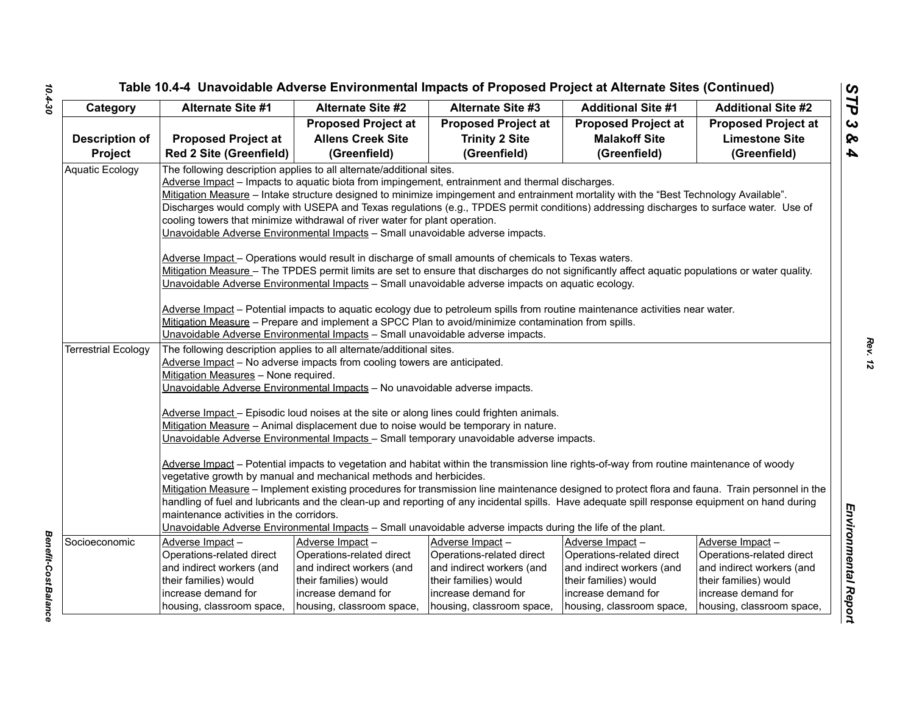| <b>Alternate Site #1</b><br><b>Alternate Site #2</b><br><b>Alternate Site #3</b><br><b>Additional Site #1</b><br>Category<br><b>Proposed Project at</b><br><b>Proposed Project at</b><br><b>Proposed Project at</b><br><b>Allens Creek Site</b><br><b>Trinity 2 Site</b><br><b>Malakoff Site</b><br><b>Description of</b><br><b>Proposed Project at</b><br>Project<br><b>Red 2 Site (Greenfield)</b><br>(Greenfield)<br>(Greenfield)<br>(Greenfield)<br>Aquatic Ecology<br>The following description applies to all alternate/additional sites.<br>Adverse Impact - Impacts to aquatic biota from impingement, entrainment and thermal discharges.<br>cooling towers that minimize withdrawal of river water for plant operation.<br>Unavoidable Adverse Environmental Impacts - Small unavoidable adverse impacts.<br>Adverse Impact - Operations would result in discharge of small amounts of chemicals to Texas waters.<br>Unavoidable Adverse Environmental Impacts - Small unavoidable adverse impacts on aquatic ecology.<br>Adverse Impact - Potential impacts to aquatic ecology due to petroleum spills from routine maintenance activities near water.<br>Mitigation Measure - Prepare and implement a SPCC Plan to avoid/minimize contamination from spills.<br>Unavoidable Adverse Environmental Impacts - Small unavoidable adverse impacts.<br><b>Terrestrial Ecology</b><br>The following description applies to all alternate/additional sites.<br>Adverse Impact - No adverse impacts from cooling towers are anticipated.<br>Mitigation Measures - None required.<br>Unavoidable Adverse Environmental Impacts - No unavoidable adverse impacts.<br>Adverse Impact - Episodic loud noises at the site or along lines could frighten animals.<br>Mitigation Measure - Animal displacement due to noise would be temporary in nature.<br>Unavoidable Adverse Environmental Impacts - Small temporary unavoidable adverse impacts.<br>Adverse Impact - Potential impacts to vegetation and habitat within the transmission line rights-of-way from routine maintenance of woody<br>vegetative growth by manual and mechanical methods and herbicides.<br>Mitigation Measure - Implement existing procedures for transmission line maintenance designed to protect flora and fauna. Train personnel in the<br>handling of fuel and lubricants and the clean-up and reporting of any incidental spills. Have adequate spill response equipment on hand during | Table 10.4-4 Unavoidable Adverse Environmental Impacts of Proposed Project at Alternate Sites (Continued)                                                                                                                                                                                                                                                                                                                             |  |  |  |  |  |  |
|-----------------------------------------------------------------------------------------------------------------------------------------------------------------------------------------------------------------------------------------------------------------------------------------------------------------------------------------------------------------------------------------------------------------------------------------------------------------------------------------------------------------------------------------------------------------------------------------------------------------------------------------------------------------------------------------------------------------------------------------------------------------------------------------------------------------------------------------------------------------------------------------------------------------------------------------------------------------------------------------------------------------------------------------------------------------------------------------------------------------------------------------------------------------------------------------------------------------------------------------------------------------------------------------------------------------------------------------------------------------------------------------------------------------------------------------------------------------------------------------------------------------------------------------------------------------------------------------------------------------------------------------------------------------------------------------------------------------------------------------------------------------------------------------------------------------------------------------------------------------------------------------------------------------------------------------------------------------------------------------------------------------------------------------------------------------------------------------------------------------------------------------------------------------------------------------------------------------------------------------------------------------------------------------------------------------------------------------------------------------------------------------------------------------------------------------------------------------------------|---------------------------------------------------------------------------------------------------------------------------------------------------------------------------------------------------------------------------------------------------------------------------------------------------------------------------------------------------------------------------------------------------------------------------------------|--|--|--|--|--|--|
|                                                                                                                                                                                                                                                                                                                                                                                                                                                                                                                                                                                                                                                                                                                                                                                                                                                                                                                                                                                                                                                                                                                                                                                                                                                                                                                                                                                                                                                                                                                                                                                                                                                                                                                                                                                                                                                                                                                                                                                                                                                                                                                                                                                                                                                                                                                                                                                                                                                                             | <b>Additional Site #2</b>                                                                                                                                                                                                                                                                                                                                                                                                             |  |  |  |  |  |  |
|                                                                                                                                                                                                                                                                                                                                                                                                                                                                                                                                                                                                                                                                                                                                                                                                                                                                                                                                                                                                                                                                                                                                                                                                                                                                                                                                                                                                                                                                                                                                                                                                                                                                                                                                                                                                                                                                                                                                                                                                                                                                                                                                                                                                                                                                                                                                                                                                                                                                             | <b>Proposed Project at</b>                                                                                                                                                                                                                                                                                                                                                                                                            |  |  |  |  |  |  |
|                                                                                                                                                                                                                                                                                                                                                                                                                                                                                                                                                                                                                                                                                                                                                                                                                                                                                                                                                                                                                                                                                                                                                                                                                                                                                                                                                                                                                                                                                                                                                                                                                                                                                                                                                                                                                                                                                                                                                                                                                                                                                                                                                                                                                                                                                                                                                                                                                                                                             | <b>Limestone Site</b>                                                                                                                                                                                                                                                                                                                                                                                                                 |  |  |  |  |  |  |
|                                                                                                                                                                                                                                                                                                                                                                                                                                                                                                                                                                                                                                                                                                                                                                                                                                                                                                                                                                                                                                                                                                                                                                                                                                                                                                                                                                                                                                                                                                                                                                                                                                                                                                                                                                                                                                                                                                                                                                                                                                                                                                                                                                                                                                                                                                                                                                                                                                                                             | (Greenfield)                                                                                                                                                                                                                                                                                                                                                                                                                          |  |  |  |  |  |  |
|                                                                                                                                                                                                                                                                                                                                                                                                                                                                                                                                                                                                                                                                                                                                                                                                                                                                                                                                                                                                                                                                                                                                                                                                                                                                                                                                                                                                                                                                                                                                                                                                                                                                                                                                                                                                                                                                                                                                                                                                                                                                                                                                                                                                                                                                                                                                                                                                                                                                             | Mitigation Measure - Intake structure designed to minimize impingement and entrainment mortality with the "Best Technology Available".<br>Discharges would comply with USEPA and Texas regulations (e.g., TPDES permit conditions) addressing discharges to surface water. Use of<br>Mitigation Measure - The TPDES permit limits are set to ensure that discharges do not significantly affect aquatic populations or water quality. |  |  |  |  |  |  |
|                                                                                                                                                                                                                                                                                                                                                                                                                                                                                                                                                                                                                                                                                                                                                                                                                                                                                                                                                                                                                                                                                                                                                                                                                                                                                                                                                                                                                                                                                                                                                                                                                                                                                                                                                                                                                                                                                                                                                                                                                                                                                                                                                                                                                                                                                                                                                                                                                                                                             |                                                                                                                                                                                                                                                                                                                                                                                                                                       |  |  |  |  |  |  |
|                                                                                                                                                                                                                                                                                                                                                                                                                                                                                                                                                                                                                                                                                                                                                                                                                                                                                                                                                                                                                                                                                                                                                                                                                                                                                                                                                                                                                                                                                                                                                                                                                                                                                                                                                                                                                                                                                                                                                                                                                                                                                                                                                                                                                                                                                                                                                                                                                                                                             |                                                                                                                                                                                                                                                                                                                                                                                                                                       |  |  |  |  |  |  |
| maintenance activities in the corridors.<br>Unavoidable Adverse Environmental Impacts - Small unavoidable adverse impacts during the life of the plant.                                                                                                                                                                                                                                                                                                                                                                                                                                                                                                                                                                                                                                                                                                                                                                                                                                                                                                                                                                                                                                                                                                                                                                                                                                                                                                                                                                                                                                                                                                                                                                                                                                                                                                                                                                                                                                                                                                                                                                                                                                                                                                                                                                                                                                                                                                                     |                                                                                                                                                                                                                                                                                                                                                                                                                                       |  |  |  |  |  |  |
| Socioeconomic<br>Adverse Impact-<br>Adverse Impact-<br>Adverse Impact-<br>Adverse Impact-<br>Adverse Impact-                                                                                                                                                                                                                                                                                                                                                                                                                                                                                                                                                                                                                                                                                                                                                                                                                                                                                                                                                                                                                                                                                                                                                                                                                                                                                                                                                                                                                                                                                                                                                                                                                                                                                                                                                                                                                                                                                                                                                                                                                                                                                                                                                                                                                                                                                                                                                                |                                                                                                                                                                                                                                                                                                                                                                                                                                       |  |  |  |  |  |  |
| Operations-related direct<br>Operations-related direct<br>Operations-related direct<br>Operations-related direct                                                                                                                                                                                                                                                                                                                                                                                                                                                                                                                                                                                                                                                                                                                                                                                                                                                                                                                                                                                                                                                                                                                                                                                                                                                                                                                                                                                                                                                                                                                                                                                                                                                                                                                                                                                                                                                                                                                                                                                                                                                                                                                                                                                                                                                                                                                                                            | Operations-related direct                                                                                                                                                                                                                                                                                                                                                                                                             |  |  |  |  |  |  |
| and indirect workers (and<br>and indirect workers (and<br>and indirect workers (and<br>and indirect workers (and<br>their families) would<br>their families) would                                                                                                                                                                                                                                                                                                                                                                                                                                                                                                                                                                                                                                                                                                                                                                                                                                                                                                                                                                                                                                                                                                                                                                                                                                                                                                                                                                                                                                                                                                                                                                                                                                                                                                                                                                                                                                                                                                                                                                                                                                                                                                                                                                                                                                                                                                          | and indirect workers (and                                                                                                                                                                                                                                                                                                                                                                                                             |  |  |  |  |  |  |
| their families) would<br>their families) would<br>their families) would<br>increase demand for<br>increase demand for<br>increase demand for<br>increase demand for<br>increase demand for                                                                                                                                                                                                                                                                                                                                                                                                                                                                                                                                                                                                                                                                                                                                                                                                                                                                                                                                                                                                                                                                                                                                                                                                                                                                                                                                                                                                                                                                                                                                                                                                                                                                                                                                                                                                                                                                                                                                                                                                                                                                                                                                                                                                                                                                                  |                                                                                                                                                                                                                                                                                                                                                                                                                                       |  |  |  |  |  |  |
| housing, classroom space,<br>housing, classroom space,<br>housing, classroom space,<br>housing, classroom space,                                                                                                                                                                                                                                                                                                                                                                                                                                                                                                                                                                                                                                                                                                                                                                                                                                                                                                                                                                                                                                                                                                                                                                                                                                                                                                                                                                                                                                                                                                                                                                                                                                                                                                                                                                                                                                                                                                                                                                                                                                                                                                                                                                                                                                                                                                                                                            | housing, classroom space,                                                                                                                                                                                                                                                                                                                                                                                                             |  |  |  |  |  |  |

*Benefit-Cost Balance* 

**Benefit-Cost Balance**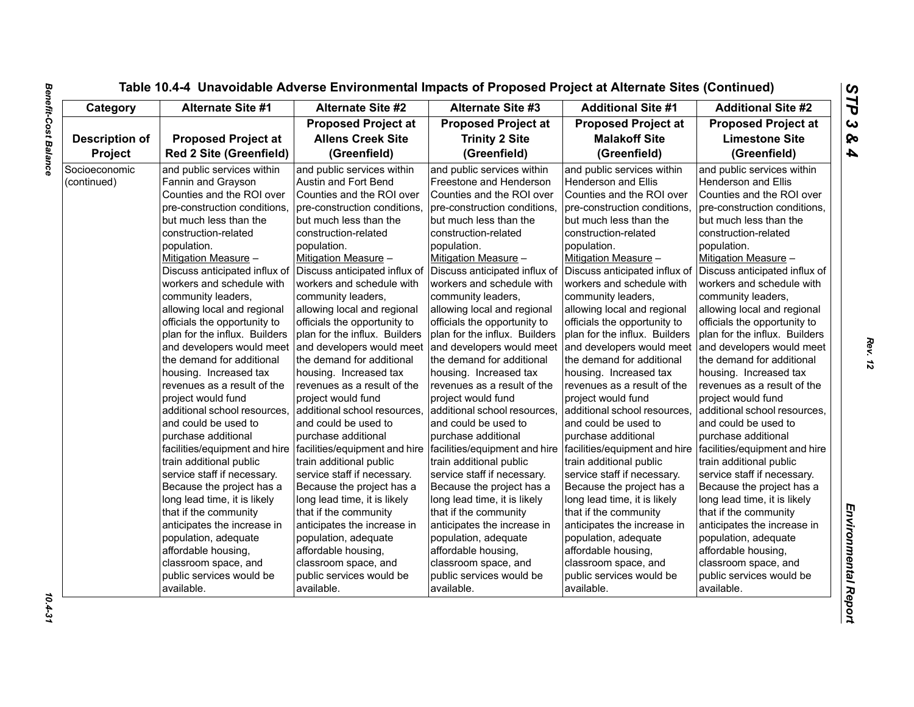| Category              | <b>Alternate Site #1</b>               | <b>Alternate Site #2</b>                                                                      | <b>Alternate Site #3</b>               | <b>Additional Site #1</b>              | <b>Additional Site #2</b>                   |
|-----------------------|----------------------------------------|-----------------------------------------------------------------------------------------------|----------------------------------------|----------------------------------------|---------------------------------------------|
|                       |                                        | <b>Proposed Project at</b>                                                                    | <b>Proposed Project at</b>             | <b>Proposed Project at</b>             | <b>Proposed Project at</b>                  |
| <b>Description of</b> | <b>Proposed Project at</b>             | <b>Allens Creek Site</b>                                                                      | <b>Trinity 2 Site</b>                  | <b>Malakoff Site</b>                   | <b>Limestone Site</b>                       |
| Project               | <b>Red 2 Site (Greenfield)</b>         | (Greenfield)                                                                                  | (Greenfield)                           | (Greenfield)                           | (Greenfield)                                |
| Socioeconomic         | and public services within             | and public services within                                                                    | and public services within             | and public services within             | and public services within                  |
| (continued)           | Fannin and Grayson                     | Austin and Fort Bend                                                                          | Freestone and Henderson                | Henderson and Ellis                    | <b>Henderson and Ellis</b>                  |
|                       | Counties and the ROI over              | Counties and the ROI over                                                                     | Counties and the ROI over              | Counties and the ROI over              | Counties and the ROI over                   |
|                       | pre-construction conditions,           | pre-construction conditions,                                                                  | pre-construction conditions,           | pre-construction conditions,           | pre-construction conditions,                |
|                       | but much less than the                 | but much less than the                                                                        | but much less than the                 | but much less than the                 | but much less than the                      |
|                       | construction-related                   | construction-related                                                                          | construction-related                   | construction-related                   | construction-related                        |
|                       | population.                            | population.                                                                                   | population.                            | population.                            | population.                                 |
|                       | Mitigation Measure -                   | Mitigation Measure -                                                                          | Mitigation Measure -                   | Mitigation Measure -                   | Mitigation Measure -                        |
|                       | Discuss anticipated influx of          | Discuss anticipated influx of                                                                 | Discuss anticipated influx of          | Discuss anticipated influx of          | Discuss anticipated influx of               |
|                       | workers and schedule with              | workers and schedule with                                                                     | workers and schedule with              | workers and schedule with              | workers and schedule with                   |
|                       | community leaders,                     | community leaders,                                                                            | community leaders,                     | community leaders,                     | community leaders,                          |
|                       | allowing local and regional            | allowing local and regional                                                                   | allowing local and regional            | allowing local and regional            | allowing local and regional                 |
|                       | officials the opportunity to           | officials the opportunity to                                                                  | officials the opportunity to           | officials the opportunity to           | officials the opportunity to                |
|                       | plan for the influx. Builders          | plan for the influx. Builders                                                                 | plan for the influx. Builders          | plan for the influx. Builders          | plan for the influx. Builders               |
|                       | and developers would meet              | and developers would meet                                                                     | and developers would meet              | and developers would meet              | and developers would meet                   |
|                       | the demand for additional              | the demand for additional                                                                     | the demand for additional              | the demand for additional              | the demand for additional                   |
|                       | housing. Increased tax                 | housing. Increased tax                                                                        | housing. Increased tax                 | housing. Increased tax                 | housing. Increased tax                      |
|                       | revenues as a result of the            | revenues as a result of the                                                                   | revenues as a result of the            | revenues as a result of the            | revenues as a result of the                 |
|                       | project would fund                     | project would fund                                                                            | project would fund                     | project would fund                     | project would fund                          |
|                       | additional school resources,           | additional school resources,                                                                  | additional school resources,           | additional school resources,           | additional school resources,                |
|                       | and could be used to                   | and could be used to                                                                          | and could be used to                   | and could be used to                   | and could be used to                        |
|                       | purchase additional                    | purchase additional                                                                           | purchase additional                    | purchase additional                    | purchase additional                         |
|                       |                                        | facilities/equipment and hire   facilities/equipment and hire   facilities/equipment and hire |                                        | facilities/equipment and hire          | facilities/equipment and hire               |
|                       | train additional public                | train additional public                                                                       | train additional public                | train additional public                | train additional public                     |
|                       | service staff if necessary.            | service staff if necessary.                                                                   | service staff if necessary.            | service staff if necessary.            | service staff if necessary.                 |
|                       | Because the project has a              | Because the project has a                                                                     | Because the project has a              | Because the project has a              | Because the project has a                   |
|                       | long lead time, it is likely           | long lead time, it is likely                                                                  | long lead time, it is likely           | long lead time, it is likely           | long lead time, it is likely                |
|                       | that if the community                  | that if the community                                                                         | that if the community                  | that if the community                  | that if the community                       |
|                       | anticipates the increase in            | anticipates the increase in                                                                   | anticipates the increase in            | anticipates the increase in            | anticipates the increase in                 |
|                       |                                        |                                                                                               |                                        |                                        |                                             |
|                       | population, adequate                   | population, adequate<br>affordable housing,                                                   | population, adequate                   | population, adequate                   | population, adequate<br>affordable housing, |
|                       | affordable housing,                    |                                                                                               | affordable housing,                    | affordable housing,                    |                                             |
|                       | classroom space, and                   | classroom space, and                                                                          | classroom space, and                   | classroom space, and                   | classroom space, and                        |
|                       | public services would be<br>available. | public services would be<br>available.                                                        | public services would be<br>available. | public services would be<br>available. | public services would be<br>available.      |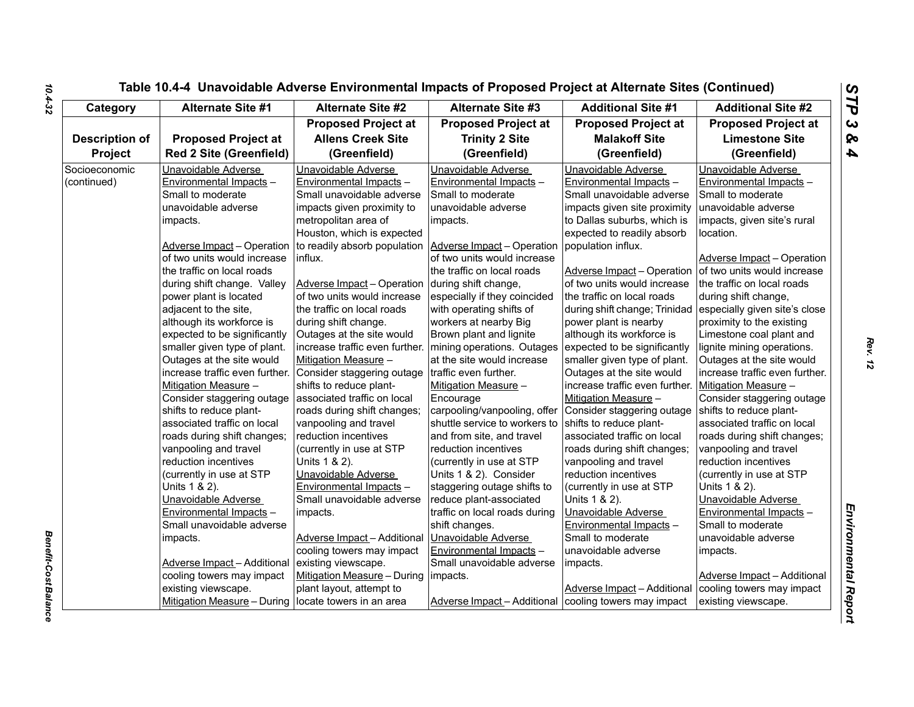| Category              |                                    | <b>Alternate Site #2</b><br><b>Alternate Site #1</b>      | <b>Alternate Site #3</b>      | <b>Additional Site #1</b>      | <b>Additional Site #2</b>      |
|-----------------------|------------------------------------|-----------------------------------------------------------|-------------------------------|--------------------------------|--------------------------------|
|                       |                                    | <b>Proposed Project at</b>                                | <b>Proposed Project at</b>    | <b>Proposed Project at</b>     | <b>Proposed Project at</b>     |
| <b>Description of</b> | <b>Proposed Project at</b>         | <b>Allens Creek Site</b>                                  | <b>Trinity 2 Site</b>         | <b>Malakoff Site</b>           | <b>Limestone Site</b>          |
| Project               | <b>Red 2 Site (Greenfield)</b>     | (Greenfield)                                              | (Greenfield)                  | (Greenfield)                   | (Greenfield)                   |
| Socioeconomic         | Unavoidable Adverse                | Unavoidable Adverse                                       | Unavoidable Adverse           | Unavoidable Adverse            | Unavoidable Adverse            |
| (continued)           | Environmental Impacts -            | Environmental Impacts -                                   | Environmental Impacts -       | Environmental Impacts -        | Environmental Impacts -        |
|                       | Small to moderate                  | Small unavoidable adverse                                 | Small to moderate             | Small unavoidable adverse      | Small to moderate              |
|                       | unavoidable adverse                | impacts given proximity to                                | unavoidable adverse           | impacts given site proximity   | unavoidable adverse            |
|                       | impacts.                           | metropolitan area of                                      | impacts.                      | to Dallas suburbs, which is    | impacts, given site's rural    |
|                       |                                    | Houston, which is expected                                |                               | expected to readily absorb     | location.                      |
|                       | <b>Adverse Impact - Operation</b>  | to readily absorb population   Adverse Impact - Operation |                               | population influx.             |                                |
|                       | of two units would increase        | influx.                                                   | of two units would increase   |                                | Adverse Impact - Operation     |
|                       | the traffic on local roads         |                                                           | the traffic on local roads    | Adverse Impact - Operation     | of two units would increase    |
|                       | during shift change. Valley        | Adverse Impact - Operation                                | during shift change,          | of two units would increase    | the traffic on local roads     |
|                       | power plant is located             | of two units would increase                               | especially if they coincided  | the traffic on local roads     | during shift change,           |
|                       | adjacent to the site,              | the traffic on local roads                                | with operating shifts of      | during shift change; Trinidad  | especially given site's close  |
|                       | although its workforce is          | during shift change.                                      | workers at nearby Big         | power plant is nearby          | proximity to the existing      |
|                       | expected to be significantly       | Outages at the site would                                 | Brown plant and lignite       | although its workforce is      | Limestone coal plant and       |
|                       | smaller given type of plant.       | increase traffic even further. mining operations. Outages |                               | expected to be significantly   | lignite mining operations.     |
|                       | Outages at the site would          | Mitigation Measure -                                      | at the site would increase    | smaller given type of plant.   | Outages at the site would      |
|                       | increase traffic even further.     | Consider staggering outage                                | traffic even further.         | Outages at the site would      | increase traffic even further. |
|                       | Mitigation Measure -               | shifts to reduce plant-                                   | Mitigation Measure -          | increase traffic even further. | Mitigation Measure -           |
|                       | Consider staggering outage         | associated traffic on local                               | Encourage                     | Mitigation Measure -           | Consider staggering outage     |
|                       | shifts to reduce plant-            | roads during shift changes;                               | carpooling/vanpooling, offer  | Consider staggering outage     | shifts to reduce plant-        |
|                       | associated traffic on local        | vanpooling and travel                                     | shuttle service to workers to | shifts to reduce plant-        | associated traffic on local    |
|                       | roads during shift changes;        | reduction incentives                                      | and from site, and travel     | associated traffic on local    | roads during shift changes;    |
|                       | vanpooling and travel              | (currently in use at STP                                  | reduction incentives          | roads during shift changes;    | vanpooling and travel          |
|                       | reduction incentives               | Units 1 & 2).                                             | (currently in use at STP      | vanpooling and travel          | reduction incentives           |
|                       | (currently in use at STP           | Unavoidable Adverse                                       | Units 1 & 2). Consider        | reduction incentives           | (currently in use at STP       |
|                       | Units 1 & 2).                      | Environmental Impacts -                                   | staggering outage shifts to   | (currently in use at STP       | Units 1 & 2).                  |
|                       | Unavoidable Adverse                | Small unavoidable adverse                                 | reduce plant-associated       | Units 1 & 2).                  | Unavoidable Adverse            |
|                       | Environmental Impacts -            | impacts.                                                  | traffic on local roads during | Unavoidable Adverse            | Environmental Impacts -        |
|                       | Small unavoidable adverse          |                                                           | shift changes.                | Environmental Impacts -        | Small to moderate              |
|                       | impacts.                           | Adverse Impact-Additional                                 | Unavoidable Adverse           | Small to moderate              | unavoidable adverse            |
|                       |                                    | cooling towers may impact                                 | Environmental Impacts -       | unavoidable adverse            | impacts.                       |
|                       | <b>Adverse Impact - Additional</b> | existing viewscape.                                       | Small unavoidable adverse     | impacts.                       |                                |
|                       | cooling towers may impact          | Mitigation Measure - During   impacts.                    |                               |                                | Adverse Impact - Additional    |
|                       | existing viewscape.                | plant layout, attempt to                                  |                               | Adverse Impact - Additional    | cooling towers may impact      |
|                       | Mitigation Measure - During        | locate towers in an area                                  | Adverse Impact - Additional   | cooling towers may impact      | existing viewscape.            |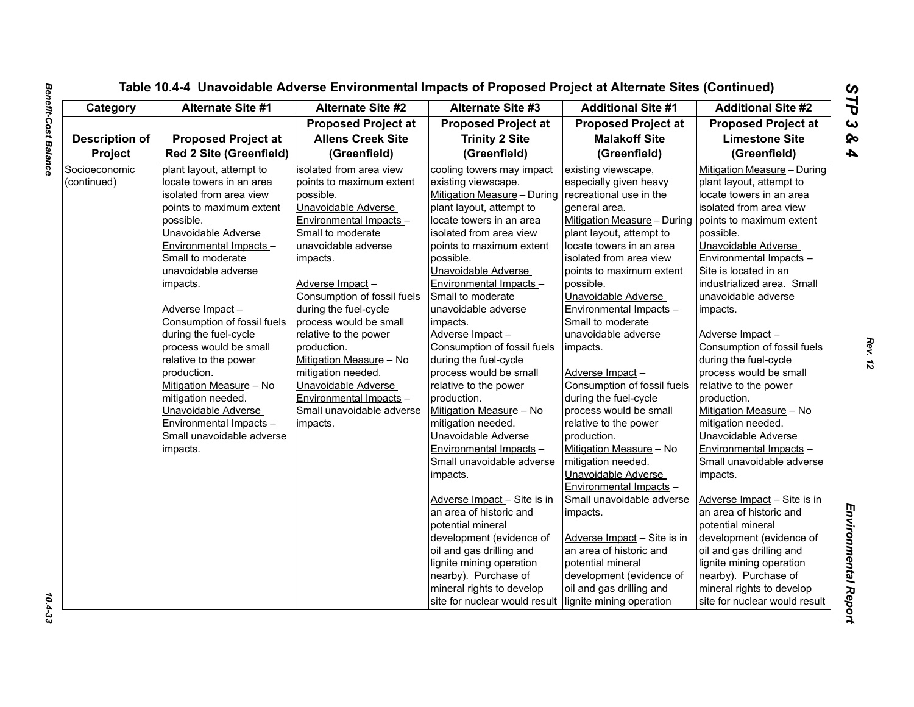| Category              | <b>Alternate Site #1</b>       | Alternate Site #2           | <b>Alternate Site #3</b>      | <b>Additional Site #1</b>   | <b>Additional Site #2</b>     |
|-----------------------|--------------------------------|-----------------------------|-------------------------------|-----------------------------|-------------------------------|
|                       |                                | <b>Proposed Project at</b>  | <b>Proposed Project at</b>    | <b>Proposed Project at</b>  | <b>Proposed Project at</b>    |
| <b>Description of</b> | <b>Proposed Project at</b>     | <b>Allens Creek Site</b>    | <b>Trinity 2 Site</b>         | <b>Malakoff Site</b>        | <b>Limestone Site</b>         |
| Project               | <b>Red 2 Site (Greenfield)</b> | (Greenfield)                | (Greenfield)                  | (Greenfield)                | (Greenfield)                  |
| Socioeconomic         | plant layout, attempt to       | isolated from area view     | cooling towers may impact     | existing viewscape,         | Mitigation Measure - During   |
| (continued)           | locate towers in an area       | points to maximum extent    | existing viewscape.           | especially given heavy      | plant layout, attempt to      |
|                       | isolated from area view        | possible.                   | Mitigation Measure - During   | recreational use in the     | locate towers in an area      |
|                       | points to maximum extent       | Unavoidable Adverse         | plant layout, attempt to      | general area.               | isolated from area view       |
|                       | possible.                      | Environmental Impacts -     | locate towers in an area      | Mitigation Measure - During | points to maximum extent      |
|                       | Unavoidable Adverse            | Small to moderate           | isolated from area view       | plant layout, attempt to    | possible.                     |
|                       | Environmental Impacts -        | unavoidable adverse         | points to maximum extent      | locate towers in an area    | Unavoidable Adverse           |
|                       | Small to moderate              | impacts.                    | possible.                     | isolated from area view     | Environmental Impacts -       |
|                       | unavoidable adverse            |                             | Unavoidable Adverse           | points to maximum extent    | Site is located in an         |
|                       | impacts.                       | Adverse Impact-             | Environmental Impacts -       | possible.                   | industrialized area. Small    |
|                       |                                | Consumption of fossil fuels | Small to moderate             | Unavoidable Adverse         | unavoidable adverse           |
|                       | Adverse Impact-                | during the fuel-cycle       | unavoidable adverse           | Environmental Impacts -     | impacts.                      |
|                       | Consumption of fossil fuels    | process would be small      | impacts.                      | Small to moderate           |                               |
|                       | during the fuel-cycle          | relative to the power       | Adverse Impact-               | unavoidable adverse         | Adverse Impact-               |
|                       | process would be small         | production.                 | Consumption of fossil fuels   | impacts.                    | Consumption of fossil fuels   |
|                       | relative to the power          | Mitigation Measure - No     | during the fuel-cycle         |                             | during the fuel-cycle         |
|                       | production.                    | mitigation needed.          | process would be small        | Adverse Impact-             | process would be small        |
|                       | Mitigation Measure - No        | Unavoidable Adverse         | relative to the power         | Consumption of fossil fuels | relative to the power         |
|                       | mitigation needed.             | Environmental Impacts -     | production.                   | during the fuel-cycle       | production.                   |
|                       | Unavoidable Adverse            | Small unavoidable adverse   | Mitigation Measure - No       | process would be small      | Mitigation Measure - No       |
|                       | Environmental Impacts -        | impacts.                    | mitigation needed.            | relative to the power       | mitigation needed.            |
|                       | Small unavoidable adverse      |                             | Unavoidable Adverse           | production.                 | Unavoidable Adverse           |
|                       | impacts.                       |                             | Environmental Impacts -       | Mitigation Measure - No     | Environmental Impacts -       |
|                       |                                |                             | Small unavoidable adverse     | mitigation needed.          | Small unavoidable adverse     |
|                       |                                |                             | impacts.                      | Unavoidable Adverse         | impacts.                      |
|                       |                                |                             |                               | Environmental Impacts -     |                               |
|                       |                                |                             | Adverse Impact - Site is in   | Small unavoidable adverse   | Adverse Impact - Site is in   |
|                       |                                |                             | an area of historic and       | impacts.                    | an area of historic and       |
|                       |                                |                             | potential mineral             |                             | potential mineral             |
|                       |                                |                             | development (evidence of      | Adverse Impact - Site is in | development (evidence of      |
|                       |                                |                             | oil and gas drilling and      | an area of historic and     | oil and gas drilling and      |
|                       |                                |                             | lignite mining operation      | potential mineral           | lignite mining operation      |
|                       |                                |                             | nearby). Purchase of          | development (evidence of    | nearby). Purchase of          |
|                       |                                |                             | mineral rights to develop     | oil and gas drilling and    | mineral rights to develop     |
|                       |                                |                             | site for nuclear would result | lignite mining operation    | site for nuclear would result |

 $10.4 - 33$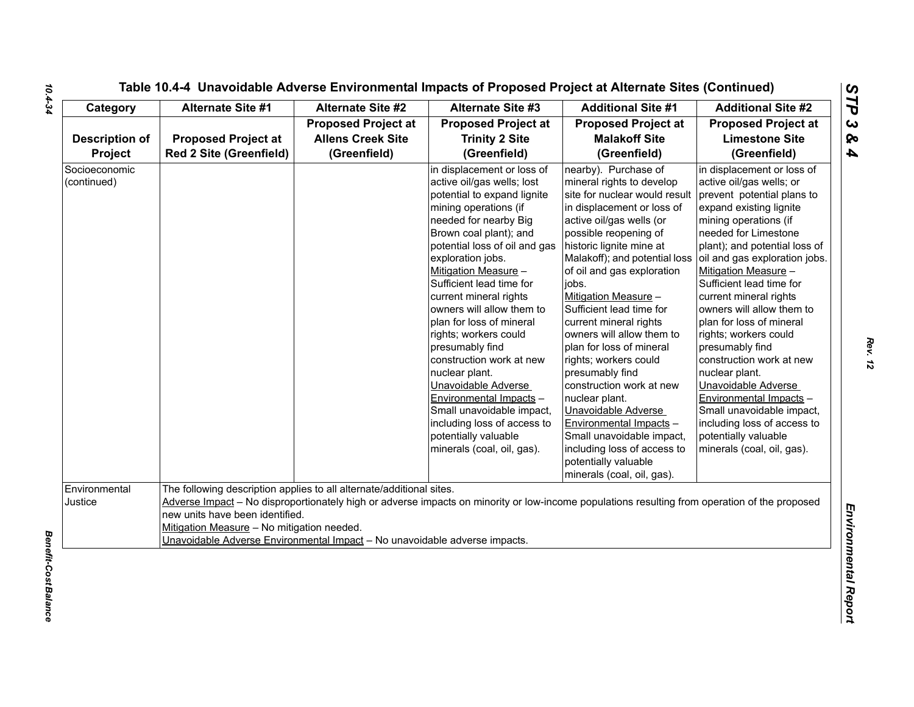| Category                         | <b>Alternate Site #1</b>                                                                                                                                                                                                            | <b>Alternate Site #2</b>                                               | <b>Alternate Site #3</b>                                                                                                                                                                                                                                                                                                                                                                                                                                                                                                                                                                                                       | <b>Additional Site #1</b>                                                                                                                                                                                                                                                                                                                                                                                                                                                                                                                                                                                                                                                      | <b>Additional Site #2</b>                                                                                                                                                                                                                                                                                                                                                                                                                                                                                                                                                                                                               |
|----------------------------------|-------------------------------------------------------------------------------------------------------------------------------------------------------------------------------------------------------------------------------------|------------------------------------------------------------------------|--------------------------------------------------------------------------------------------------------------------------------------------------------------------------------------------------------------------------------------------------------------------------------------------------------------------------------------------------------------------------------------------------------------------------------------------------------------------------------------------------------------------------------------------------------------------------------------------------------------------------------|--------------------------------------------------------------------------------------------------------------------------------------------------------------------------------------------------------------------------------------------------------------------------------------------------------------------------------------------------------------------------------------------------------------------------------------------------------------------------------------------------------------------------------------------------------------------------------------------------------------------------------------------------------------------------------|-----------------------------------------------------------------------------------------------------------------------------------------------------------------------------------------------------------------------------------------------------------------------------------------------------------------------------------------------------------------------------------------------------------------------------------------------------------------------------------------------------------------------------------------------------------------------------------------------------------------------------------------|
| <b>Description of</b><br>Project | <b>Proposed Project at</b><br><b>Red 2 Site (Greenfield)</b>                                                                                                                                                                        | <b>Proposed Project at</b><br><b>Allens Creek Site</b><br>(Greenfield) | <b>Proposed Project at</b><br><b>Trinity 2 Site</b><br>(Greenfield)                                                                                                                                                                                                                                                                                                                                                                                                                                                                                                                                                            | <b>Proposed Project at</b><br><b>Malakoff Site</b><br>(Greenfield)                                                                                                                                                                                                                                                                                                                                                                                                                                                                                                                                                                                                             | <b>Proposed Project at</b><br><b>Limestone Site</b><br>(Greenfield)                                                                                                                                                                                                                                                                                                                                                                                                                                                                                                                                                                     |
| Socioeconomic<br>(continued)     |                                                                                                                                                                                                                                     |                                                                        | in displacement or loss of<br>active oil/gas wells; lost<br>potential to expand lignite<br>mining operations (if<br>needed for nearby Big<br>Brown coal plant); and<br>potential loss of oil and gas<br>exploration jobs.<br>Mitigation Measure -<br>Sufficient lead time for<br>current mineral rights<br>owners will allow them to<br>plan for loss of mineral<br>rights; workers could<br>presumably find<br>construction work at new<br>nuclear plant.<br>Unavoidable Adverse<br>Environmental Impacts -<br>Small unavoidable impact,<br>including loss of access to<br>potentially valuable<br>minerals (coal, oil, gas). | nearby). Purchase of<br>mineral rights to develop<br>site for nuclear would result<br>in displacement or loss of<br>active oil/gas wells (or<br>possible reopening of<br>historic lignite mine at<br>Malakoff); and potential loss<br>of oil and gas exploration<br>jobs.<br>Mitigation Measure -<br>Sufficient lead time for<br>current mineral rights<br>owners will allow them to<br>plan for loss of mineral<br>rights; workers could<br>presumably find<br>construction work at new<br>nuclear plant.<br>Unavoidable Adverse<br>Environmental Impacts -<br>Small unavoidable impact,<br>including loss of access to<br>potentially valuable<br>minerals (coal, oil, gas). | in displacement or loss of<br>active oil/gas wells; or<br>prevent potential plans to<br>expand existing lignite<br>mining operations (if<br>needed for Limestone<br>plant); and potential loss of<br>oil and gas exploration jobs.<br>Mitigation Measure -<br>Sufficient lead time for<br>current mineral rights<br>owners will allow them to<br>plan for loss of mineral<br>rights; workers could<br>presumably find<br>construction work at new<br>nuclear plant.<br>Unavoidable Adverse<br>Environmental Impacts -<br>Small unavoidable impact,<br>including loss of access to<br>potentially valuable<br>minerals (coal, oil, gas). |
| Environmental<br>Justice         | The following description applies to all alternate/additional sites.<br>new units have been identified.<br>Mitigation Measure - No mitigation needed.<br>Unavoidable Adverse Environmental Impact - No unavoidable adverse impacts. |                                                                        | Adverse Impact - No disproportionately high or adverse impacts on minority or low-income populations resulting from operation of the proposed                                                                                                                                                                                                                                                                                                                                                                                                                                                                                  |                                                                                                                                                                                                                                                                                                                                                                                                                                                                                                                                                                                                                                                                                |                                                                                                                                                                                                                                                                                                                                                                                                                                                                                                                                                                                                                                         |

*Rev. 12*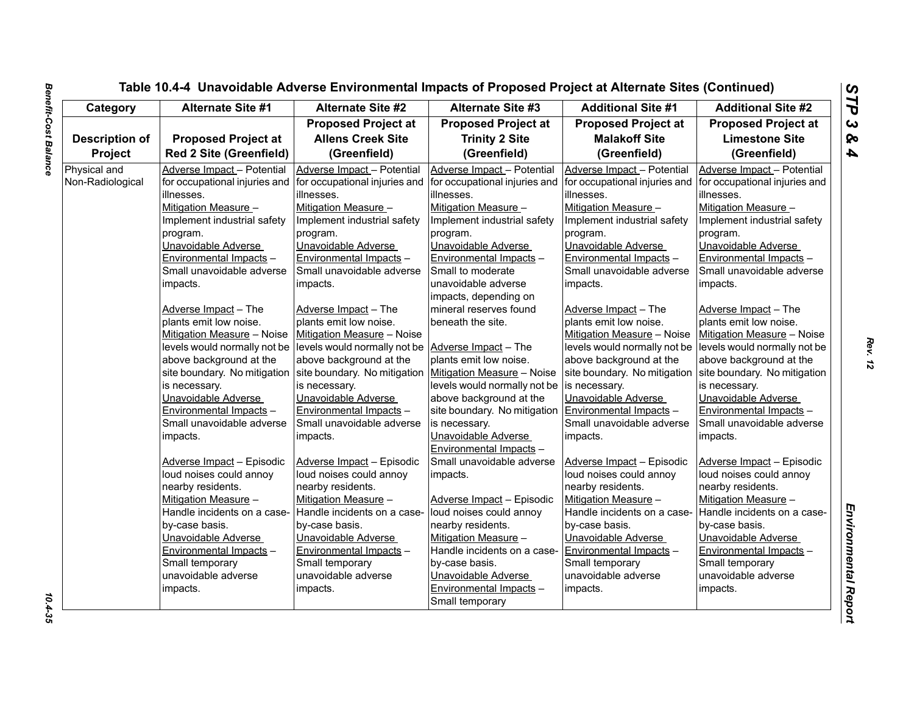| Category              | <b>Alternate Site #1</b>       | <b>Alternate Site #2</b>                                  | <b>Alternate Site #3</b>      | <b>Additional Site #1</b>     | <b>Additional Site #2</b>     |
|-----------------------|--------------------------------|-----------------------------------------------------------|-------------------------------|-------------------------------|-------------------------------|
|                       |                                | <b>Proposed Project at</b>                                | <b>Proposed Project at</b>    | <b>Proposed Project at</b>    | <b>Proposed Project at</b>    |
| <b>Description of</b> | <b>Proposed Project at</b>     | <b>Allens Creek Site</b>                                  | <b>Trinity 2 Site</b>         | <b>Malakoff Site</b>          | <b>Limestone Site</b>         |
| Project               | <b>Red 2 Site (Greenfield)</b> | (Greenfield)                                              | (Greenfield)                  | (Greenfield)                  | (Greenfield)                  |
| Physical and          | Adverse Impact - Potential     | Adverse Impact - Potential                                | Adverse Impact - Potential    | Adverse Impact - Potential    | Adverse Impact - Potential    |
| Non-Radiological      | for occupational injuries and  | for occupational injuries and                             | for occupational injuries and | for occupational injuries and | for occupational injuries and |
|                       | lillnesses.                    | lillnesses.                                               | illnesses.                    | illnesses.                    | illnesses.                    |
|                       | Mitigation Measure -           | Mitigation Measure -                                      | Mitigation Measure -          | Mitigation Measure -          | Mitigation Measure -          |
|                       | Implement industrial safety    | Implement industrial safety                               | Implement industrial safety   | Implement industrial safety   | Implement industrial safety   |
|                       | program.                       | program.                                                  | program.                      | program.                      | program.                      |
|                       | Unavoidable Adverse            | Unavoidable Adverse                                       | Unavoidable Adverse           | Unavoidable Adverse           | Unavoidable Adverse           |
|                       | Environmental Impacts -        | Environmental Impacts -                                   | Environmental Impacts -       | Environmental Impacts -       | Environmental Impacts -       |
|                       | Small unavoidable adverse      | Small unavoidable adverse                                 | Small to moderate             | Small unavoidable adverse     | Small unavoidable adverse     |
|                       | impacts.                       | impacts.                                                  | unavoidable adverse           | impacts.                      | impacts.                      |
|                       |                                |                                                           | impacts, depending on         |                               |                               |
|                       | Adverse Impact - The           | Adverse Impact - The                                      | mineral reserves found        | Adverse Impact - The          | Adverse Impact - The          |
|                       | plants emit low noise.         | plants emit low noise.                                    | beneath the site.             | plants emit low noise.        | plants emit low noise.        |
|                       | Mitigation Measure - Noise     | Mitigation Measure - Noise                                |                               | Mitigation Measure - Noise    | Mitigation Measure - Noise    |
|                       | levels would normally not be   | levels would normally not be Adverse Impact - The         |                               | levels would normally not be  | levels would normally not be  |
|                       | above background at the        | above background at the                                   | plants emit low noise.        | above background at the       | above background at the       |
|                       | site boundary. No mitigation   | site boundary. No mitigation   Mitigation Measure - Noise |                               | site boundary. No mitigation  | site boundary. No mitigation  |
|                       | is necessary.                  | is necessary.                                             | levels would normally not be  | is necessary.                 | is necessary.                 |
|                       | Unavoidable Adverse            | Unavoidable Adverse                                       | above background at the       | Unavoidable Adverse           | Unavoidable Adverse           |
|                       | Environmental Impacts -        | Environmental Impacts -                                   | site boundary. No mitigation  | Environmental Impacts -       | Environmental Impacts -       |
|                       | Small unavoidable adverse      | Small unavoidable adverse                                 | is necessary.                 | Small unavoidable adverse     | Small unavoidable adverse     |
|                       | impacts.                       | impacts.                                                  | Unavoidable Adverse           | impacts.                      | impacts.                      |
|                       |                                |                                                           | Environmental Impacts -       |                               |                               |
|                       | Adverse Impact - Episodic      | Adverse Impact - Episodic                                 | Small unavoidable adverse     | Adverse Impact - Episodic     | Adverse Impact - Episodic     |
|                       | loud noises could annoy        | loud noises could annoy                                   | impacts.                      | loud noises could annoy       | loud noises could annoy       |
|                       | nearby residents.              | nearby residents.                                         |                               | nearby residents.             | nearby residents.             |
|                       | Mitigation Measure -           | Mitigation Measure -                                      | Adverse Impact - Episodic     | Mitigation Measure -          | <b>Mitigation Measure -</b>   |
|                       | Handle incidents on a case-    | Handle incidents on a case-                               | loud noises could annoy       | Handle incidents on a case-   | Handle incidents on a case-   |
|                       | by-case basis.                 | by-case basis.                                            | nearby residents.             | by-case basis.                | by-case basis.                |
|                       | Unavoidable Adverse            | Unavoidable Adverse                                       | Mitigation Measure -          | Unavoidable Adverse           | Unavoidable Adverse           |
|                       | Environmental Impacts -        | Environmental Impacts -                                   | Handle incidents on a case-   | Environmental Impacts -       | Environmental Impacts -       |
|                       | Small temporary                | Small temporary                                           | by-case basis.                | Small temporary               | Small temporary               |
|                       | unavoidable adverse            | unavoidable adverse                                       | Unavoidable Adverse           | unavoidable adverse           | unavoidable adverse           |
|                       | impacts.                       | impacts.                                                  | Environmental Impacts -       | impacts.                      | impacts.                      |
|                       |                                |                                                           | Small temporary               |                               |                               |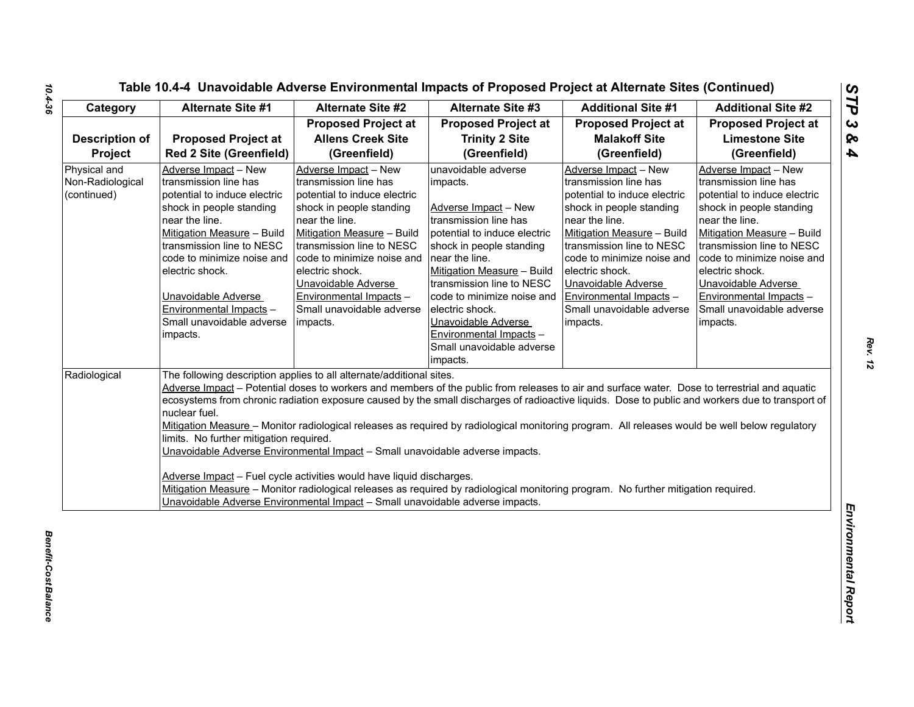| Category                                        | Alternate Site #1                                                                                                                                                                                                                                                                                                                  | <b>Alternate Site #2</b>                                                                                                                                                                                                                                                                                                           | <b>Alternate Site #3</b>                                                                                                                                                                                                                                                                                                                                              | <b>Additional Site #1</b>                                                                                                                                                                                                                                                                                                                                                                                                                                                                                                                                                                 | <b>Additional Site #2</b>                                                                                                                                                                                                                                                                                                          |
|-------------------------------------------------|------------------------------------------------------------------------------------------------------------------------------------------------------------------------------------------------------------------------------------------------------------------------------------------------------------------------------------|------------------------------------------------------------------------------------------------------------------------------------------------------------------------------------------------------------------------------------------------------------------------------------------------------------------------------------|-----------------------------------------------------------------------------------------------------------------------------------------------------------------------------------------------------------------------------------------------------------------------------------------------------------------------------------------------------------------------|-------------------------------------------------------------------------------------------------------------------------------------------------------------------------------------------------------------------------------------------------------------------------------------------------------------------------------------------------------------------------------------------------------------------------------------------------------------------------------------------------------------------------------------------------------------------------------------------|------------------------------------------------------------------------------------------------------------------------------------------------------------------------------------------------------------------------------------------------------------------------------------------------------------------------------------|
|                                                 |                                                                                                                                                                                                                                                                                                                                    | <b>Proposed Project at</b>                                                                                                                                                                                                                                                                                                         | <b>Proposed Project at</b>                                                                                                                                                                                                                                                                                                                                            | <b>Proposed Project at</b>                                                                                                                                                                                                                                                                                                                                                                                                                                                                                                                                                                | <b>Proposed Project at</b>                                                                                                                                                                                                                                                                                                         |
| <b>Description of</b>                           | <b>Proposed Project at</b>                                                                                                                                                                                                                                                                                                         | <b>Allens Creek Site</b>                                                                                                                                                                                                                                                                                                           | <b>Trinity 2 Site</b>                                                                                                                                                                                                                                                                                                                                                 | <b>Malakoff Site</b>                                                                                                                                                                                                                                                                                                                                                                                                                                                                                                                                                                      | <b>Limestone Site</b>                                                                                                                                                                                                                                                                                                              |
| Project                                         | <b>Red 2 Site (Greenfield)</b>                                                                                                                                                                                                                                                                                                     | (Greenfield)                                                                                                                                                                                                                                                                                                                       | (Greenfield)                                                                                                                                                                                                                                                                                                                                                          | (Greenfield)                                                                                                                                                                                                                                                                                                                                                                                                                                                                                                                                                                              | (Greenfield)                                                                                                                                                                                                                                                                                                                       |
| Physical and<br>Non-Radiological<br>(continued) | Adverse Impact - New<br>transmission line has<br>potential to induce electric<br>shock in people standing<br>near the line.<br>Mitigation Measure - Build<br>transmission line to NESC<br>code to minimize noise and<br>electric shock.<br>Unavoidable Adverse<br>Environmental Impacts -<br>Small unavoidable adverse<br>impacts. | Adverse Impact - New<br>transmission line has<br>potential to induce electric<br>shock in people standing<br>near the line.<br>Mitigation Measure - Build<br>transmission line to NESC<br>code to minimize noise and<br>electric shock.<br>Unavoidable Adverse<br>Environmental Impacts -<br>Small unavoidable adverse<br>impacts. | unavoidable adverse<br>impacts.<br>Adverse Impact - New<br>transmission line has<br>potential to induce electric<br>shock in people standing<br>near the line.<br>Mitigation Measure - Build<br>transmission line to NESC<br>code to minimize noise and<br>electric shock.<br>Unavoidable Adverse<br>Environmental Impacts -<br>Small unavoidable adverse<br>impacts. | Adverse Impact - New<br>transmission line has<br>potential to induce electric<br>shock in people standing<br>near the line.<br>Mitigation Measure - Build<br>transmission line to NESC<br>code to minimize noise and<br>electric shock.<br>Unavoidable Adverse<br>Environmental Impacts -<br>Small unavoidable adverse<br>impacts.                                                                                                                                                                                                                                                        | Adverse Impact - New<br>transmission line has<br>potential to induce electric<br>shock in people standing<br>near the line.<br>Mitigation Measure - Build<br>transmission line to NESC<br>code to minimize noise and<br>electric shock.<br>Unavoidable Adverse<br>Environmental Impacts -<br>Small unavoidable adverse<br>impacts. |
| Radiological                                    | nuclear fuel.<br>limits. No further mitigation required.                                                                                                                                                                                                                                                                           | The following description applies to all alternate/additional sites.<br>Unavoidable Adverse Environmental Impact - Small unavoidable adverse impacts.<br>Adverse Impact - Fuel cycle activities would have liquid discharges.<br>Unavoidable Adverse Environmental Impact - Small unavoidable adverse impacts.                     |                                                                                                                                                                                                                                                                                                                                                                       | Adverse Impact - Potential doses to workers and members of the public from releases to air and surface water. Dose to terrestrial and aquatic<br>ecosystems from chronic radiation exposure caused by the small discharges of radioactive liquids. Dose to public and workers due to transport of<br>Mitigation Measure - Monitor radiological releases as required by radiological monitoring program. All releases would be well below regulatory<br>Mitigation Measure - Monitor radiological releases as required by radiological monitoring program. No further mitigation required. |                                                                                                                                                                                                                                                                                                                                    |

*Rev. 12*